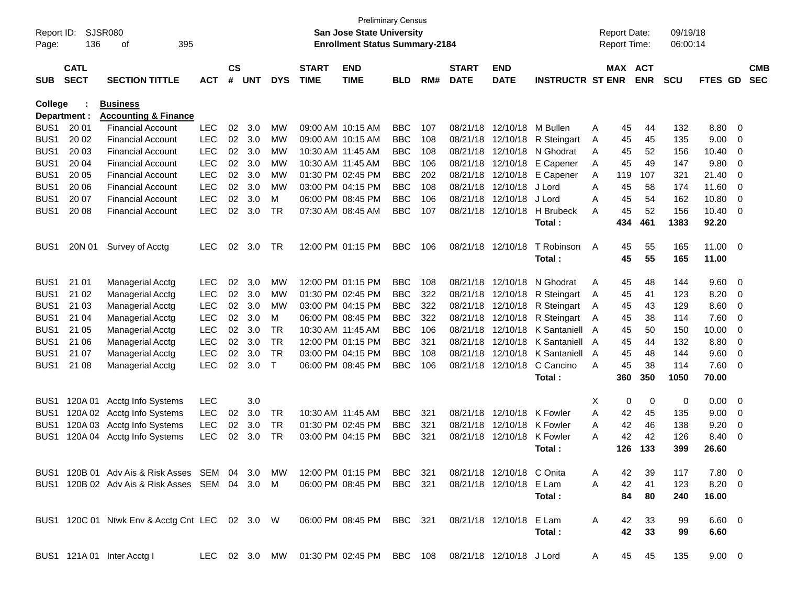| Report ID:<br>Page: | 136                        | <b>SJSR080</b><br>395<br>οf                     |            |                    |            |              |                             | <b>Preliminary Census</b><br><b>San Jose State University</b><br><b>Enrollment Status Summary-2184</b> |            |     |                             |                           |                         |   | <b>Report Date:</b><br><b>Report Time:</b> |            | 09/19/18<br>06:00:14 |                 |     |                          |
|---------------------|----------------------------|-------------------------------------------------|------------|--------------------|------------|--------------|-----------------------------|--------------------------------------------------------------------------------------------------------|------------|-----|-----------------------------|---------------------------|-------------------------|---|--------------------------------------------|------------|----------------------|-----------------|-----|--------------------------|
| <b>SUB</b>          | <b>CATL</b><br><b>SECT</b> | <b>SECTION TITTLE</b>                           | ACT        | $\mathsf{cs}$<br># | <b>UNT</b> | <b>DYS</b>   | <b>START</b><br><b>TIME</b> | <b>END</b><br><b>TIME</b>                                                                              | <b>BLD</b> | RM# | <b>START</b><br><b>DATE</b> | <b>END</b><br><b>DATE</b> | <b>INSTRUCTR ST ENR</b> |   | MAX ACT                                    | <b>ENR</b> | <b>SCU</b>           | FTES GD         |     | <b>CMB</b><br><b>SEC</b> |
| College             |                            | <b>Business</b>                                 |            |                    |            |              |                             |                                                                                                        |            |     |                             |                           |                         |   |                                            |            |                      |                 |     |                          |
|                     | Department :               | <b>Accounting &amp; Finance</b>                 |            |                    |            |              |                             |                                                                                                        |            |     |                             |                           |                         |   |                                            |            |                      |                 |     |                          |
| BUS <sub>1</sub>    | 20 01                      | <b>Financial Account</b>                        | <b>LEC</b> | 02                 | 3.0        | МW           | 09:00 AM 10:15 AM           |                                                                                                        | <b>BBC</b> | 107 | 08/21/18                    | 12/10/18 M Bullen         |                         | Α | 45                                         | 44         | 132                  | 8.80            | 0   |                          |
| BUS <sub>1</sub>    | 20 02                      | <b>Financial Account</b>                        | <b>LEC</b> | 02                 | 3.0        | MW           | 09:00 AM 10:15 AM           |                                                                                                        | <b>BBC</b> | 108 | 08/21/18                    |                           | 12/10/18 R Steingart    | Α | 45                                         | 45         | 135                  | 9.00            | 0   |                          |
| BUS <sub>1</sub>    | 20 03                      | <b>Financial Account</b>                        | <b>LEC</b> | 02                 | 3.0        | МW           |                             | 10:30 AM 11:45 AM                                                                                      | <b>BBC</b> | 108 | 08/21/18                    | 12/10/18                  | N Ghodrat               | A | 45                                         | 52         | 156                  | 10.40           | 0   |                          |
| BUS <sub>1</sub>    | 20 04                      | <b>Financial Account</b>                        | <b>LEC</b> | 02                 | 3.0        | МW           |                             | 10:30 AM 11:45 AM                                                                                      | <b>BBC</b> | 106 | 08/21/18                    | 12/10/18                  | E Capener               | A | 45                                         | 49         | 147                  | 9.80            | 0   |                          |
| BUS <sub>1</sub>    | 20 05                      | <b>Financial Account</b>                        | <b>LEC</b> | 02                 | 3.0        | <b>MW</b>    |                             | 01:30 PM 02:45 PM                                                                                      | <b>BBC</b> | 202 | 08/21/18                    | 12/10/18                  | E Capener               | A | 119                                        | 107        | 321                  | 21.40           | 0   |                          |
| BUS <sub>1</sub>    | 20 06                      | <b>Financial Account</b>                        | <b>LEC</b> | 02                 | 3.0        | <b>MW</b>    |                             | 03:00 PM 04:15 PM                                                                                      | <b>BBC</b> | 108 | 08/21/18                    | 12/10/18                  | J Lord                  | A | 45                                         | 58         | 174                  | 11.60           | 0   |                          |
| BUS <sub>1</sub>    | 20 07                      | <b>Financial Account</b>                        | <b>LEC</b> | 02                 | 3.0        | м            |                             | 06:00 PM 08:45 PM                                                                                      | <b>BBC</b> | 106 | 08/21/18                    | 12/10/18                  | J Lord                  | A | 45                                         | 54         | 162                  | 10.80           | 0   |                          |
| BUS <sub>1</sub>    | 20 08                      | <b>Financial Account</b>                        | <b>LEC</b> | 02                 | 3.0        | <b>TR</b>    | 07:30 AM 08:45 AM           |                                                                                                        | <b>BBC</b> | 107 | 08/21/18                    | 12/10/18                  | H Brubeck               | A | 45                                         | 52         | 156                  | 10.40           | 0   |                          |
|                     |                            |                                                 |            |                    |            |              |                             |                                                                                                        |            |     |                             |                           | Total:                  |   | 434                                        | 461        | 1383                 | 92.20           |     |                          |
| BUS <sub>1</sub>    | 20N 01                     | Survey of Acctg                                 | <b>LEC</b> | 02                 | 3.0        | TR           |                             | 12:00 PM 01:15 PM                                                                                      | <b>BBC</b> | 106 | 08/21/18                    | 12/10/18                  | T Robinson              | A | 45                                         | 55         | 165                  | 11.00           | - 0 |                          |
|                     |                            |                                                 |            |                    |            |              |                             |                                                                                                        |            |     |                             |                           | Total:                  |   | 45                                         | 55         | 165                  | 11.00           |     |                          |
| BUS <sub>1</sub>    | 21 01                      | <b>Managerial Acctg</b>                         | <b>LEC</b> | 02                 | 3.0        | МW           |                             | 12:00 PM 01:15 PM                                                                                      | <b>BBC</b> | 108 | 08/21/18                    | 12/10/18                  | N Ghodrat               | Α | 45                                         | 48         | 144                  | 9.60            | - 0 |                          |
| BUS <sub>1</sub>    | 21 02                      | <b>Managerial Acctg</b>                         | <b>LEC</b> | 02                 | 3.0        | MW           |                             | 01:30 PM 02:45 PM                                                                                      | <b>BBC</b> | 322 | 08/21/18                    | 12/10/18                  | R Steingart             | A | 45                                         | 41         | 123                  | 8.20            | 0   |                          |
| BUS <sub>1</sub>    | 21 03                      | <b>Managerial Acctg</b>                         | <b>LEC</b> | 02                 | 3.0        | МW           |                             | 03:00 PM 04:15 PM                                                                                      | <b>BBC</b> | 322 | 08/21/18                    | 12/10/18                  | R Steingart             | A | 45                                         | 43         | 129                  | 8.60            | 0   |                          |
| BUS <sub>1</sub>    | 21 04                      | <b>Managerial Acctg</b>                         | <b>LEC</b> | 02                 | 3.0        | м            |                             | 06:00 PM 08:45 PM                                                                                      | <b>BBC</b> | 322 | 08/21/18                    | 12/10/18                  | R Steingart             | Α | 45                                         | 38         | 114                  | 7.60            | 0   |                          |
| BUS <sub>1</sub>    | 21 05                      | <b>Managerial Acctg</b>                         | <b>LEC</b> | 02                 | 3.0        | <b>TR</b>    | 10:30 AM 11:45 AM           |                                                                                                        | <b>BBC</b> | 106 | 08/21/18                    | 12/10/18                  | K Santaniell            | A | 45                                         | 50         | 150                  | 10.00           | 0   |                          |
| BUS <sub>1</sub>    | 21 06                      | <b>Managerial Acctg</b>                         | <b>LEC</b> | 02                 | 3.0        | <b>TR</b>    |                             | 12:00 PM 01:15 PM                                                                                      | <b>BBC</b> | 321 | 08/21/18                    | 12/10/18                  | K Santaniell            | A | 45                                         | 44         | 132                  | 8.80            | 0   |                          |
| BUS <sub>1</sub>    | 21 07                      | <b>Managerial Acctg</b>                         | <b>LEC</b> | 02                 | 3.0        | <b>TR</b>    |                             | 03:00 PM 04:15 PM                                                                                      | <b>BBC</b> | 108 | 08/21/18                    |                           | 12/10/18 K Santaniell   | A | 45                                         | 48         | 144                  | 9.60            | 0   |                          |
| BUS <sub>1</sub>    | 21 08                      | <b>Managerial Acctg</b>                         | <b>LEC</b> | 02                 | 3.0        | $\mathsf{T}$ |                             | 06:00 PM 08:45 PM                                                                                      | <b>BBC</b> | 106 | 08/21/18                    | 12/10/18                  | C Cancino               | A | 45                                         | 38         | 114                  | 7.60            | 0   |                          |
|                     |                            |                                                 |            |                    |            |              |                             |                                                                                                        |            |     |                             |                           | Total :                 |   | 360                                        | 350        | 1050                 | 70.00           |     |                          |
| BUS <sub>1</sub>    | 120A01                     | Acctg Info Systems                              | <b>LEC</b> |                    | 3.0        |              |                             |                                                                                                        |            |     |                             |                           |                         | X | 0                                          | 0          | 0                    | 0.00            | 0   |                          |
| BUS <sub>1</sub>    | 120A 02                    | Acctg Info Systems                              | <b>LEC</b> | 02                 | 3.0        | TR           | 10:30 AM 11:45 AM           |                                                                                                        | <b>BBC</b> | 321 | 08/21/18                    | 12/10/18 K Fowler         |                         | A | 42                                         | 45         | 135                  | 9.00            | 0   |                          |
| BUS <sub>1</sub>    | 120A03                     | Acctg Info Systems                              | <b>LEC</b> | 02                 | 3.0        | <b>TR</b>    |                             | 01:30 PM 02:45 PM                                                                                      | <b>BBC</b> | 321 | 08/21/18                    | 12/10/18 K Fowler         |                         | A | 42                                         | 46         | 138                  | 9.20            | 0   |                          |
| BUS <sub>1</sub>    | 120A 04                    | Acctg Info Systems                              | <b>LEC</b> | 02                 | 3.0        | <b>TR</b>    |                             | 03:00 PM 04:15 PM                                                                                      | <b>BBC</b> | 321 | 08/21/18                    | 12/10/18                  | K Fowler                | A | 42                                         | 42         | 126                  | 8.40            | 0   |                          |
|                     |                            |                                                 |            |                    |            |              |                             |                                                                                                        |            |     |                             |                           | Total :                 |   | 126                                        | 133        | 399                  | 26.60           |     |                          |
|                     |                            |                                                 |            |                    |            |              |                             |                                                                                                        |            |     |                             |                           |                         |   |                                            |            |                      |                 |     |                          |
|                     |                            | BUS1 120B 01 Adv Ais & Risk Asses SEM 04 3.0 MW |            |                    |            |              |                             | 12:00 PM_01:15 PM                                                                                      | BBC 321    |     |                             | 08/21/18 12/10/18 C Onita |                         | A | 42                                         | 39         | 117                  | $7.80\ 0$       |     |                          |
|                     |                            | BUS1 120B 02 Adv Ais & Risk Asses SEM 04 3.0 M  |            |                    |            |              |                             | 06:00 PM 08:45 PM                                                                                      | BBC 321    |     |                             | 08/21/18 12/10/18 E Lam   | Total:                  | A | 42<br>84                                   | 41<br>80   | 123<br>240           | 8.20 0<br>16.00 |     |                          |
|                     |                            |                                                 |            |                    |            |              |                             |                                                                                                        |            |     |                             |                           |                         |   |                                            |            |                      |                 |     |                          |
|                     |                            | BUS1 120C 01 Ntwk Env & Acctg Cnt LEC 02 3.0 W  |            |                    |            |              |                             | 06:00 PM 08:45 PM BBC 321 08/21/18 12/10/18 E Lam                                                      |            |     |                             |                           |                         | A | 42                                         | 33         | 99                   | $6.60 \quad 0$  |     |                          |
|                     |                            |                                                 |            |                    |            |              |                             |                                                                                                        |            |     |                             |                           | Total:                  |   | 42                                         | 33         | 99                   | 6.60            |     |                          |
|                     |                            | BUS1 121A 01 Inter Acctg I                      |            |                    |            |              |                             | LEC 02 3.0 MW 01:30 PM 02:45 PM BBC 108 08/21/18 12/10/18 J Lord                                       |            |     |                             |                           |                         | A | 45                                         | 45         | 135                  | $9.00 \t 0$     |     |                          |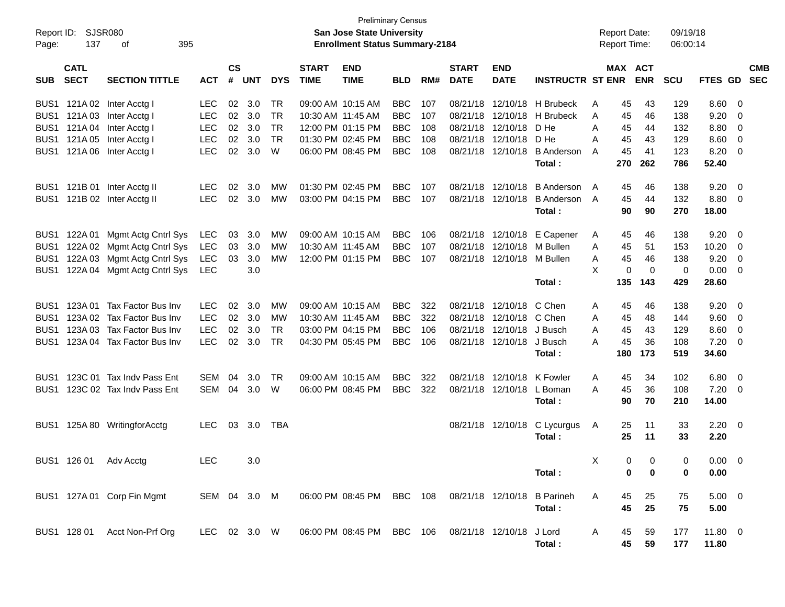|                  |                            |                              |              |                |            |            |                             | <b>Preliminary Census</b>                                          |            |     |                             |                            |                             |   |     |                                            |                      |             |                          |            |
|------------------|----------------------------|------------------------------|--------------|----------------|------------|------------|-----------------------------|--------------------------------------------------------------------|------------|-----|-----------------------------|----------------------------|-----------------------------|---|-----|--------------------------------------------|----------------------|-------------|--------------------------|------------|
| Page:            | Report ID: SJSR080<br>137  | 395<br>оf                    |              |                |            |            |                             | San Jose State University<br><b>Enrollment Status Summary-2184</b> |            |     |                             |                            |                             |   |     | <b>Report Date:</b><br><b>Report Time:</b> | 09/19/18<br>06:00:14 |             |                          |            |
| <b>SUB</b>       | <b>CATL</b><br><b>SECT</b> | <b>SECTION TITTLE</b>        | <b>ACT</b>   | <b>CS</b><br># | <b>UNT</b> | <b>DYS</b> | <b>START</b><br><b>TIME</b> | <b>END</b><br><b>TIME</b>                                          | BLD        | RM# | <b>START</b><br><b>DATE</b> | <b>END</b><br><b>DATE</b>  | <b>INSTRUCTR ST ENR</b>     |   |     | MAX ACT<br><b>ENR</b>                      | <b>SCU</b>           | FTES GD SEC |                          | <b>CMB</b> |
| BUS <sub>1</sub> |                            | 121A 02 Inter Acctg I        | <b>LEC</b>   | 02             | 3.0        | TR         |                             | 09:00 AM 10:15 AM                                                  | <b>BBC</b> | 107 |                             |                            | 08/21/18 12/10/18 H Brubeck | A | 45  | 43                                         | 129                  | 8.60        | - 0                      |            |
| BUS <sub>1</sub> |                            | 121A 03 Inter Acctg I        | <b>LEC</b>   |                | 02 3.0     | <b>TR</b>  |                             | 10:30 AM 11:45 AM                                                  | <b>BBC</b> | 107 |                             |                            | 08/21/18 12/10/18 H Brubeck | A | 45  | 46                                         | 138                  | $9.20 \ 0$  |                          |            |
| BUS <sub>1</sub> |                            | 121A 04 Inter Acctg I        | <b>LEC</b>   |                | 02 3.0     | <b>TR</b>  |                             | 12:00 PM 01:15 PM                                                  | <b>BBC</b> | 108 |                             | 08/21/18 12/10/18          | D He                        | A | 45  | 44                                         | 132                  | $8.80\ 0$   |                          |            |
| BUS <sub>1</sub> |                            | 121A 05 Inter Acctg I        | <b>LEC</b>   | 02             | 3.0        | <b>TR</b>  |                             | 01:30 PM 02:45 PM                                                  | <b>BBC</b> | 108 |                             | 08/21/18 12/10/18          | D He                        | А | 45  | 43                                         | 129                  | $8.60 \t 0$ |                          |            |
| BUS <sub>1</sub> |                            | 121A 06 Inter Acctg I        | <b>LEC</b>   | 02             | 3.0        | W          |                             | 06:00 PM 08:45 PM                                                  | <b>BBC</b> | 108 |                             | 08/21/18 12/10/18          | <b>B</b> Anderson           | A | 45  | 41                                         | 123                  | 8.20 0      |                          |            |
|                  |                            |                              |              |                |            |            |                             |                                                                    |            |     |                             |                            | Total:                      |   | 270 | 262                                        | 786                  | 52.40       |                          |            |
| BUS <sub>1</sub> |                            | 121B 01 Inter Acctg II       | LEC.         | 02             | 3.0        | MW         |                             | 01:30 PM 02:45 PM                                                  | <b>BBC</b> | 107 |                             | 08/21/18 12/10/18          | <b>B</b> Anderson           | A | 45  | 46                                         | 138                  | 9.20        | $\overline{\mathbf{0}}$  |            |
|                  |                            | BUS1 121B 02 Inter Acctg II  | <b>LEC</b>   | 02             | 3.0        | MW         |                             | 03:00 PM 04:15 PM                                                  | <b>BBC</b> | 107 |                             | 08/21/18 12/10/18          | <b>B</b> Anderson           | A | 45  | 44                                         | 132                  | 8.80 0      |                          |            |
|                  |                            |                              |              |                |            |            |                             |                                                                    |            |     |                             |                            | Total:                      |   | 90  | 90                                         | 270                  | 18.00       |                          |            |
| BUS <sub>1</sub> | 122A 01                    | Mgmt Actg Cntrl Sys          | LEC          | 03             | 3.0        | <b>MW</b>  |                             | 09:00 AM 10:15 AM                                                  | <b>BBC</b> | 106 |                             |                            | 08/21/18 12/10/18 E Capener | A | 45  | 46                                         | 138                  | 9.20        | - 0                      |            |
| BUS <sub>1</sub> |                            | 122A 02 Mgmt Actg Cntrl Sys  | <b>LEC</b>   | 03             | 3.0        | MW         | 10:30 AM 11:45 AM           |                                                                    | <b>BBC</b> | 107 |                             | 08/21/18 12/10/18 M Bullen |                             | A | 45  | 51                                         | 153                  | 10.20       | - 0                      |            |
| BUS <sub>1</sub> |                            | 122A 03 Mgmt Actg Cntrl Sys  | <b>LEC</b>   | 03             | 3.0        | MW         |                             | 12:00 PM 01:15 PM                                                  | <b>BBC</b> | 107 |                             | 08/21/18 12/10/18 M Bullen |                             | A | 45  | 46                                         | 138                  | 9.20        | $\overline{\mathbf{0}}$  |            |
| BUS1             |                            | 122A 04 Mgmt Actg Cntrl Sys  | <b>LEC</b>   |                | 3.0        |            |                             |                                                                    |            |     |                             |                            |                             | X | 0   | $\mathbf 0$                                | $\mathbf 0$          | $0.00 \t 0$ |                          |            |
|                  |                            |                              |              |                |            |            |                             |                                                                    |            |     |                             |                            | Total:                      |   | 135 | 143                                        | 429                  | 28.60       |                          |            |
| BUS <sub>1</sub> | 123A 01                    | Tax Factor Bus Inv           | <b>LEC</b>   | 02             | 3.0        | MW         |                             | 09:00 AM 10:15 AM                                                  | <b>BBC</b> | 322 |                             | 08/21/18 12/10/18          | C Chen                      | A | 45  | 46                                         | 138                  | 9.20        | $\overline{\phantom{0}}$ |            |
| BUS <sub>1</sub> |                            | 123A 02 Tax Factor Bus Inv   | <b>LEC</b>   | 02             | 3.0        | MW         | 10:30 AM 11:45 AM           |                                                                    | <b>BBC</b> | 322 |                             | 08/21/18 12/10/18 C Chen   |                             | A | 45  | 48                                         | 144                  | 9.60 0      |                          |            |
| BUS1             |                            | 123A 03 Tax Factor Bus Inv   | <b>LEC</b>   | 02             | 3.0        | <b>TR</b>  |                             | 03:00 PM 04:15 PM                                                  | <b>BBC</b> | 106 |                             | 08/21/18 12/10/18          | J Busch                     | A | 45  | 43                                         | 129                  | 8.60 0      |                          |            |
| BUS1             |                            | 123A 04 Tax Factor Bus Inv   | <b>LEC</b>   |                | 02 3.0     | <b>TR</b>  |                             | 04:30 PM 05:45 PM                                                  | <b>BBC</b> | 106 |                             | 08/21/18 12/10/18 J Busch  |                             | А | 45  | 36                                         | 108                  | $7.20 \t 0$ |                          |            |
|                  |                            |                              |              |                |            |            |                             |                                                                    |            |     |                             |                            | Total:                      |   | 180 | 173                                        | 519                  | 34.60       |                          |            |
| BUS <sub>1</sub> |                            | 123C 01 Tax Indy Pass Ent    | SEM          | 04             | 3.0        | TR         |                             | 09:00 AM 10:15 AM                                                  | <b>BBC</b> | 322 |                             | 08/21/18 12/10/18          | K Fowler                    | A | 45  | 34                                         | 102                  | 6.80        | $\overline{\phantom{0}}$ |            |
| BUS1             |                            | 123C 02 Tax Indv Pass Ent    | SEM          | 04             | 3.0        | W          |                             | 06:00 PM 08:45 PM                                                  | <b>BBC</b> | 322 |                             | 08/21/18 12/10/18 L Boman  |                             | A | 45  | 36                                         | 108                  | $7.20 \ 0$  |                          |            |
|                  |                            |                              |              |                |            |            |                             |                                                                    |            |     |                             |                            | Total:                      |   | 90  | 70                                         | 210                  | 14.00       |                          |            |
| BUS <sub>1</sub> |                            | 125A 80 WritingforAcctg      | LEC.         |                | 03 3.0     | TBA        |                             |                                                                    |            |     |                             | 08/21/18 12/10/18          | C Lycurgus                  | A | 25  | 11                                         | 33                   | $2.20 \t 0$ |                          |            |
|                  |                            |                              |              |                |            |            |                             |                                                                    |            |     |                             |                            | Total:                      |   | 25  | 11                                         | 33                   | 2.20        |                          |            |
|                  |                            | BUS1 126 01 Adv Acctg        | <b>LEC</b>   |                | 3.0        |            |                             |                                                                    |            |     |                             |                            |                             | X |     | $0\qquad 0$                                | $\mathbf 0$          | $0.00 \t 0$ |                          |            |
|                  |                            |                              |              |                |            |            |                             |                                                                    |            |     |                             |                            | Total:                      |   | 0   | $\bf{0}$                                   | 0                    | 0.00        |                          |            |
|                  |                            | BUS1 127A 01 Corp Fin Mgmt   | SEM 04 3.0 M |                |            |            |                             | 06:00 PM 08:45 PM BBC 108 08/21/18 12/10/18                        |            |     |                             |                            | <b>B</b> Parineh            | A | 45  | 25                                         | 75                   | $5.00 \t 0$ |                          |            |
|                  |                            |                              |              |                |            |            |                             |                                                                    |            |     |                             |                            | Total:                      |   | 45  | 25                                         | 75                   | 5.00        |                          |            |
|                  |                            |                              |              |                |            |            |                             |                                                                    |            |     |                             |                            |                             |   |     |                                            |                      |             |                          |            |
|                  |                            | BUS1 128 01 Acct Non-Prf Org | LEC 02 3.0 W |                |            |            |                             | 06:00 PM 08:45 PM BBC 106 08/21/18 12/10/18                        |            |     |                             |                            | J Lord                      | A | 45  | 59                                         | 177                  | 11.80 0     |                          |            |
|                  |                            |                              |              |                |            |            |                             |                                                                    |            |     |                             |                            | Total:                      |   | 45  | 59                                         | 177                  | 11.80       |                          |            |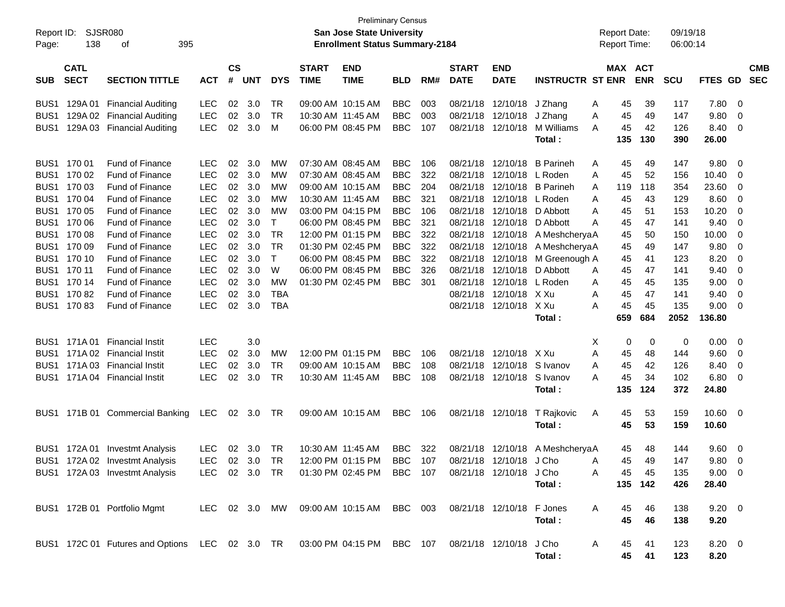| Report ID:<br>Page: | <b>SJSR080</b><br>138      | 395<br>оf                                                                                        |               |                |                |               |                             | <b>Preliminary Census</b><br>San Jose State University<br><b>Enrollment Status Summary-2184</b> |            |     |                             |                           |                                 |   | <b>Report Date:</b><br><b>Report Time:</b> |            | 09/19/18<br>06:00:14 |                 |                         |                          |
|---------------------|----------------------------|--------------------------------------------------------------------------------------------------|---------------|----------------|----------------|---------------|-----------------------------|-------------------------------------------------------------------------------------------------|------------|-----|-----------------------------|---------------------------|---------------------------------|---|--------------------------------------------|------------|----------------------|-----------------|-------------------------|--------------------------|
| <b>SUB</b>          | <b>CATL</b><br><b>SECT</b> | <b>SECTION TITTLE</b>                                                                            | <b>ACT</b>    | <b>CS</b><br># | <b>UNT</b>     | <b>DYS</b>    | <b>START</b><br><b>TIME</b> | <b>END</b><br><b>TIME</b>                                                                       | <b>BLD</b> | RM# | <b>START</b><br><b>DATE</b> | <b>END</b><br><b>DATE</b> | <b>INSTRUCTR ST ENR</b>         |   | <b>MAX ACT</b>                             | <b>ENR</b> | <b>SCU</b>           | FTES GD         |                         | <b>CMB</b><br><b>SEC</b> |
| BUS <sub>1</sub>    | 129A 01                    | <b>Financial Auditing</b>                                                                        | <b>LEC</b>    | 02             | 3.0            | TR            |                             | 09:00 AM 10:15 AM                                                                               | <b>BBC</b> | 003 |                             | 08/21/18 12/10/18 J Zhang |                                 | A | 45                                         | 39         | 117                  | 7.80            | - 0                     |                          |
| BUS <sub>1</sub>    |                            | 129A 02 Financial Auditing                                                                       | <b>LEC</b>    | 02             | 3.0            | <b>TR</b>     | 10:30 AM 11:45 AM           |                                                                                                 | <b>BBC</b> | 003 |                             | 08/21/18 12/10/18         | J Zhang                         | A | 45                                         | 49         | 147                  | 9.80            | - 0                     |                          |
| BUS <sub>1</sub>    |                            | 129A 03 Financial Auditing                                                                       | <b>LEC</b>    | 02             | 3.0            | M             |                             | 06:00 PM 08:45 PM                                                                               | <b>BBC</b> | 107 | 08/21/18                    | 12/10/18                  | M Williams                      | A | 45                                         | 42         | 126                  | 8.40            | $\overline{\mathbf{0}}$ |                          |
|                     |                            |                                                                                                  |               |                |                |               |                             |                                                                                                 |            |     |                             |                           | Total:                          |   | 135                                        | 130        | 390                  | 26.00           |                         |                          |
| BUS1                | 170 01                     | <b>Fund of Finance</b>                                                                           | <b>LEC</b>    | 02             | 3.0            | MW            |                             | 07:30 AM 08:45 AM                                                                               | <b>BBC</b> | 106 | 08/21/18                    | 12/10/18                  | <b>B</b> Parineh                | A | 45                                         | 49         | 147                  | 9.80            | - 0                     |                          |
| BUS1                | 170 02                     | <b>Fund of Finance</b>                                                                           | <b>LEC</b>    | 02             | 3.0            | MW            |                             | 07:30 AM 08:45 AM                                                                               | <b>BBC</b> | 322 | 08/21/18                    | 12/10/18                  | L Roden                         | A | 45                                         | 52         | 156                  | 10.40           | 0                       |                          |
| BUS <sub>1</sub>    | 170 03                     | <b>Fund of Finance</b>                                                                           | <b>LEC</b>    | 02             | 3.0            | МW            |                             | 09:00 AM 10:15 AM                                                                               | <b>BBC</b> | 204 | 08/21/18                    | 12/10/18                  | <b>B</b> Parineh                | A | 119                                        | 118        | 354                  | 23.60           | - 0                     |                          |
| BUS <sub>1</sub>    | 170 04                     | <b>Fund of Finance</b>                                                                           | <b>LEC</b>    | 02             | 3.0            | МW            | 10:30 AM 11:45 AM           |                                                                                                 | <b>BBC</b> | 321 | 08/21/18                    | 12/10/18                  | L Roden                         | A | 45                                         | 43         | 129                  | 8.60            | - 0                     |                          |
| BUS <sub>1</sub>    | 170 05                     | <b>Fund of Finance</b>                                                                           | <b>LEC</b>    | 02             | 3.0            | MW            |                             | 03:00 PM 04:15 PM                                                                               | <b>BBC</b> | 106 | 08/21/18                    | 12/10/18                  | D Abbott                        | A | 45                                         | 51         | 153                  | 10.20           | 0                       |                          |
| BUS <sub>1</sub>    | 170 06                     | <b>Fund of Finance</b>                                                                           | <b>LEC</b>    | 02             | 3.0            | $\mathsf{T}$  |                             | 06:00 PM 08:45 PM                                                                               | <b>BBC</b> | 321 | 08/21/18                    | 12/10/18                  | D Abbott                        | A | 45                                         | 47         | 141                  | 9.40            | 0                       |                          |
| BUS <sub>1</sub>    | 170 08                     | <b>Fund of Finance</b>                                                                           | <b>LEC</b>    | 02             | 3.0            | <b>TR</b>     |                             | 12:00 PM 01:15 PM                                                                               | <b>BBC</b> | 322 | 08/21/18                    | 12/10/18                  | A MeshcheryaA                   |   | 45                                         | 50         | 150                  | 10.00           | 0                       |                          |
| BUS <sub>1</sub>    | 170 09                     | <b>Fund of Finance</b>                                                                           | <b>LEC</b>    | 02             | 3.0            | <b>TR</b>     |                             | 01:30 PM 02:45 PM                                                                               | <b>BBC</b> | 322 | 08/21/18                    |                           | 12/10/18 A MeshcheryaA          |   | 45                                         | 49         | 147                  | 9.80            | 0                       |                          |
| BUS <sub>1</sub>    | 170 10                     | <b>Fund of Finance</b>                                                                           | <b>LEC</b>    | 02             | 3.0            | $\mathsf{T}$  |                             | 06:00 PM 08:45 PM                                                                               | <b>BBC</b> | 322 | 08/21/18                    | 12/10/18                  | M Greenough A                   |   | 45                                         | 41         | 123                  | 8.20            | 0                       |                          |
| BUS <sub>1</sub>    | 170 11                     | <b>Fund of Finance</b>                                                                           | <b>LEC</b>    | 02             | 3.0            | W             |                             | 06:00 PM 08:45 PM                                                                               | <b>BBC</b> | 326 | 08/21/18                    | 12/10/18                  | D Abbott                        | A | 45                                         | 47         | 141                  | 9.40            | 0                       |                          |
| BUS <sub>1</sub>    | 170 14                     | <b>Fund of Finance</b>                                                                           | <b>LEC</b>    | 02             | 3.0            | MW            |                             | 01:30 PM 02:45 PM                                                                               | <b>BBC</b> | 301 | 08/21/18                    | 12/10/18                  | L Roden                         | A | 45                                         | 45         | 135                  | 9.00            | 0                       |                          |
| BUS <sub>1</sub>    | 17082                      | <b>Fund of Finance</b>                                                                           | <b>LEC</b>    | 02             | 3.0            | TBA           |                             |                                                                                                 |            |     | 08/21/18                    | 12/10/18 X Xu             |                                 | A | 45                                         | 47         | 141                  | 9.40            | 0                       |                          |
|                     | BUS1 17083                 | <b>Fund of Finance</b>                                                                           | <b>LEC</b>    | 02             | 3.0            | TBA           |                             |                                                                                                 |            |     |                             | 08/21/18 12/10/18 X Xu    |                                 | А | 45                                         | 45         | 135                  | 9.00            | - 0                     |                          |
|                     |                            |                                                                                                  |               |                |                |               |                             |                                                                                                 |            |     |                             |                           | Total:                          |   | 659                                        | 684        | 2052                 | 136.80          |                         |                          |
| BUS <sub>1</sub>    | 171A 01                    | <b>Financial Instit</b>                                                                          | <b>LEC</b>    |                | 3.0            |               |                             |                                                                                                 |            |     |                             |                           |                                 | X | 0                                          | 0          | 0                    | 0.00            | - 0                     |                          |
| BUS <sub>1</sub>    |                            | 171A 02 Financial Instit                                                                         | <b>LEC</b>    | 02             | 3.0            | MW            |                             | 12:00 PM 01:15 PM                                                                               | <b>BBC</b> | 106 |                             | 08/21/18 12/10/18 X Xu    |                                 | Α | 45                                         | 48         | 144                  | 9.60            | - 0                     |                          |
| BUS <sub>1</sub>    |                            | 171A 03 Financial Instit                                                                         | <b>LEC</b>    | 02             | 3.0            | <b>TR</b>     |                             | 09:00 AM 10:15 AM                                                                               | <b>BBC</b> | 108 |                             | 08/21/18 12/10/18         | S Ivanov                        | A | 45                                         | 42         | 126                  | 8.40            | $\overline{\mathbf{0}}$ |                          |
| BUS1                |                            | 171A 04 Financial Instit                                                                         | <b>LEC</b>    | 02             | 3.0            | <b>TR</b>     | 10:30 AM 11:45 AM           |                                                                                                 | <b>BBC</b> | 108 |                             | 08/21/18 12/10/18         | S Ivanov                        | A | 45                                         | 34         | 102                  | 6.80            | $\overline{\mathbf{0}}$ |                          |
|                     |                            |                                                                                                  |               |                |                |               |                             |                                                                                                 |            |     |                             |                           | Total:                          |   | 135                                        | 124        | 372                  | 24.80           |                         |                          |
|                     |                            | BUS1 171B 01 Commercial Banking                                                                  | LEC.          |                | 02 3.0         | TR            |                             | 09:00 AM 10:15 AM                                                                               | <b>BBC</b> | 106 |                             | 08/21/18 12/10/18         | T Rajkovic                      | A | 45                                         | 53         | 159                  | $10.60 \quad 0$ |                         |                          |
|                     |                            |                                                                                                  |               |                |                |               |                             |                                                                                                 |            |     |                             |                           | Total:                          |   | 45                                         | 53         | 159                  | 10.60           |                         |                          |
|                     |                            | BUS1 172A 01 Investmt Analysis                                                                   | <b>LEC</b>    |                | $02 \quad 3.0$ | TR            | 10:30 AM 11:45 AM           |                                                                                                 | <b>BBC</b> | 322 |                             |                           | 08/21/18 12/10/18 A MeshcheryaA |   | 45                                         | 48         | 144                  | 9.60            | - 0                     |                          |
|                     |                            | BUS1 172A 02 Investmt Analysis                                                                   | LEC 02 3.0 TR |                |                |               |                             | 12:00 PM 01:15 PM BBC 107                                                                       |            |     |                             | 08/21/18 12/10/18 J Cho   |                                 |   | 45                                         | 49         | 147                  | $9.80\ 0$       |                         |                          |
|                     |                            | BUS1 172A 03 Investmt Analysis                                                                   |               |                |                | LEC 02 3.0 TR |                             | 01:30 PM 02:45 PM BBC 107                                                                       |            |     |                             | 08/21/18 12/10/18 J Cho   |                                 | A | 45                                         | -45        | 135                  | $9.00 \t 0$     |                         |                          |
|                     |                            |                                                                                                  |               |                |                |               |                             |                                                                                                 |            |     |                             |                           | Total:                          |   |                                            | 135 142    | 426                  | 28.40           |                         |                          |
|                     |                            | BUS1 172B 01 Portfolio Mgmt                                                                      |               |                |                |               |                             | LEC 02 3.0 MW 09:00 AM 10:15 AM BBC 003 08/21/18 12/10/18 F Jones                               |            |     |                             |                           |                                 | A | 45                                         | 46         | 138                  | $9.20 \ 0$      |                         |                          |
|                     |                            |                                                                                                  |               |                |                |               |                             |                                                                                                 |            |     |                             |                           | Total :                         |   | 45                                         | 46         | 138                  | 9.20            |                         |                          |
|                     |                            | BUS1 172C 01 Futures and Options LEC 02 3.0 TR 03:00 PM 04:15 PM BBC 107 08/21/18 12/10/18 J Cho |               |                |                |               |                             |                                                                                                 |            |     |                             |                           |                                 | A | 45                                         | 41         | 123                  | $8.20 \ 0$      |                         |                          |
|                     |                            |                                                                                                  |               |                |                |               |                             |                                                                                                 |            |     |                             |                           | Total:                          |   | 45                                         | 41         | 123                  | 8.20            |                         |                          |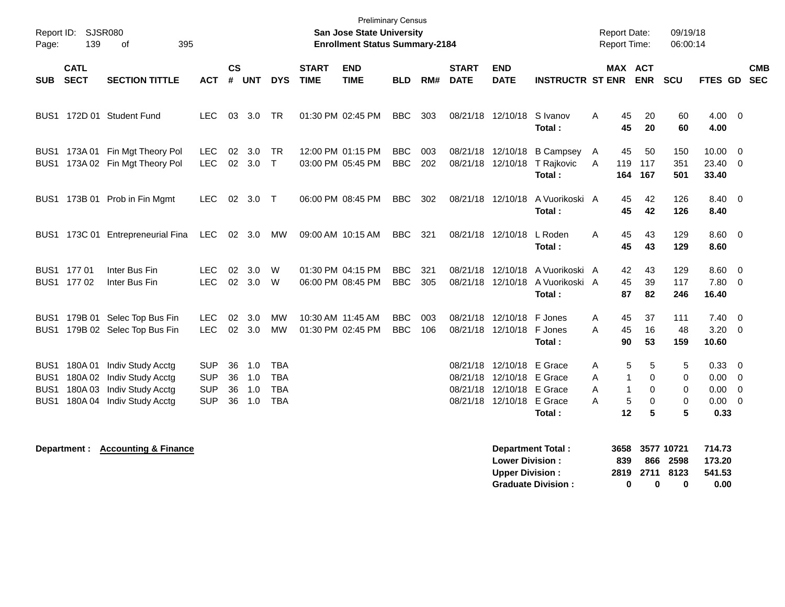| Page:                                                | Report ID: SJSR080<br>139  | 395<br>of                                                                                                        |                                                      |                      |                          |                                                      |                             | <b>Preliminary Census</b><br>San Jose State University<br><b>Enrollment Status Summary-2184</b> |                          |            |                             |                                                                                        |                                                                                |                   | <b>Report Date:</b><br><b>Report Time:</b>   |                                 | 09/19/18<br>06:00:14            |                                                          |                         |            |
|------------------------------------------------------|----------------------------|------------------------------------------------------------------------------------------------------------------|------------------------------------------------------|----------------------|--------------------------|------------------------------------------------------|-----------------------------|-------------------------------------------------------------------------------------------------|--------------------------|------------|-----------------------------|----------------------------------------------------------------------------------------|--------------------------------------------------------------------------------|-------------------|----------------------------------------------|---------------------------------|---------------------------------|----------------------------------------------------------|-------------------------|------------|
| SUB                                                  | <b>CATL</b><br><b>SECT</b> | <b>SECTION TITTLE</b>                                                                                            | <b>ACT</b>                                           | <b>CS</b><br>#       | <b>UNT</b>               | <b>DYS</b>                                           | <b>START</b><br><b>TIME</b> | <b>END</b><br><b>TIME</b>                                                                       | <b>BLD</b>               | RM#        | <b>START</b><br><b>DATE</b> | <b>END</b><br><b>DATE</b>                                                              | <b>INSTRUCTR ST ENR</b>                                                        |                   | <b>MAX ACT</b>                               | <b>ENR</b>                      | <b>SCU</b>                      | FTES GD SEC                                              |                         | <b>CMB</b> |
|                                                      |                            | BUS1 172D 01 Student Fund                                                                                        | LEC.                                                 |                      | 03 3.0                   | <b>TR</b>                                            |                             | 01:30 PM 02:45 PM                                                                               | <b>BBC</b>               | 303        |                             | 08/21/18 12/10/18 S Ivanov                                                             | Total:                                                                         | A                 | 45<br>45                                     | 20<br>20                        | 60<br>60                        | $4.00 \ 0$<br>4.00                                       |                         |            |
|                                                      |                            | BUS1 173A 01 Fin Mgt Theory Pol<br>BUS1 173A 02 Fin Mgt Theory Pol                                               | LEC.<br><b>LEC</b>                                   | 02                   | 3.0<br>02 3.0            | <b>TR</b><br>$\top$                                  |                             | 12:00 PM 01:15 PM<br>03:00 PM 05:45 PM                                                          | <b>BBC</b><br><b>BBC</b> | 003<br>202 |                             | 08/21/18 12/10/18<br>08/21/18 12/10/18                                                 | <b>B Campsey</b><br>T Rajkovic<br>Total:                                       | $\mathsf{A}$<br>A | 45<br>119<br>164                             | 50<br>117<br>167                | 150<br>351<br>501               | $10.00 \t 0$<br>23.40 0<br>33.40                         |                         |            |
|                                                      |                            | BUS1 173B 01 Prob in Fin Mgmt                                                                                    | LEC.                                                 |                      | 02 3.0 T                 |                                                      |                             | 06:00 PM 08:45 PM                                                                               | <b>BBC</b>               | 302        |                             | 08/21/18 12/10/18                                                                      | A Vuorikoski A<br>Total:                                                       |                   | 45<br>45                                     | 42<br>42                        | 126<br>126                      | 8.40 0<br>8.40                                           |                         |            |
|                                                      |                            | BUS1 173C 01 Entrepreneurial Fina                                                                                | LEC                                                  |                      | 02 3.0                   | MW                                                   |                             | 09:00 AM 10:15 AM                                                                               | BBC.                     | 321        |                             | 08/21/18 12/10/18                                                                      | L Roden<br>Total:                                                              | A                 | 45<br>45                                     | 43<br>43                        | 129<br>129                      | $8.60 \quad 0$<br>8.60                                   |                         |            |
|                                                      | BUS1 177 01<br>BUS1 177 02 | Inter Bus Fin<br>Inter Bus Fin                                                                                   | LEC.<br><b>LEC</b>                                   | 02                   | 3.0<br>02 3.0 W          | W                                                    |                             | 01:30 PM 04:15 PM<br>06:00 PM 08:45 PM                                                          | <b>BBC</b><br><b>BBC</b> | 321<br>305 |                             |                                                                                        | 08/21/18 12/10/18 A Vuorikoski A<br>08/21/18 12/10/18 A Vuorikoski A<br>Total: |                   | 42<br>45<br>87                               | 43<br>39<br>82                  | 129<br>117<br>246               | $8.60 \quad 0$<br>7.80 0<br>16.40                        |                         |            |
| BUS1                                                 |                            | 179B 01 Selec Top Bus Fin<br>BUS1 179B 02 Selec Top Bus Fin                                                      | <b>LEC</b><br><b>LEC</b>                             | 02                   | 3.0<br>02 3.0            | MW<br><b>MW</b>                                      |                             | 10:30 AM 11:45 AM<br>01:30 PM 02:45 PM                                                          | <b>BBC</b><br><b>BBC</b> | 003<br>106 | 08/21/18                    | 12/10/18<br>08/21/18 12/10/18 F Jones                                                  | F Jones<br>Total:                                                              | Α<br>A            | 45<br>45<br>90                               | 37<br>16<br>53                  | 111<br>48<br>159                | $7.40 \quad 0$<br>$3.20 \ 0$<br>10.60                    |                         |            |
| BUS <sub>1</sub><br>BUS <sub>1</sub><br>BUS1<br>BUS1 |                            | 180A 01 Indiv Study Acctg<br>180A 02 Indiv Study Acctg<br>180A 03 Indiv Study Acctg<br>180A 04 Indiv Study Acctg | <b>SUP</b><br><b>SUP</b><br><b>SUP</b><br><b>SUP</b> | 36<br>36<br>36<br>36 | 1.0<br>1.0<br>1.0<br>1.0 | <b>TBA</b><br><b>TBA</b><br><b>TBA</b><br><b>TBA</b> |                             |                                                                                                 |                          |            | 08/21/18<br>08/21/18        | 12/10/18<br>12/10/18 E Grace<br>08/21/18 12/10/18 E Grace<br>08/21/18 12/10/18 E Grace | E Grace<br>Total :                                                             | A<br>A<br>A<br>A  | 5<br>$\mathbf{1}$<br>$\mathbf{1}$<br>5<br>12 | 5<br>0<br>0<br>$\mathbf 0$<br>5 | 5<br>0<br>0<br>$\mathbf 0$<br>5 | $0.33 \ 0$<br>0.00<br>$0.00 \t 0$<br>$0.00 \t 0$<br>0.33 | $\overline{\mathbf{0}}$ |            |
|                                                      | Department :               | <b>Accounting &amp; Finance</b>                                                                                  |                                                      |                      |                          |                                                      |                             |                                                                                                 |                          |            |                             | <b>Lower Division:</b><br><b>Upper Division:</b>                                       | <b>Department Total:</b>                                                       |                   | 3658<br>839<br>2819                          | 866<br>2711                     | 3577 10721<br>2598<br>8123      | 714.73<br>173.20<br>541.53                               |                         |            |

**Graduate Division : 0 0 0 0.00**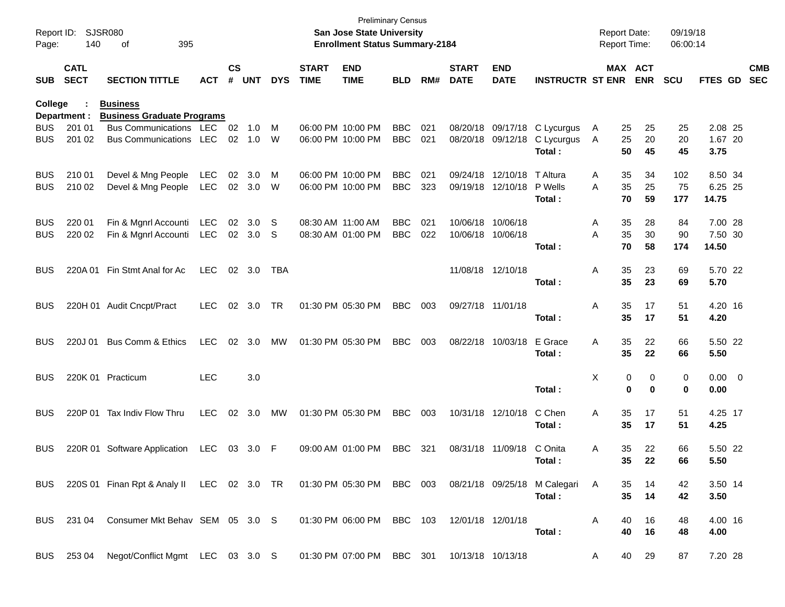| Report ID:<br>Page: | 140                        | SJSR080<br>395<br>оf                                                     |            |                    |                |            |                             | <b>San Jose State University</b><br><b>Enrollment Status Summary-2184</b> | <b>Preliminary Census</b> |         |                             |                           |                              | <b>Report Date:</b><br>Report Time: |    |                       | 09/19/18<br>06:00:14 |                |                          |
|---------------------|----------------------------|--------------------------------------------------------------------------|------------|--------------------|----------------|------------|-----------------------------|---------------------------------------------------------------------------|---------------------------|---------|-----------------------------|---------------------------|------------------------------|-------------------------------------|----|-----------------------|----------------------|----------------|--------------------------|
| <b>SUB</b>          | <b>CATL</b><br><b>SECT</b> | <b>SECTION TITTLE</b>                                                    | <b>ACT</b> | $\mathsf{cs}$<br># | <b>UNT</b>     | <b>DYS</b> | <b>START</b><br><b>TIME</b> | <b>END</b><br><b>TIME</b>                                                 | <b>BLD</b>                | RM#     | <b>START</b><br><b>DATE</b> | <b>END</b><br><b>DATE</b> | <b>INSTRUCTR ST ENR</b>      |                                     |    | MAX ACT<br><b>ENR</b> | <b>SCU</b>           | <b>FTES GD</b> | <b>CMB</b><br><b>SEC</b> |
| <b>College</b>      | Department :               | <b>Business</b><br><b>Business Graduate Programs</b>                     |            |                    |                |            |                             |                                                                           |                           |         |                             |                           |                              |                                     |    |                       |                      |                |                          |
| <b>BUS</b>          | 201 01                     | Bus Communications LEC                                                   |            | 02                 | 1.0            | M          |                             | 06:00 PM 10:00 PM                                                         | <b>BBC</b>                | 021     |                             | 08/20/18 09/17/18         | C Lycurgus                   | A                                   | 25 | 25                    | 25                   | 2.08 25        |                          |
| <b>BUS</b>          | 201 02                     | <b>Bus Communications</b>                                                | LEC        | 02                 | 1.0            | W          |                             | 06:00 PM 10:00 PM                                                         | <b>BBC</b>                | 021     |                             | 08/20/18 09/12/18         | C Lycurgus                   | A                                   | 25 | 20                    | 20                   | 1.67 20        |                          |
|                     |                            |                                                                          |            |                    |                |            |                             |                                                                           |                           |         |                             |                           | Total:                       |                                     | 50 | 45                    | 45                   | 3.75           |                          |
| <b>BUS</b>          | 210 01                     | Devel & Mng People                                                       | LEC        | 02                 | 3.0            | M          |                             | 06:00 PM 10:00 PM                                                         | <b>BBC</b>                | 021     | 09/24/18                    | 12/10/18                  | T Altura                     | Α                                   | 35 | 34                    | 102                  | 8.50 34        |                          |
| <b>BUS</b>          | 210 02                     | Devel & Mng People                                                       | LEC        |                    | 02 3.0         | W          |                             | 06:00 PM 10:00 PM                                                         | <b>BBC</b>                | 323     |                             | 09/19/18 12/10/18         | P Wells                      | A                                   | 35 | 25                    | 75                   | 6.25 25        |                          |
|                     |                            |                                                                          |            |                    |                |            |                             |                                                                           |                           |         |                             |                           | Total:                       |                                     | 70 | 59                    | 177                  | 14.75          |                          |
| <b>BUS</b>          | 220 01                     | Fin & Mgnrl Accounti                                                     | LEC        | 02                 | 3.0            | S          |                             | 08:30 AM 11:00 AM                                                         | <b>BBC</b>                | 021     | 10/06/18                    | 10/06/18                  |                              | Α                                   | 35 | 28                    | 84                   | 7.00 28        |                          |
| <b>BUS</b>          | 220 02                     | Fin & Mgnrl Accounti                                                     | LEC        |                    | 02 3.0         | S          |                             | 08:30 AM 01:00 PM                                                         | <b>BBC</b>                | 022     |                             | 10/06/18 10/06/18         |                              | A                                   | 35 | 30                    | 90                   | 7.50 30        |                          |
|                     |                            |                                                                          |            |                    |                |            |                             |                                                                           |                           |         |                             |                           | Total:                       |                                     | 70 | 58                    | 174                  | 14.50          |                          |
| <b>BUS</b>          | 220A 01                    | Fin Stmt Anal for Ac                                                     | <b>LEC</b> |                    | $02 \quad 3.0$ | TBA        |                             |                                                                           |                           |         |                             | 11/08/18 12/10/18         |                              | Α                                   | 35 | 23                    | 69                   | 5.70 22        |                          |
|                     |                            |                                                                          |            |                    |                |            |                             |                                                                           |                           |         |                             |                           | Total:                       |                                     | 35 | 23                    | 69                   | 5.70           |                          |
| <b>BUS</b>          |                            | 220H 01 Audit Cncpt/Pract                                                | <b>LEC</b> | 02                 | 3.0            | <b>TR</b>  |                             | 01:30 PM 05:30 PM                                                         | <b>BBC</b>                | 003     | 09/27/18 11/01/18           |                           |                              | Α                                   | 35 | 17                    | 51                   | 4.20 16        |                          |
|                     |                            |                                                                          |            |                    |                |            |                             |                                                                           |                           |         |                             |                           | Total:                       |                                     | 35 | 17                    | 51                   | 4.20           |                          |
| <b>BUS</b>          | 220J 01                    | Bus Comm & Ethics                                                        | LEC        | 02                 | 3.0            | MW         |                             | 01:30 PM 05:30 PM                                                         | <b>BBC</b>                | 003     |                             | 08/22/18 10/03/18         | E Grace                      | Α                                   | 35 | 22                    | 66                   | 5.50 22        |                          |
|                     |                            |                                                                          |            |                    |                |            |                             |                                                                           |                           |         |                             |                           | Total:                       |                                     | 35 | 22                    | 66                   | 5.50           |                          |
| <b>BUS</b>          |                            | 220K 01 Practicum                                                        | <b>LEC</b> |                    | 3.0            |            |                             |                                                                           |                           |         |                             |                           |                              | Χ                                   | 0  | 0                     | 0                    | $0.00 \t 0$    |                          |
|                     |                            |                                                                          |            |                    |                |            |                             |                                                                           |                           |         |                             |                           | Total:                       |                                     | 0  | 0                     | 0                    | 0.00           |                          |
| <b>BUS</b>          |                            | 220P 01 Tax Indiv Flow Thru                                              | <b>LEC</b> | 02                 | 3.0            | МW         |                             | 01:30 PM 05:30 PM                                                         | <b>BBC</b>                | 003     |                             | 10/31/18 12/10/18         | C Chen                       | Α                                   | 35 | 17                    | 51                   | 4.25 17        |                          |
|                     |                            |                                                                          |            |                    |                |            |                             |                                                                           |                           |         |                             |                           | Total:                       |                                     | 35 | 17                    | 51                   | 4.25           |                          |
| <b>BUS</b>          |                            | 220R 01 Software Application                                             | LEC        |                    | 03 3.0         | - F        |                             | 09:00 AM 01:00 PM                                                         | <b>BBC</b>                | 321     |                             | 08/31/18 11/09/18         | C Onita                      | Α                                   | 35 | 22                    | 66                   | 5.50 22        |                          |
|                     |                            |                                                                          |            |                    |                |            |                             |                                                                           |                           |         |                             |                           | Total :                      |                                     | 35 | 22                    | 66                   | 5.50           |                          |
|                     |                            | BUS 220S 01 Finan Rpt & Analy II LEC 02 3.0 TR 01:30 PM 05:30 PM BBC 003 |            |                    |                |            |                             |                                                                           |                           |         |                             |                           | 08/21/18 09/25/18 M Calegari | A                                   | 35 | 14                    | 42                   | 3.50 14        |                          |
|                     |                            |                                                                          |            |                    |                |            |                             |                                                                           |                           |         |                             |                           | Total:                       |                                     | 35 | 14                    | 42                   | 3.50           |                          |
| BUS                 | 231 04                     | Consumer Mkt Behav SEM 05 3.0 S                                          |            |                    |                |            |                             | 01:30 PM 06:00 PM                                                         | BBC 103                   |         | 12/01/18 12/01/18           |                           |                              | A                                   | 40 | 16                    | 48                   | 4.00 16        |                          |
|                     |                            |                                                                          |            |                    |                |            |                             |                                                                           |                           |         |                             |                           | Total:                       |                                     | 40 | 16                    | 48                   | 4.00           |                          |
| <b>BUS</b>          | 253 04                     | Negot/Conflict Mgmt LEC 03 3.0 S                                         |            |                    |                |            |                             | 01:30 PM 07:00 PM                                                         |                           | BBC 301 | 10/13/18 10/13/18           |                           |                              | A                                   | 40 | 29                    | 87                   | 7.20 28        |                          |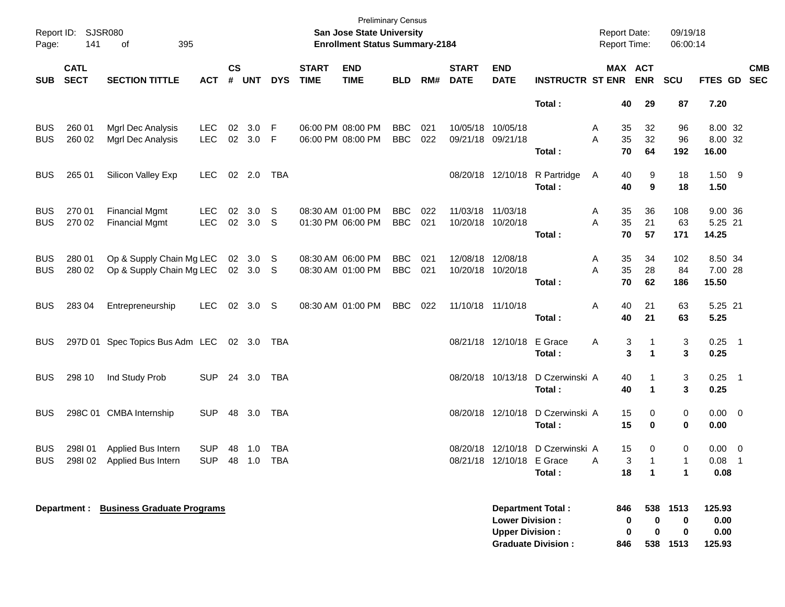| Report ID: SJSR080<br>Page: |                            |                                                |                          |                |                | <b>Preliminary Census</b><br><b>San Jose State University</b><br><b>Enrollment Status Summary-2184</b> |                             |                                        |                          |            |                             | <b>Report Date:</b>                              | Report Time:                            | 09/19/18<br>06:00:14 |                                |                                        |                        |                            |            |
|-----------------------------|----------------------------|------------------------------------------------|--------------------------|----------------|----------------|--------------------------------------------------------------------------------------------------------|-----------------------------|----------------------------------------|--------------------------|------------|-----------------------------|--------------------------------------------------|-----------------------------------------|----------------------|--------------------------------|----------------------------------------|------------------------|----------------------------|------------|
| <b>SUB</b>                  | <b>CATL</b><br><b>SECT</b> | <b>SECTION TITTLE</b>                          | <b>ACT</b>               | <b>CS</b><br># | UNT            | <b>DYS</b>                                                                                             | <b>START</b><br><b>TIME</b> | <b>END</b><br><b>TIME</b>              | <b>BLD</b>               | RM#        | <b>START</b><br><b>DATE</b> | <b>END</b><br><b>DATE</b>                        | <b>INSTRUCTR ST ENR</b>                 |                      | MAX ACT<br><b>ENR</b>          | <b>SCU</b>                             | FTES GD SEC            |                            | <b>CMB</b> |
|                             |                            |                                                |                          |                |                |                                                                                                        |                             |                                        |                          |            |                             |                                                  | Total:                                  |                      | 40<br>29                       | 87                                     | 7.20                   |                            |            |
| <b>BUS</b>                  | 260 01                     | Mgrl Dec Analysis                              | <b>LEC</b>               | 02             | 3.0            | F                                                                                                      |                             | 06:00 PM 08:00 PM                      | <b>BBC</b>               | 021        |                             | 10/05/18 10/05/18                                |                                         | Α                    | 35<br>32                       | 96                                     | 8.00 32                |                            |            |
| <b>BUS</b>                  | 260 02                     | Mgrl Dec Analysis                              | <b>LEC</b>               | 02             | 3.0            | $\vert \mathsf{F} \vert$                                                                               |                             | 06:00 PM 08:00 PM                      | <b>BBC</b>               | 022        | 09/21/18 09/21/18           |                                                  | Total:                                  | A                    | 35<br>32<br>70<br>64           | 96<br>192                              | 8.00 32<br>16.00       |                            |            |
|                             |                            |                                                |                          |                |                |                                                                                                        |                             |                                        |                          |            |                             |                                                  |                                         |                      |                                |                                        |                        |                            |            |
| <b>BUS</b>                  | 265 01                     | Silicon Valley Exp                             | LEC.                     |                | $02 \quad 2.0$ | TBA                                                                                                    |                             |                                        |                          |            |                             |                                                  | 08/20/18 12/10/18 R Partridge<br>Total: | Α                    | 9<br>40<br>40<br>9             | 18<br>18                               | $1.50$ 9<br>1.50       |                            |            |
|                             |                            |                                                |                          |                |                |                                                                                                        |                             |                                        |                          |            |                             |                                                  |                                         |                      |                                |                                        |                        |                            |            |
| <b>BUS</b><br><b>BUS</b>    | 270 01<br>270 02           | <b>Financial Mgmt</b><br><b>Financial Mgmt</b> | <b>LEC</b><br><b>LEC</b> | 02<br>02       | 3.0<br>3.0     | S<br>S                                                                                                 |                             | 08:30 AM 01:00 PM<br>01:30 PM 06:00 PM | <b>BBC</b><br><b>BBC</b> | 022<br>021 | 11/03/18 11/03/18           | 10/20/18 10/20/18                                |                                         | Α<br>A               | 35<br>36<br>35<br>21           | 108<br>63                              | 9.00 36<br>5.25 21     |                            |            |
|                             |                            |                                                |                          |                |                |                                                                                                        |                             |                                        |                          |            |                             |                                                  | Total:                                  |                      | 70<br>57                       | 171                                    | 14.25                  |                            |            |
| <b>BUS</b>                  | 280 01                     | Op & Supply Chain Mg LEC                       |                          |                | 02 3.0 S       |                                                                                                        |                             | 08:30 AM 06:00 PM                      | <b>BBC</b>               | 021        |                             | 12/08/18 12/08/18                                |                                         | Α                    | 35<br>34                       | 102                                    | 8.50 34                |                            |            |
| <b>BUS</b>                  | 280 02                     | Op & Supply Chain Mg LEC                       |                          |                | 02 3.0 S       |                                                                                                        |                             | 08:30 AM 01:00 PM                      | <b>BBC</b>               | 021        | 10/20/18 10/20/18           |                                                  |                                         | A                    | 35<br>28                       | 84                                     | 7.00 28                |                            |            |
|                             |                            |                                                |                          |                |                |                                                                                                        |                             |                                        |                          |            |                             |                                                  | Total:                                  |                      | 70<br>62                       | 186                                    | 15.50                  |                            |            |
| <b>BUS</b>                  | 283 04                     | Entrepreneurship                               | <b>LEC</b>               | 02             | 3.0            | S                                                                                                      |                             | 08:30 AM 01:00 PM                      | <b>BBC</b>               | 022        | 11/10/18 11/10/18           |                                                  |                                         | Α                    | 40<br>21                       | 63                                     | 5.25 21                |                            |            |
|                             |                            |                                                |                          |                |                |                                                                                                        |                             |                                        |                          |            |                             |                                                  | Total:                                  |                      | 40<br>21                       | 63                                     | 5.25                   |                            |            |
| <b>BUS</b>                  |                            | 297D 01 Spec Topics Bus Adm LEC                |                          |                | 02 3.0         | TBA                                                                                                    |                             |                                        |                          |            |                             | 08/21/18 12/10/18                                | E Grace                                 | Α                    | 3<br>$\mathbf{1}$              | 3                                      | 0.25                   | $\overline{\phantom{0}}$ 1 |            |
|                             |                            |                                                |                          |                |                |                                                                                                        |                             |                                        |                          |            |                             |                                                  | Total:                                  |                      | 3<br>$\blacktriangleleft$      | 3                                      | 0.25                   |                            |            |
| <b>BUS</b>                  | 298 10                     | Ind Study Prob                                 | <b>SUP</b>               | 24             | 3.0            | TBA                                                                                                    |                             |                                        |                          |            |                             | 08/20/18 10/13/18                                | D Czerwinski A                          |                      | 40<br>1                        | 3                                      | 0.25                   | $\overline{\phantom{1}}$   |            |
|                             |                            |                                                |                          |                |                |                                                                                                        |                             |                                        |                          |            |                             |                                                  | Total:                                  |                      | 40<br>$\mathbf{1}$             | 3                                      | 0.25                   |                            |            |
| <b>BUS</b>                  |                            | 298C 01 CMBA Internship                        | <b>SUP</b>               | 48             | 3.0            | TBA                                                                                                    |                             |                                        |                          |            |                             | 08/20/18 12/10/18                                | D Czerwinski A                          |                      | 0<br>15                        | 0                                      | $0.00 \quad 0$         |                            |            |
|                             |                            |                                                |                          |                |                |                                                                                                        |                             |                                        |                          |            |                             |                                                  | Total:                                  |                      | 15<br>$\bf{0}$                 | $\mathbf 0$                            | 0.00                   |                            |            |
| <b>BUS</b>                  | 298I01                     | Applied Bus Intern                             | <b>SUP</b>               | 48             | 1.0            | <b>TBA</b>                                                                                             |                             |                                        |                          |            | 08/20/18                    | 12/10/18                                         | D Czerwinski A                          |                      | 15<br>0                        | $\mathbf 0$                            | 0.00                   | $\overline{\phantom{0}}$   |            |
| <b>BUS</b>                  | 298102                     | Applied Bus Intern                             | <b>SUP</b>               | 48             | 1.0            | <b>TBA</b>                                                                                             |                             |                                        |                          |            |                             | 08/21/18 12/10/18                                | E Grace                                 | A                    | 3<br>$\mathbf{1}$              | 1                                      | $0.08$ 1               |                            |            |
|                             |                            |                                                |                          |                |                |                                                                                                        |                             |                                        |                          |            |                             |                                                  | Total:                                  |                      | 18<br>1                        | 1                                      | 0.08                   |                            |            |
|                             | Department :               | <b>Business Graduate Programs</b>              |                          |                |                |                                                                                                        |                             |                                        |                          |            |                             | <b>Lower Division:</b><br><b>Upper Division:</b> | <b>Department Total:</b>                | 846                  | 538<br>$\mathbf 0$<br>$\bf{0}$ | 1513<br>0<br>0<br>$\bf{0}$<br>$\bf{0}$ | 125.93<br>0.00<br>0.00 |                            |            |

**Graduate Division : 846 538 1513 125.93**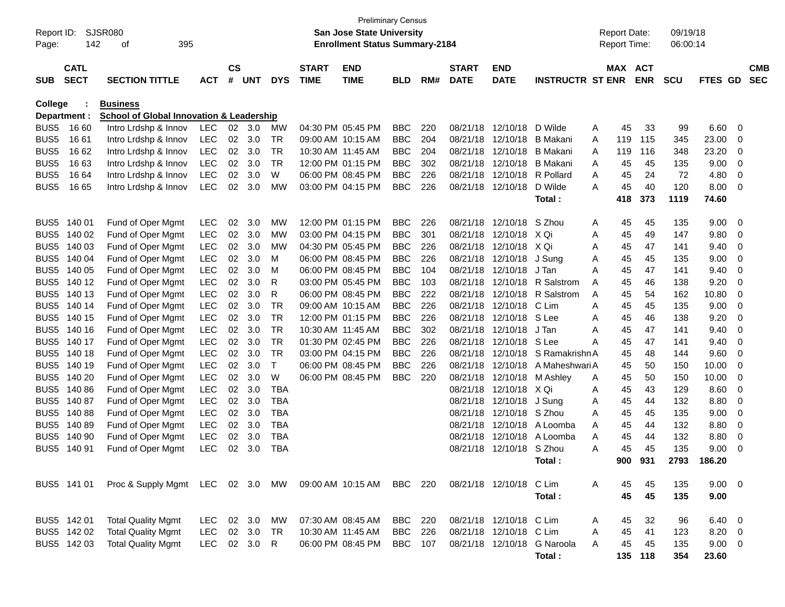| Report ID:<br>Page: | 142                        | SJSR080<br>395<br>οf                                |              |                |            |            |                             | <b>Preliminary Census</b><br>San Jose State University<br><b>Enrollment Status Summary-2184</b> |                |     |                             |                           |                             |   | <b>Report Date:</b><br>Report Time: |            | 09/19/18<br>06:00:14 |                |   |                          |
|---------------------|----------------------------|-----------------------------------------------------|--------------|----------------|------------|------------|-----------------------------|-------------------------------------------------------------------------------------------------|----------------|-----|-----------------------------|---------------------------|-----------------------------|---|-------------------------------------|------------|----------------------|----------------|---|--------------------------|
| <b>SUB</b>          | <b>CATL</b><br><b>SECT</b> | <b>SECTION TITTLE</b>                               | <b>ACT</b>   | <b>CS</b><br># | <b>UNT</b> | <b>DYS</b> | <b>START</b><br><b>TIME</b> | <b>END</b><br><b>TIME</b>                                                                       | <b>BLD</b>     | RM# | <b>START</b><br><b>DATE</b> | <b>END</b><br><b>DATE</b> | <b>INSTRUCTR ST ENR</b>     |   | MAX ACT                             | <b>ENR</b> | <b>SCU</b>           | <b>FTES GD</b> |   | <b>CMB</b><br><b>SEC</b> |
| College             |                            | <b>Business</b>                                     |              |                |            |            |                             |                                                                                                 |                |     |                             |                           |                             |   |                                     |            |                      |                |   |                          |
|                     | Department :               | <b>School of Global Innovation &amp; Leadership</b> |              |                |            |            |                             |                                                                                                 |                |     |                             |                           |                             |   |                                     |            |                      |                |   |                          |
| BUS <sub>5</sub>    | 16 60                      | Intro Lrdshp & Innov                                | <b>LEC</b>   |                | 02 3.0     | MW         |                             | 04:30 PM 05:45 PM                                                                               | <b>BBC</b>     | 220 | 08/21/18                    | 12/10/18                  | D Wilde                     | Α | 45                                  | 33         | 99                   | 6.60           | 0 |                          |
| BUS <sub>5</sub>    | 16 61                      | Intro Lrdshp & Innov                                | <b>LEC</b>   |                | 02 3.0     | TR         |                             | 09:00 AM 10:15 AM                                                                               | <b>BBC</b>     | 204 | 08/21/18                    | 12/10/18                  | <b>B</b> Makani             | Α | 119                                 | 115        | 345                  | 23.00          | 0 |                          |
| BUS <sub>5</sub>    | 16 62                      | Intro Lrdshp & Innov                                | <b>LEC</b>   | 02             | 3.0        | TR         |                             | 10:30 AM 11:45 AM                                                                               | <b>BBC</b>     | 204 | 08/21/18                    | 12/10/18                  | <b>B</b> Makani             | Α | 119                                 | 116        | 348                  | 23.20          | 0 |                          |
| BUS <sub>5</sub>    | 16 63                      | Intro Lrdshp & Innov                                | <b>LEC</b>   | 02             | 3.0        | TR         |                             | 12:00 PM 01:15 PM                                                                               | <b>BBC</b>     | 302 | 08/21/18                    | 12/10/18                  | <b>B</b> Makani             | Α | 45                                  | 45         | 135                  | 9.00           | 0 |                          |
| BUS <sub>5</sub>    | 16 64                      | Intro Lrdshp & Innov                                | <b>LEC</b>   | 02             | 3.0        | W          |                             | 06:00 PM 08:45 PM                                                                               | <b>BBC</b>     | 226 | 08/21/18                    | 12/10/18                  | R Pollard                   | Α | 45                                  | 24         | 72                   | 4.80           | 0 |                          |
| BUS <sub>5</sub>    | 16 65                      | Intro Lrdshp & Innov                                | <b>LEC</b>   | 02             | 3.0        | MW         |                             | 03:00 PM 04:15 PM                                                                               | <b>BBC</b>     | 226 | 08/21/18                    | 12/10/18                  | D Wilde                     | A | 45                                  | 40         | 120                  | 8.00           | 0 |                          |
|                     |                            |                                                     |              |                |            |            |                             |                                                                                                 |                |     |                             |                           | <b>Total :</b>              |   | 418                                 | 373        | 1119                 | 74.60          |   |                          |
| BUS <sub>5</sub>    | 140 01                     | Fund of Oper Mgmt                                   | <b>LEC</b>   | 02             | 3.0        | МW         |                             | 12:00 PM 01:15 PM                                                                               | <b>BBC</b>     | 226 | 08/21/18                    | 12/10/18                  | S Zhou                      | Α | 45                                  | 45         | 135                  | 9.00           | 0 |                          |
| BUS <sub>5</sub>    | 140 02                     | Fund of Oper Mgmt                                   | <b>LEC</b>   | 02             | 3.0        | <b>MW</b>  |                             | 03:00 PM 04:15 PM                                                                               | <b>BBC</b>     | 301 | 08/21/18                    | 12/10/18                  | X Qi                        | Α | 45                                  | 49         | 147                  | 9.80           | 0 |                          |
| BUS <sub>5</sub>    | 140 03                     | Fund of Oper Mgmt                                   | LEC          | 02             | 3.0        | МW         |                             | 04:30 PM 05:45 PM                                                                               | <b>BBC</b>     | 226 | 08/21/18                    | 12/10/18                  | X Qi                        | Α | 45                                  | 47         | 141                  | 9.40           | 0 |                          |
| BUS <sub>5</sub>    | 140 04                     | Fund of Oper Mgmt                                   | <b>LEC</b>   | 02             | 3.0        | м          |                             | 06:00 PM 08:45 PM                                                                               | <b>BBC</b>     | 226 | 08/21/18                    | 12/10/18                  | J Sung                      | Α | 45                                  | 45         | 135                  | 9.00           | 0 |                          |
| BUS <sub>5</sub>    | 140 05                     | Fund of Oper Mgmt                                   | <b>LEC</b>   | 02             | 3.0        | м          |                             | 06:00 PM 08:45 PM                                                                               | <b>BBC</b>     | 104 | 08/21/18                    | 12/10/18                  | J Tan                       | A | 45                                  | 47         | 141                  | 9.40           | 0 |                          |
| BUS <sub>5</sub>    | 140 12                     | Fund of Oper Mgmt                                   | <b>LEC</b>   | 02             | 3.0        | R          |                             | 03:00 PM 05:45 PM                                                                               | <b>BBC</b>     | 103 | 08/21/18                    | 12/10/18                  | R Salstrom                  | A | 45                                  | 46         | 138                  | 9.20           | 0 |                          |
| BUS <sub>5</sub>    | 140 13                     | Fund of Oper Mgmt                                   | <b>LEC</b>   | 02             | 3.0        | R          |                             | 06:00 PM 08:45 PM                                                                               | <b>BBC</b>     | 222 | 08/21/18                    | 12/10/18                  | <b>R</b> Salstrom           | A | 45                                  | 54         | 162                  | 10.80          | 0 |                          |
|                     | BUS5 140 14                | Fund of Oper Mgmt                                   | <b>LEC</b>   | 02             | 3.0        | TR         |                             | 09:00 AM 10:15 AM                                                                               | <b>BBC</b>     | 226 | 08/21/18                    | 12/10/18                  | C Lim                       | Α | 45                                  | 45         | 135                  | 9.00           | 0 |                          |
| BUS <sub>5</sub>    | 140 15                     | Fund of Oper Mgmt                                   | <b>LEC</b>   | 02             | 3.0        | TR         |                             | 12:00 PM 01:15 PM                                                                               | <b>BBC</b>     | 226 | 08/21/18                    | 12/10/18                  | S Lee                       | Α | 45                                  | 46         | 138                  | 9.20           | 0 |                          |
| BUS <sub>5</sub>    | 140 16                     | Fund of Oper Mgmt                                   | <b>LEC</b>   | 02             | 3.0        | TR         |                             | 10:30 AM 11:45 AM                                                                               | <b>BBC</b>     | 302 | 08/21/18                    | 12/10/18                  | J Tan                       | Α | 45                                  | 47         | 141                  | 9.40           | 0 |                          |
| BUS <sub>5</sub>    | 140 17                     | Fund of Oper Mgmt                                   | <b>LEC</b>   | 02             | 3.0        | TR         |                             | 01:30 PM 02:45 PM                                                                               | <b>BBC</b>     | 226 | 08/21/18                    | 12/10/18                  | S Lee                       | Α | 45                                  | 47         | 141                  | 9.40           | 0 |                          |
| BUS <sub>5</sub>    | 140 18                     | Fund of Oper Mgmt                                   | <b>LEC</b>   | 02             | 3.0        | TR         |                             | 03:00 PM 04:15 PM                                                                               | <b>BBC</b>     | 226 | 08/21/18                    | 12/10/18                  | S Ramakrishn A              |   | 45                                  | 48         | 144                  | 9.60           | 0 |                          |
| BUS <sub>5</sub>    | 140 19                     | Fund of Oper Mgmt                                   | <b>LEC</b>   | 02             | 3.0        | Τ          |                             | 06:00 PM 08:45 PM                                                                               | <b>BBC</b>     | 226 | 08/21/18                    | 12/10/18                  | A Maheshwari A              |   | 45                                  | 50         | 150                  | 10.00          | 0 |                          |
|                     | BUS5 140 20                | Fund of Oper Mgmt                                   | <b>LEC</b>   | 02             | 3.0        | W          |                             | 06:00 PM 08:45 PM                                                                               | <b>BBC</b>     | 220 | 08/21/18                    | 12/10/18                  | M Ashley                    | Α | 45                                  | 50         | 150                  | 10.00          | 0 |                          |
| BUS <sub>5</sub>    | 140 86                     | Fund of Oper Mgmt                                   | <b>LEC</b>   | 02             | 3.0        | <b>TBA</b> |                             |                                                                                                 |                |     | 08/21/18                    | 12/10/18                  | X Qi                        | Α | 45                                  | 43         | 129                  | 8.60           | 0 |                          |
| BUS <sub>5</sub>    | 140 87                     | Fund of Oper Mgmt                                   | <b>LEC</b>   | 02             | 3.0        | TBA        |                             |                                                                                                 |                |     | 08/21/18                    | 12/10/18                  | J Sung                      | Α | 45                                  | 44         | 132                  | 8.80           | 0 |                          |
| BUS <sub>5</sub>    | 140 88                     | Fund of Oper Mgmt                                   | <b>LEC</b>   | $02\,$         | 3.0        | TBA        |                             |                                                                                                 |                |     | 08/21/18                    | 12/10/18                  | S Zhou                      | Α | 45                                  | 45         | 135                  | 9.00           | 0 |                          |
|                     | BUS5 140 89                | Fund of Oper Mgmt                                   | <b>LEC</b>   | $02\,$         | 3.0        | TBA        |                             |                                                                                                 |                |     | 08/21/18                    | 12/10/18                  | A Loomba                    | Α | 45                                  | 44         | 132                  | 8.80           | 0 |                          |
| BUS <sub>5</sub>    | 140 90                     | Fund of Oper Mgmt                                   | <b>LEC</b>   | 02             | 3.0        | TBA        |                             |                                                                                                 |                |     | 08/21/18                    | 12/10/18                  | A Loomba                    | Α | 45                                  | 44         | 132                  | 8.80           | 0 |                          |
|                     | BUS5 140 91                | Fund of Oper Mgmt                                   | <b>LEC</b>   | 02             | 3.0        | <b>TBA</b> |                             |                                                                                                 |                |     |                             | 08/21/18 12/10/18 S Zhou  |                             | A | 45                                  | 45         | 135                  | 9.00           | 0 |                          |
|                     |                            |                                                     |              |                |            |            |                             |                                                                                                 |                |     |                             |                           | Total:                      |   |                                     | 900 931    |                      | 2793 186.20    |   |                          |
|                     | BUS5 141 01                | Proc & Supply Mgmt LEC 02 3.0 MW                    |              |                |            |            |                             | 09:00 AM 10:15 AM BBC 220                                                                       |                |     |                             | 08/21/18 12/10/18         | C Lim                       | A | 45                                  | 45         | 135                  | $9.00 \t 0$    |   |                          |
|                     |                            |                                                     |              |                |            |            |                             |                                                                                                 |                |     |                             |                           | Total:                      |   | 45                                  | 45         | 135                  | 9.00           |   |                          |
|                     |                            |                                                     |              |                |            |            |                             |                                                                                                 |                |     |                             |                           |                             |   |                                     |            |                      |                |   |                          |
|                     | BUS5 142 01                | <b>Total Quality Mgmt</b>                           | LEC          |                | 02 3.0     | МW         |                             | 07:30 AM 08:45 AM                                                                               | <b>BBC</b> 220 |     |                             | 08/21/18 12/10/18 C Lim   |                             | A | 45                                  | 32         | 96                   | $6.40\ 0$      |   |                          |
|                     | BUS5 142 02                | <b>Total Quality Mgmt</b>                           | <b>LEC</b>   |                | 02 3.0     | TR         |                             | 10:30 AM 11:45 AM                                                                               | <b>BBC</b>     | 226 |                             | 08/21/18 12/10/18 C Lim   |                             | A | 45                                  | 41         | 123                  | $8.20 \ 0$     |   |                          |
|                     | BUS5 142 03                | <b>Total Quality Mgmt</b>                           | LEC 02 3.0 R |                |            |            |                             | 06:00 PM 08:45 PM                                                                               | BBC 107        |     |                             |                           | 08/21/18 12/10/18 G Naroola | Α | 45                                  | 45         | 135                  | $9.00 \t 0$    |   |                          |
|                     |                            |                                                     |              |                |            |            |                             |                                                                                                 |                |     |                             |                           | Total:                      |   |                                     | 135 118    | 354                  | 23.60          |   |                          |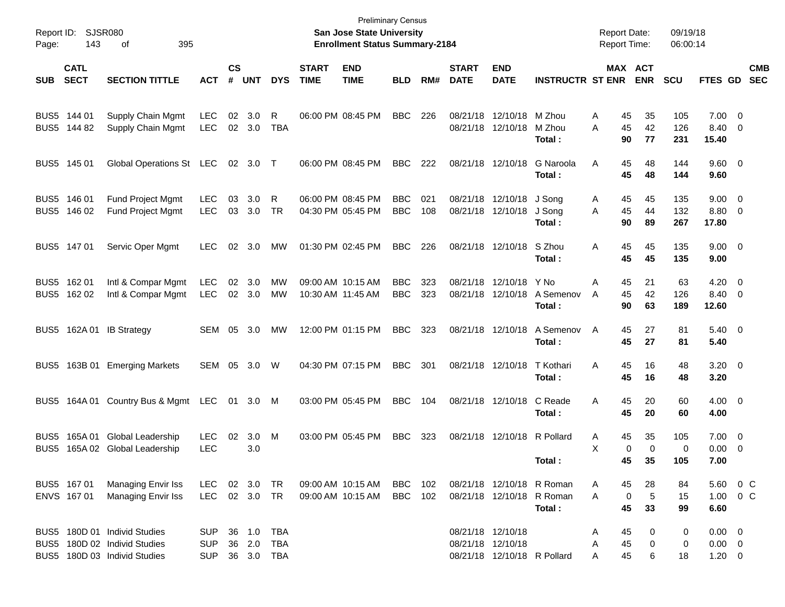| Report ID:<br>Page:                  | 143                        | <b>SJSR080</b><br>395<br>οf                                                                  |                                        |                    |                            |                                 |                             | <b>Preliminary Census</b><br>San Jose State University<br><b>Enrollment Status Summary-2184</b> |                          |            |                             |                                        |                                                                  | <b>Report Date:</b><br><b>Report Time:</b> |                       | 09/19/18<br>06:00:14 |                                           |                                                     |                          |
|--------------------------------------|----------------------------|----------------------------------------------------------------------------------------------|----------------------------------------|--------------------|----------------------------|---------------------------------|-----------------------------|-------------------------------------------------------------------------------------------------|--------------------------|------------|-----------------------------|----------------------------------------|------------------------------------------------------------------|--------------------------------------------|-----------------------|----------------------|-------------------------------------------|-----------------------------------------------------|--------------------------|
| <b>SUB</b>                           | <b>CATL</b><br><b>SECT</b> | <b>SECTION TITTLE</b>                                                                        | <b>ACT</b>                             | $\mathsf{cs}$<br># | <b>UNT</b>                 | <b>DYS</b>                      | <b>START</b><br><b>TIME</b> | <b>END</b><br><b>TIME</b>                                                                       | <b>BLD</b>               | RM#        | <b>START</b><br><b>DATE</b> | <b>END</b><br><b>DATE</b>              | <b>INSTRUCTR ST ENR</b>                                          |                                            | MAX ACT<br><b>ENR</b> | <b>SCU</b>           | <b>FTES GD</b>                            |                                                     | <b>CMB</b><br><b>SEC</b> |
|                                      | BUS5 144 01<br>BUS5 144 82 | Supply Chain Mgmt<br>Supply Chain Mgmt                                                       | LEC<br><b>LEC</b>                      | 02<br>02           | 3.0<br>3.0                 | R<br>TBA                        |                             | 06:00 PM 08:45 PM                                                                               | <b>BBC</b>               | 226        | 08/21/18                    | 12/10/18<br>08/21/18 12/10/18          | M Zhou<br>M Zhou<br>Total:                                       | A<br>45<br>45<br>A<br>90                   | 35<br>42<br>77        | 105<br>126<br>231    | $7.00 \t 0$<br>8.40<br>15.40              | $\overline{\mathbf{0}}$                             |                          |
|                                      | BUS5 145 01                | Global Operations St LEC                                                                     |                                        | 02                 | -3.0                       | $\top$                          |                             | 06:00 PM 08:45 PM                                                                               | <b>BBC</b>               | 222        |                             | 08/21/18 12/10/18                      | G Naroola<br>Total:                                              | Α<br>45<br>45                              | 48<br>48              | 144<br>144           | $9.60 \quad 0$<br>9.60                    |                                                     |                          |
|                                      | BUS5 146 01<br>BUS5 146 02 | Fund Project Mgmt<br>Fund Project Mgmt                                                       | <b>LEC</b><br><b>LEC</b>               | 03<br>03           | 3.0<br>3.0                 | R<br>TR                         |                             | 06:00 PM 08:45 PM<br>04:30 PM 05:45 PM                                                          | <b>BBC</b><br><b>BBC</b> | 021<br>108 | 08/21/18<br>08/21/18        | 12/10/18<br>12/10/18                   | J Song<br>J Song<br>Total:                                       | A<br>45<br>45<br>A<br>90                   | 45<br>44<br>89        | 135<br>132<br>267    | 9.00<br>8.80<br>17.80                     | $\overline{\mathbf{0}}$<br>$\overline{\phantom{0}}$ |                          |
|                                      | BUS5 147 01                | Servic Oper Mgmt                                                                             | LEC                                    | 02                 | 3.0                        | МW                              |                             | 01:30 PM 02:45 PM                                                                               | <b>BBC</b>               | 226        |                             | 08/21/18 12/10/18                      | S Zhou<br>Total:                                                 | Α<br>45<br>45                              | 45<br>45              | 135<br>135           | $9.00 \t 0$<br>9.00                       |                                                     |                          |
| BUS <sub>5</sub>                     | 162 01<br>BUS5 162 02      | Intl & Compar Mgmt<br>Intl & Compar Mgmt                                                     | <b>LEC</b><br><b>LEC</b>               | 02                 | 3.0<br>02 3.0              | МW<br>МW                        |                             | 09:00 AM 10:15 AM<br>10:30 AM 11:45 AM                                                          | <b>BBC</b><br><b>BBC</b> | 323<br>323 | 08/21/18<br>08/21/18        | 12/10/18<br>12/10/18                   | Y No<br>A Semenov<br>Total:                                      | Α<br>45<br>A<br>45<br>90                   | 21<br>42<br>63        | 63<br>126<br>189     | 4.20<br>8.40<br>12.60                     | $\overline{\phantom{0}}$<br>$\overline{\mathbf{0}}$ |                          |
| BUS <sub>5</sub>                     | 162A 01                    | <b>IB Strategy</b>                                                                           | SEM                                    | 05                 | 3.0                        | MW                              |                             | 12:00 PM 01:15 PM                                                                               | <b>BBC</b>               | 323        |                             | 08/21/18 12/10/18                      | A Semenov<br>Total:                                              | A<br>45<br>45                              | 27<br>27              | 81<br>81             | 5.40 0<br>5.40                            |                                                     |                          |
| BUS <sub>5</sub>                     |                            | 163B 01 Emerging Markets                                                                     | SEM                                    | 05                 | 3.0                        | W                               |                             | 04:30 PM 07:15 PM                                                                               | <b>BBC</b>               | 301        |                             | 08/21/18 12/10/18                      | T Kothari<br>Total:                                              | A<br>45<br>45                              | 16<br>16              | 48<br>48             | $3.20 \ 0$<br>3.20                        |                                                     |                          |
| BUS <sub>5</sub>                     |                            | 164A 01 Country Bus & Mgmt                                                                   | LEC                                    | 01                 | 3.0 M                      |                                 |                             | 03:00 PM 05:45 PM                                                                               | <b>BBC</b>               | 104        |                             | 08/21/18 12/10/18                      | C Reade<br>Total:                                                | A<br>45<br>45                              | 20<br>20              | 60<br>60             | $4.00 \t 0$<br>4.00                       |                                                     |                          |
| BUS <sub>5</sub><br>BUS <sub>5</sub> | 165A 01                    | Global Leadership<br>165A 02 Global Leadership                                               | LEC<br><b>LEC</b>                      | 02                 | 3.0<br>3.0                 | M                               |                             | 03:00 PM 05:45 PM                                                                               | <b>BBC</b>               | 323        |                             | 08/21/18 12/10/18 R Pollard            | Total:                                                           | 45<br>A<br>X<br>45                         | 35<br>0<br>0<br>35    | 105<br>0<br>105      | 7.00<br>0.00<br>7.00                      | $\overline{\phantom{0}}$<br>$\overline{\mathbf{0}}$ |                          |
|                                      | BUS5 167 01<br>ENVS 167 01 | <b>Managing Envir Iss</b><br>Managing Envir Iss                                              | LEC<br><b>LEC</b>                      |                    | 02 3.0<br>02 3.0 TR        | TR                              |                             | 09:00 AM 10:15 AM<br>09:00 AM 10:15 AM                                                          | BBC<br><b>BBC</b>        | 102<br>102 |                             |                                        | 08/21/18 12/10/18 R Roman<br>08/21/18 12/10/18 R Roman<br>Total: | 45<br>A<br>A<br>45                         | 28<br>0<br>5<br>33    | 84<br>15<br>99       | 5.60 0 C<br>$1.00 \t 0 C$<br>6.60         |                                                     |                          |
|                                      |                            | BUS5 180D 01 Individ Studies<br>BUS5 180D 02 Individ Studies<br>BUS5 180D 03 Individ Studies | <b>SUP</b><br><b>SUP</b><br><b>SUP</b> |                    | 36 1.0<br>36 2.0<br>36 3.0 | <b>TBA</b><br><b>TBA</b><br>TBA |                             |                                                                                                 |                          |            |                             | 08/21/18 12/10/18<br>08/21/18 12/10/18 | 08/21/18 12/10/18 R Pollard                                      | 45<br>A<br>45<br>Α<br>45<br>A              | 0<br>0<br>6           | 0<br>0<br>18         | $0.00 \t 0$<br>$0.00 \t 0$<br>$1.20 \t 0$ |                                                     |                          |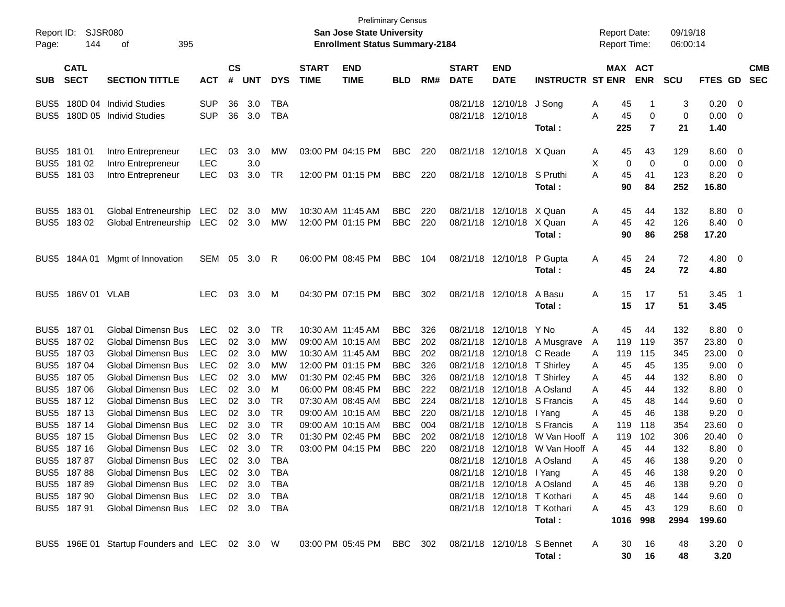| Report ID:<br>Page:                            | SJSR080<br>144             | 395<br>οf                                                                                           |                                        |                             |                         |                                |                             | <b>Preliminary Census</b><br><b>San Jose State University</b><br><b>Enrollment Status Summary-2184</b> |                                        |                   |                                  |                                                                                          |                                            |             | <b>Report Date:</b><br><b>Report Time:</b> |                      | 09/19/18<br>06:00:14 |                                        |                                 |                          |
|------------------------------------------------|----------------------------|-----------------------------------------------------------------------------------------------------|----------------------------------------|-----------------------------|-------------------------|--------------------------------|-----------------------------|--------------------------------------------------------------------------------------------------------|----------------------------------------|-------------------|----------------------------------|------------------------------------------------------------------------------------------|--------------------------------------------|-------------|--------------------------------------------|----------------------|----------------------|----------------------------------------|---------------------------------|--------------------------|
| <b>SUB</b>                                     | <b>CATL</b><br><b>SECT</b> | <b>SECTION TITTLE</b>                                                                               | <b>ACT</b>                             | $\mathbf{c}\mathbf{s}$<br># | <b>UNT</b>              | <b>DYS</b>                     | <b>START</b><br><b>TIME</b> | <b>END</b><br><b>TIME</b>                                                                              | <b>BLD</b>                             | RM#               | <b>START</b><br><b>DATE</b>      | <b>END</b><br><b>DATE</b>                                                                | <b>INSTRUCTR ST ENR</b>                    |             | MAX ACT                                    | <b>ENR</b>           | <b>SCU</b>           | FTES GD                                |                                 | <b>CMB</b><br><b>SEC</b> |
| BUS5<br>BUS5                                   |                            | 180D 04 Individ Studies<br>180D 05 Individ Studies                                                  | <b>SUP</b><br><b>SUP</b>               | 36<br>36                    | 3.0<br>3.0              | <b>TBA</b><br><b>TBA</b>       |                             |                                                                                                        |                                        |                   | 08/21/18 12/10/18                | 08/21/18 12/10/18                                                                        | J Song                                     | A<br>Α      | 45<br>45                                   | 0                    | 3<br>0               | 0.20<br>0.00                           | $\overline{\phantom{0}}$<br>- 0 |                          |
| BUS5 181 01                                    |                            | Intro Entrepreneur                                                                                  | <b>LEC</b>                             | 03                          | 3.0                     | МW                             |                             | 03:00 PM 04:15 PM                                                                                      | <b>BBC</b>                             | 220               |                                  | 08/21/18 12/10/18 X Quan                                                                 | Total :                                    | A           | 225<br>45                                  | $\overline{7}$<br>43 | 21<br>129            | 1.40<br>8.60                           | - 0                             |                          |
| BUS5 181 02<br>BUS5 181 03                     |                            | Intro Entrepreneur<br>Intro Entrepreneur                                                            | <b>LEC</b><br><b>LEC</b>               | 03                          | 3.0<br>3.0              | TR                             |                             | 12:00 PM 01:15 PM                                                                                      | <b>BBC</b>                             | 220               |                                  | 08/21/18 12/10/18                                                                        | S Pruthi<br>Total :                        | X<br>Α      | 0<br>45<br>90                              | 0<br>41<br>84        | 0<br>123<br>252      | 0.00<br>8.20<br>16.80                  | 0<br>0                          |                          |
| BUS5 183 01<br>BUS5 183 02                     |                            | Global Entreneurship<br>Global Entreneurship                                                        | <b>LEC</b><br><b>LEC</b>               | 02                          | 3.0<br>02 3.0           | <b>MW</b><br>МW                |                             | 10:30 AM 11:45 AM<br>12:00 PM 01:15 PM                                                                 | <b>BBC</b><br><b>BBC</b>               | 220<br>220        |                                  | 08/21/18 12/10/18 X Quan<br>08/21/18 12/10/18                                            | X Quan<br>Total :                          | A<br>A      | 45<br>45<br>90                             | 44<br>42<br>86       | 132<br>126<br>258    | 8.80<br>8.40<br>17.20                  | $\overline{0}$<br>0             |                          |
| BUS5                                           | 184A 01                    | Mgmt of Innovation                                                                                  | SEM                                    | 05                          | 3.0                     | R                              |                             | 06:00 PM 08:45 PM                                                                                      | <b>BBC</b>                             | 104               |                                  | 08/21/18 12/10/18                                                                        | P Gupta<br>Total:                          | A           | 45<br>45                                   | 24<br>24             | 72<br>72             | $4.80$ 0<br>4.80                       |                                 |                          |
| BUS5                                           | 186V 01 VLAB               |                                                                                                     | <b>LEC</b>                             | 03                          | 3.0                     | M                              |                             | 04:30 PM 07:15 PM                                                                                      | <b>BBC</b>                             | 302               |                                  | 08/21/18 12/10/18                                                                        | A Basu<br>Total :                          | A           | 15<br>15                                   | 17<br>17             | 51<br>51             | $3.45$ 1<br>3.45                       |                                 |                          |
| BUS5 187 01<br>BUS5 187 02                     |                            | Global Dimensn Bus<br><b>Global Dimensn Bus</b>                                                     | <b>LEC</b><br><b>LEC</b>               | 02<br>02                    | 3.0<br>3.0              | TR<br>MW                       |                             | 10:30 AM 11:45 AM<br>09:00 AM 10:15 AM                                                                 | <b>BBC</b><br><b>BBC</b>               | 326<br>202        | 08/21/18                         | 08/21/18 12/10/18                                                                        | Y No<br>12/10/18 A Musgrave                | A<br>A      | 45<br>119                                  | 44<br>119            | 132<br>357           | 8.80<br>23.80                          | - 0<br>0                        |                          |
| BUS5 187 03<br>BUS <sub>5</sub><br>BUS5 187 05 | 18704                      | <b>Global Dimensn Bus</b><br><b>Global Dimensn Bus</b><br><b>Global Dimensn Bus</b>                 | LEC<br><b>LEC</b><br><b>LEC</b>        | 02<br>02<br>02              | 3.0<br>3.0<br>3.0       | МW<br>МW<br>МW                 |                             | 10:30 AM 11:45 AM<br>12:00 PM 01:15 PM<br>01:30 PM 02:45 PM                                            | <b>BBC</b><br><b>BBC</b><br><b>BBC</b> | 202<br>326<br>326 | 08/21/18<br>08/21/18             | 12/10/18<br>08/21/18 12/10/18<br>12/10/18                                                | C Reade<br>T Shirley<br>T Shirley          | A<br>A<br>A | 119<br>45<br>45                            | 115<br>45<br>44      | 345<br>135<br>132    | 23.00<br>9.00<br>8.80                  | 0<br>0<br>0                     |                          |
| BUS5 187 06<br>BUS5 187 12<br>BUS5 187 13      |                            | <b>Global Dimensn Bus</b><br><b>Global Dimensn Bus</b><br><b>Global Dimensn Bus</b>                 | <b>LEC</b><br><b>LEC</b><br><b>LEC</b> | 02<br>02<br>02              | 3.0<br>3.0<br>3.0       | M<br>TR<br>TR                  |                             | 06:00 PM 08:45 PM<br>07:30 AM 08:45 AM<br>09:00 AM 10:15 AM                                            | <b>BBC</b><br><b>BBC</b><br><b>BBC</b> | 222<br>224<br>220 | 08/21/18<br>08/21/18<br>08/21/18 | 12/10/18 I Yang                                                                          | 12/10/18 A Osland<br>12/10/18 S Francis    | A<br>A<br>Α | 45<br>45<br>45                             | 44<br>48<br>46       | 132<br>144<br>138    | 8.80<br>9.60<br>9.20                   | 0<br>0<br>0                     |                          |
| BUS5 187 14<br>BUS5 187 15                     |                            | <b>Global Dimensn Bus</b><br><b>Global Dimensn Bus</b>                                              | <b>LEC</b><br><b>LEC</b>               | 02<br>02                    | 3.0<br>3.0              | TR<br>TR                       |                             | 09:00 AM 10:15 AM<br>01:30 PM 02:45 PM                                                                 | <b>BBC</b><br><b>BBC</b>               | 004<br>202        | 08/21/18<br>08/21/18             |                                                                                          | 12/10/18 S Francis<br>12/10/18 W Van Hooff | A<br>A      | 119<br>119                                 | 118<br>102           | 354<br>306           | 23.60<br>20.40                         | 0<br>0                          |                          |
| BUS5 187 16<br>BUS5 187 87<br>BUS5 18788       |                            | Global Dimensn Bus<br>Global Dimensn Bus<br>Global Dimensn Bus LEC 02 3.0                           | <b>LEC</b><br>LEC                      | 02                          | - 3.0<br>$02 \quad 3.0$ | <b>TR</b><br><b>TBA</b><br>TBA |                             | 03:00 PM 04:15 PM                                                                                      | <b>BBC</b>                             | 220               |                                  | 08/21/18 12/10/18 A Osland<br>08/21/18 12/10/18 I Yang                                   | 08/21/18 12/10/18 W Van Hooff A            | A<br>A      | 45<br>45<br>45                             | 44<br>46<br>46       | 132<br>138<br>138    | 8.80<br>9.20<br>$9.20 \ 0$             | 0<br>$\Omega$                   |                          |
| BUS5 187 89<br>BUS5 187 90<br>BUS5 187 91      |                            | Global Dimensn Bus<br>Global Dimensn Bus<br>Global Dimensn Bus LEC 02 3.0 TBA                       | LEC<br>LEC                             |                             | 02 3.0<br>02 3.0        | TBA<br>TBA                     |                             |                                                                                                        |                                        |                   |                                  | 08/21/18 12/10/18 A Osland<br>08/21/18 12/10/18 T Kothari<br>08/21/18 12/10/18 T Kothari |                                            | A<br>A      | 45<br>45<br>45                             | 46<br>48<br>43       | 138<br>144<br>129    | $9.20 \ 0$<br>$9.60 \quad 0$<br>8.60 0 |                                 |                          |
|                                                |                            | BUS5 196E 01 Startup Founders and LEC 02 3.0 W 03:00 PM 05:45 PM BBC 302 08/21/18 12/10/18 S Bennet |                                        |                             |                         |                                |                             |                                                                                                        |                                        |                   |                                  |                                                                                          | Total:<br>Total:                           | A           | 30<br>30                                   | 1016 998<br>16<br>16 | 2994<br>48<br>48     | 199.60<br>$3.20 \ 0$<br>3.20           |                                 |                          |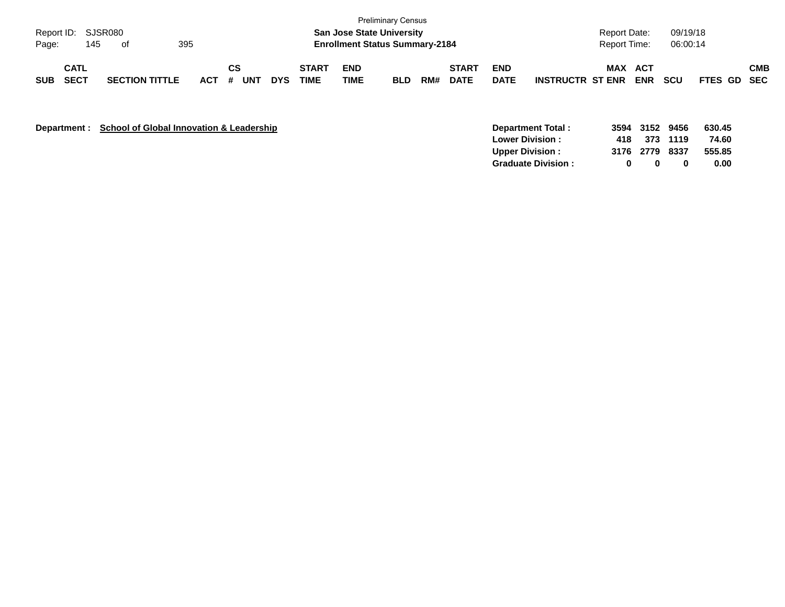| Report ID:<br>Page: | 145                 | SJSR080<br>of         | 395     |                  |            |                             | <b>San Jose State University</b><br><b>Enrollment Status Summary-2184</b> | <b>Preliminary Census</b> |     |                             |                           |                         | Report Date:<br>Report Time: |                | 09/19/18<br>06:00:14 |             |     |
|---------------------|---------------------|-----------------------|---------|------------------|------------|-----------------------------|---------------------------------------------------------------------------|---------------------------|-----|-----------------------------|---------------------------|-------------------------|------------------------------|----------------|----------------------|-------------|-----|
| <b>SUB</b>          | <b>CATL</b><br>SECT | <b>SECTION TITTLE</b> | $ACT$ # | CS<br><b>UNT</b> | <b>DYS</b> | <b>START</b><br><b>TIME</b> | <b>END</b><br>TIME                                                        | <b>BLD</b>                | RM# | <b>START</b><br><b>DATE</b> | <b>END</b><br><b>DATE</b> | <b>INSTRUCTR ST ENR</b> |                              | MAX ACT<br>ENR | scu                  | FTES GD SEC | СМВ |

**Department : School of Global Innovation & Leadership** 

|   |   |     | 630.45                                       |
|---|---|-----|----------------------------------------------|
|   |   |     | 74.60                                        |
|   |   |     | 555.85                                       |
| o | n | 0   | 0.00                                         |
|   |   | 418 | 3594 3152 9456<br>373 1119<br>3176 2779 8337 |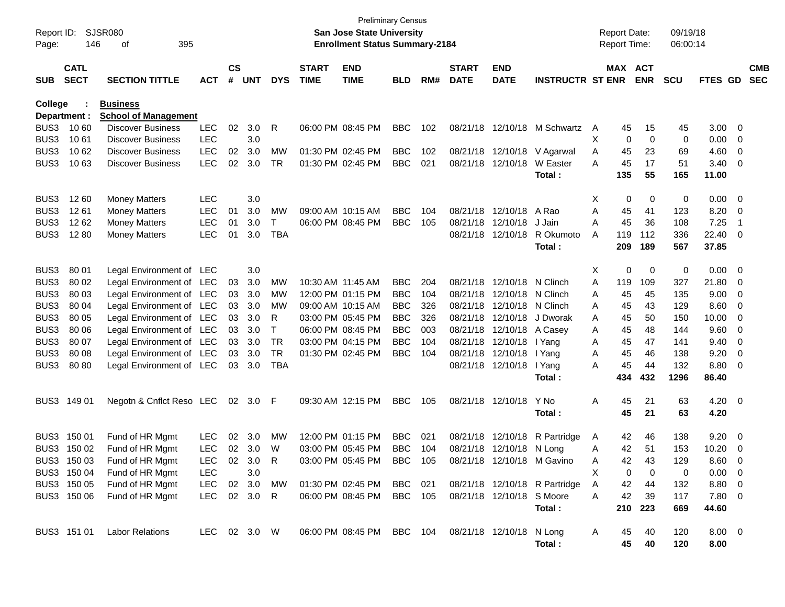| Report ID:<br>Page: | 146                        | SJSR080<br>395<br>οf                           |              |                    |            |              |                             | <b>Preliminary Census</b><br><b>San Jose State University</b><br><b>Enrollment Status Summary-2184</b> |            |     |                             |                           |                               |   | <b>Report Date:</b><br><b>Report Time:</b> |            | 09/19/18<br>06:00:14 |                     |                         |                          |
|---------------------|----------------------------|------------------------------------------------|--------------|--------------------|------------|--------------|-----------------------------|--------------------------------------------------------------------------------------------------------|------------|-----|-----------------------------|---------------------------|-------------------------------|---|--------------------------------------------|------------|----------------------|---------------------|-------------------------|--------------------------|
| <b>SUB</b>          | <b>CATL</b><br><b>SECT</b> | <b>SECTION TITTLE</b>                          | <b>ACT</b>   | $\mathsf{cs}$<br># | <b>UNT</b> | <b>DYS</b>   | <b>START</b><br><b>TIME</b> | <b>END</b><br><b>TIME</b>                                                                              | <b>BLD</b> | RM# | <b>START</b><br><b>DATE</b> | <b>END</b><br><b>DATE</b> | <b>INSTRUCTR ST ENR</b>       |   | MAX ACT                                    | <b>ENR</b> | <b>SCU</b>           | FTES GD             |                         | <b>CMB</b><br><b>SEC</b> |
| <b>College</b>      | Department :               | <b>Business</b><br><b>School of Management</b> |              |                    |            |              |                             |                                                                                                        |            |     |                             |                           |                               |   |                                            |            |                      |                     |                         |                          |
| BUS3                | 10 60                      | <b>Discover Business</b>                       | <b>LEC</b>   | 02                 | 3.0        | R            |                             | 06:00 PM 08:45 PM                                                                                      | <b>BBC</b> | 102 | 08/21/18                    | 12/10/18                  | M Schwartz                    | A | 45                                         | 15         | 45                   | 3.00                | $\overline{0}$          |                          |
| BUS3                | 1061                       | <b>Discover Business</b>                       | <b>LEC</b>   |                    | 3.0        |              |                             |                                                                                                        |            |     |                             |                           |                               | X | 0                                          | 0          | 0                    | 0.00                | 0                       |                          |
| BUS3                | 10 62                      | <b>Discover Business</b>                       | <b>LEC</b>   | 02                 | 3.0        | MW           |                             | 01:30 PM 02:45 PM                                                                                      | <b>BBC</b> | 102 |                             | 08/21/18 12/10/18         | V Agarwal                     | A | 45                                         | 23         | 69                   | 4.60                | 0                       |                          |
| BUS3                | 1063                       | <b>Discover Business</b>                       | <b>LEC</b>   | 02                 | 3.0        | <b>TR</b>    | 01:30 PM 02:45 PM           |                                                                                                        | <b>BBC</b> | 021 |                             | 08/21/18 12/10/18         | W Easter                      | A | 45                                         | 17         | 51                   | 3.40                | 0                       |                          |
|                     |                            |                                                |              |                    |            |              |                             |                                                                                                        |            |     |                             |                           | Total:                        |   | 135                                        | 55         | 165                  | 11.00               |                         |                          |
| BUS3                | 1260                       | <b>Money Matters</b>                           | <b>LEC</b>   |                    | 3.0        |              |                             |                                                                                                        |            |     |                             |                           |                               | Χ | 0                                          | 0          | 0                    | 0.00                | $\overline{\mathbf{0}}$ |                          |
| BUS3                | 1261                       | <b>Money Matters</b>                           | <b>LEC</b>   | 01                 | 3.0        | MW           | 09:00 AM 10:15 AM           |                                                                                                        | <b>BBC</b> | 104 | 08/21/18                    | 12/10/18                  | A Rao                         | A | 45                                         | 41         | 123                  | 8.20                | $\overline{0}$          |                          |
| BUS3                | 1262                       | <b>Money Matters</b>                           | <b>LEC</b>   | 01                 | 3.0        | T            |                             | 06:00 PM 08:45 PM                                                                                      | <b>BBC</b> | 105 | 08/21/18                    | 12/10/18                  | J Jain                        | A | 45                                         | 36         | 108                  | 7.25                | -1                      |                          |
| BUS3                | 12 80                      | <b>Money Matters</b>                           | <b>LEC</b>   | 01                 | 3.0        | <b>TBA</b>   |                             |                                                                                                        |            |     | 08/21/18                    | 12/10/18                  | R Okumoto                     | A | 119                                        | 112        | 336                  | 22.40               | 0                       |                          |
|                     |                            |                                                |              |                    |            |              |                             |                                                                                                        |            |     |                             |                           | Total:                        |   | 209                                        | 189        | 567                  | 37.85               |                         |                          |
| BUS3                | 80 01                      | Legal Environment of LEC                       |              |                    | 3.0        |              |                             |                                                                                                        |            |     |                             |                           |                               | Χ | 0                                          | 0          | 0                    | 0.00                | - 0                     |                          |
| BUS3                | 80 02                      | Legal Environment of LEC                       |              | 03                 | 3.0        | MW           |                             | 10:30 AM 11:45 AM                                                                                      | <b>BBC</b> | 204 | 08/21/18                    | 12/10/18                  | N Clinch                      | A | 119                                        | 109        | 327                  | 21.80               | 0                       |                          |
| BUS3                | 80 03                      | Legal Environment of LEC                       |              | 03                 | 3.0        | MW           |                             | 12:00 PM 01:15 PM                                                                                      | <b>BBC</b> | 104 | 08/21/18                    | 12/10/18                  | N Clinch                      | A | 45                                         | 45         | 135                  | 9.00                | 0                       |                          |
| BUS3                | 80 04                      | Legal Environment of LEC                       |              | 03                 | 3.0        | <b>MW</b>    | 09:00 AM 10:15 AM           |                                                                                                        | <b>BBC</b> | 326 | 08/21/18                    | 12/10/18                  | N Clinch                      | A | 45                                         | 43         | 129                  | 8.60                | 0                       |                          |
| BUS3                | 80 05                      | Legal Environment of LEC                       |              | 03                 | 3.0        | R            | 03:00 PM 05:45 PM           |                                                                                                        | <b>BBC</b> | 326 | 08/21/18                    | 12/10/18                  | J Dworak                      | A | 45                                         | 50         | 150                  | 10.00               | 0                       |                          |
| BUS3                | 80 06                      | Legal Environment of LEC                       |              | 03                 | 3.0        | T            |                             | 06:00 PM 08:45 PM                                                                                      | <b>BBC</b> | 003 | 08/21/18                    | 12/10/18                  | A Casey                       | A | 45                                         | 48         | 144                  | 9.60                | 0                       |                          |
| BUS3                | 80 07                      | Legal Environment of LEC                       |              | 03                 | 3.0        | <b>TR</b>    |                             | 03:00 PM 04:15 PM                                                                                      | <b>BBC</b> | 104 | 08/21/18                    | 12/10/18                  | I Yang                        | A | 45                                         | 47         | 141                  | 9.40                | 0                       |                          |
| BUS3                | 80 08                      | Legal Environment of LEC                       |              | 03                 | 3.0        | <b>TR</b>    |                             | 01:30 PM 02:45 PM                                                                                      | <b>BBC</b> | 104 | 08/21/18                    | 12/10/18                  | I Yang                        | A | 45                                         | 46         | 138                  | 9.20                | 0                       |                          |
| BUS3                | 80 80                      | Legal Environment of LEC                       |              | 03                 | 3.0        | <b>TBA</b>   |                             |                                                                                                        |            |     |                             | 08/21/18 12/10/18         | I Yang<br>Total:              | A | 45<br>434                                  | 44<br>432  | 132<br>1296          | 8.80<br>86.40       | 0                       |                          |
| BUS3                | 149 01                     | Negotn & Cnflct Reso LEC                       |              | 02                 | $3.0$ F    |              |                             | 09:30 AM 12:15 PM                                                                                      | <b>BBC</b> | 105 |                             | 08/21/18 12/10/18         | Y No                          | Α | 45                                         | 21         | 63                   | 4.20                | $\overline{\mathbf{0}}$ |                          |
|                     |                            |                                                |              |                    |            |              |                             |                                                                                                        |            |     |                             |                           | Total:                        |   | 45                                         | 21         | 63                   | 4.20                |                         |                          |
| BUS3                | 150 01                     | Fund of HR Mgmt                                | <b>LEC</b>   | 02                 | 3.0        | MW           |                             | 12:00 PM 01:15 PM                                                                                      | <b>BBC</b> | 021 | 08/21/18                    | 12/10/18                  | R Partridge                   | A | 42                                         | 46         | 138                  | 9.20                | $\overline{0}$          |                          |
|                     | BUS3 150 02                | Fund of HR Mgmt                                | <b>LEC</b>   | 02                 | 3.0        | W            |                             | 03:00 PM 05:45 PM                                                                                      | <b>BBC</b> | 104 |                             | 08/21/18 12/10/18         | N Long                        | A | 42                                         | 51         | 153                  | 10.20               | 0                       |                          |
|                     | BUS3 150 03                | Fund of HR Mgmt                                | <b>LEC</b>   |                    | 02 3.0     | $\mathsf{R}$ |                             | 03:00 PM 05:45 PM                                                                                      | <b>BBC</b> | 105 |                             |                           | 08/21/18 12/10/18 M Gavino    | Α | 42                                         | 43         | 129                  | 8.60                | $\mathbf 0$             |                          |
|                     | BUS3 150 04                | Fund of HR Mgmt                                | LEC          |                    | 3.0        |              |                             |                                                                                                        |            |     |                             |                           |                               | Χ | 0                                          | 0          | 0                    | $0.00 \t 0$         |                         |                          |
|                     | BUS3 150 05                | Fund of HR Mgmt                                | LEC          |                    | 02 3.0     | MW           |                             | 01:30 PM 02:45 PM                                                                                      | BBC 021    |     |                             |                           | 08/21/18 12/10/18 R Partridge | A | 42                                         | 44         | 132                  | 8.80 0              |                         |                          |
|                     | BUS3 150 06                | Fund of HR Mgmt                                | LEC 02 3.0   |                    |            | R            |                             | 06:00 PM 08:45 PM                                                                                      | BBC 105    |     |                             | 08/21/18 12/10/18 S Moore |                               | A | 42                                         | 39         | 117                  | $7.80\ 0$           |                         |                          |
|                     |                            |                                                |              |                    |            |              |                             |                                                                                                        |            |     |                             |                           | Total:                        |   | 210                                        | 223        | 669                  | 44.60               |                         |                          |
|                     | BUS3 151 01                | <b>Labor Relations</b>                         | LEC 02 3.0 W |                    |            |              |                             | 06:00 PM 08:45 PM BBC 104 08/21/18 12/10/18 N Long                                                     |            |     |                             |                           | Total:                        | A | 45<br>45                                   | 40<br>40   | 120<br>120           | $8.00 \t 0$<br>8.00 |                         |                          |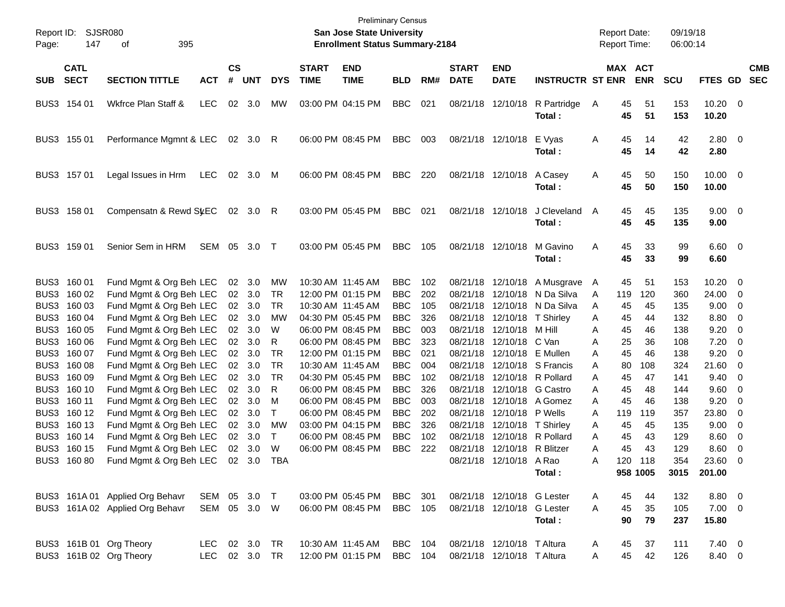| Report ID:<br>Page: | <b>SJSR080</b><br>147      | 395<br>οf                                      |              |                             |            |              |                             | <b>Preliminary Census</b><br><b>San Jose State University</b><br><b>Enrollment Status Summary-2184</b> |                |     |                             |                             |                         | <b>Report Date:</b><br>Report Time: |                     | 09/19/18<br>06:00:14 |                       |                          |
|---------------------|----------------------------|------------------------------------------------|--------------|-----------------------------|------------|--------------|-----------------------------|--------------------------------------------------------------------------------------------------------|----------------|-----|-----------------------------|-----------------------------|-------------------------|-------------------------------------|---------------------|----------------------|-----------------------|--------------------------|
| <b>SUB</b>          | <b>CATL</b><br><b>SECT</b> | <b>SECTION TITTLE</b>                          | <b>ACT</b>   | $\mathbf{c}\mathbf{s}$<br># | <b>UNT</b> | <b>DYS</b>   | <b>START</b><br><b>TIME</b> | <b>END</b><br><b>TIME</b>                                                                              | <b>BLD</b>     | RM# | <b>START</b><br><b>DATE</b> | <b>END</b><br><b>DATE</b>   | <b>INSTRUCTR ST ENR</b> | MAX ACT                             | <b>ENR</b>          | <b>SCU</b>           | FTES GD               | <b>CMB</b><br><b>SEC</b> |
|                     | BUS3 154 01                | Wkfrce Plan Staff &                            | <b>LEC</b>   | 02                          | 3.0        | МW           |                             | 03:00 PM 04:15 PM                                                                                      | <b>BBC</b>     | 021 |                             | 08/21/18 12/10/18           | R Partridge<br>Total:   | 45<br>A<br>45                       | 51<br>51            | 153<br>153           | $10.20 \t 0$<br>10.20 |                          |
|                     | BUS3 155 01                | Performance Mgmnt & LEC                        |              |                             | 02 3.0 R   |              |                             | 06:00 PM 08:45 PM                                                                                      | BBC            | 003 |                             | 08/21/18 12/10/18           | E Vyas<br>Total:        | 45<br>Α<br>45                       | 14<br>14            | 42<br>42             | $2.80 \t 0$<br>2.80   |                          |
|                     | BUS3 157 01                | Legal Issues in Hrm                            | <b>LEC</b>   | 02                          | 3.0        | M            |                             | 06:00 PM 08:45 PM                                                                                      | BBC            | 220 | 08/21/18 12/10/18           |                             | A Casey<br>Total:       | 45<br>Α<br>45                       | 50<br>50            | 150<br>150           | $10.00 \t 0$<br>10.00 |                          |
|                     | BUS3 158 01                | Compensatn & Rewd St EC                        |              |                             | 02 3.0 R   |              |                             | 03:00 PM 05:45 PM                                                                                      | <b>BBC</b>     | 021 |                             | 08/21/18 12/10/18           | J Cleveland<br>Total:   | 45<br>A<br>45                       | 45<br>45            | 135<br>135           | $9.00 \t 0$<br>9.00   |                          |
|                     | BUS3 159 01                | Senior Sem in HRM                              | SEM          | 05                          | 3.0        | $\top$       |                             | 03:00 PM 05:45 PM                                                                                      | <b>BBC</b>     | 105 |                             | 08/21/18 12/10/18           | M Gavino<br>Total:      | 45<br>Α<br>45                       | 33<br>33            | 99<br>99             | $6.60$ 0<br>6.60      |                          |
|                     | BUS3 160 01                | Fund Mgmt & Org Beh LEC                        |              |                             | 02 3.0     | MW           |                             | 10:30 AM 11:45 AM                                                                                      | <b>BBC</b>     | 102 |                             | 08/21/18 12/10/18           | A Musgrave              | 45<br>$\mathsf{A}$                  | 51                  | 153                  | $10.20 \t 0$          |                          |
| BUS3                | 160 02                     | Fund Mgmt & Org Beh LEC                        |              | 02                          | 3.0        | <b>TR</b>    |                             | 12:00 PM 01:15 PM                                                                                      | <b>BBC</b>     | 202 | 08/21/18                    |                             | 12/10/18 N Da Silva     | 119<br>A                            | 120                 | 360                  | 24.00                 | $\overline{\phantom{0}}$ |
| BUS3                | 160 03                     | Fund Mgmt & Org Beh LEC                        |              | 02                          | 3.0        | <b>TR</b>    |                             | 10:30 AM 11:45 AM                                                                                      | <b>BBC</b>     | 105 | 08/21/18                    |                             | 12/10/18 N Da Silva     | 45<br>A                             | 45                  | 135                  | 9.00                  | $\overline{\phantom{0}}$ |
|                     | BUS3 160 04                | Fund Mgmt & Org Beh LEC                        |              | 02                          | 3.0        | MW           |                             | 04:30 PM 05:45 PM                                                                                      | <b>BBC</b>     | 326 | 08/21/18                    | 12/10/18 T Shirley          |                         | 45<br>Α                             | 44                  | 132                  | 8.80                  | $\overline{\mathbf{0}}$  |
|                     | BUS3 160 05                | Fund Mgmt & Org Beh LEC                        |              | 02                          | 3.0        | W            |                             | 06:00 PM 08:45 PM                                                                                      | <b>BBC</b>     | 003 | 08/21/18                    | 12/10/18 M Hill             |                         | 45<br>Α                             | 46                  | 138                  | 9.20                  | $\overline{0}$           |
|                     | BUS3 160 06                | Fund Mgmt & Org Beh LEC                        |              | 02                          | 3.0        | R            |                             | 06:00 PM 08:45 PM                                                                                      | <b>BBC</b>     | 323 | 08/21/18                    | 12/10/18 C Van              |                         | 25<br>Α                             | 36                  | 108                  | 7.20                  | - 0                      |
|                     | BUS3 160 07                | Fund Mgmt & Org Beh LEC                        |              | 02                          | 3.0        | <b>TR</b>    |                             | 12:00 PM 01:15 PM                                                                                      | <b>BBC</b>     | 021 | 08/21/18                    |                             | 12/10/18 E Mullen       | 45<br>A                             | 46                  | 138                  | 9.20                  | $\overline{0}$           |
|                     | BUS3 160 08                | Fund Mgmt & Org Beh LEC                        |              | 02                          | 3.0        | <b>TR</b>    |                             | 10:30 AM 11:45 AM                                                                                      | <b>BBC</b>     | 004 | 08/21/18                    |                             | 12/10/18 S Francis      | A<br>80                             | 108                 | 324                  | 21.60                 | $\overline{0}$           |
|                     | BUS3 160 09                | Fund Mgmt & Org Beh LEC                        |              | 02                          | 3.0        | <b>TR</b>    |                             | 04:30 PM 05:45 PM                                                                                      | <b>BBC</b>     | 102 | 08/21/18                    |                             | 12/10/18 R Pollard      | 45<br>A                             | 47                  | 141                  | 9.40                  | 0                        |
|                     | BUS3 160 10                | Fund Mgmt & Org Beh LEC                        |              | 02                          | 3.0        | R            |                             | 06:00 PM 08:45 PM                                                                                      | <b>BBC</b>     | 326 | 08/21/18                    |                             | 12/10/18 G Castro       | 45<br>A                             | 48                  | 144                  | 9.60                  | $\overline{\phantom{0}}$ |
|                     | BUS3 160 11                | Fund Mgmt & Org Beh LEC                        |              | 02                          | 3.0        | M            |                             | 06:00 PM 08:45 PM                                                                                      | <b>BBC</b>     | 003 | 08/21/18                    |                             | 12/10/18 A Gomez        | 45<br>Α                             | 46                  | 138                  | 9.20                  | $\overline{0}$           |
|                     | BUS3 160 12                | Fund Mgmt & Org Beh LEC                        |              | 02                          | 3.0        | Τ            |                             | 06:00 PM 08:45 PM                                                                                      | <b>BBC</b>     | 202 | 08/21/18                    | 12/10/18 P Wells            |                         | A<br>119                            | 119                 | 357                  | 23.80                 | 0                        |
|                     | BUS3 160 13                | Fund Mgmt & Org Beh LEC                        |              | 02                          | 3.0        | MW           |                             | 03:00 PM 04:15 PM                                                                                      | <b>BBC</b>     | 326 | 08/21/18                    |                             | 12/10/18 T Shirley      | 45<br>Α                             | 45                  | 135                  | 9.00                  | $\overline{\mathbf{0}}$  |
| BUS3                | 160 14                     | Fund Mgmt & Org Beh LEC                        |              | 02                          | 3.0        | $\mathsf{T}$ |                             | 06:00 PM 08:45 PM                                                                                      | <b>BBC</b>     | 102 | 08/21/18                    |                             | 12/10/18 R Pollard      | A<br>45                             | 43                  | 129                  | 8.60                  | $\overline{\phantom{0}}$ |
|                     | BUS3 160 15                | Fund Mgmt & Org Beh LEC                        |              | 02                          | 3.0        | W            |                             | 06:00 PM 08:45 PM                                                                                      | <b>BBC</b>     | 222 |                             | 08/21/18 12/10/18 R Blitzer |                         | 45<br>Α                             | 43                  | 129                  | 8.60                  | $\overline{\phantom{0}}$ |
|                     |                            | BUS3 160 80 Fund Mgmt & Org Beh LEC 02 3.0 TBA |              |                             |            |              |                             |                                                                                                        |                |     |                             | 08/21/18 12/10/18 A Rao     | Total:                  | Α                                   | 120 118<br>958 1005 | 354<br>3015          | 23.60 0<br>201.00     |                          |
|                     |                            |                                                |              |                             |            |              |                             |                                                                                                        |                |     |                             |                             |                         |                                     |                     |                      |                       |                          |
|                     |                            | BUS3 161A 01 Applied Org Behavr                | SEM 05 3.0 T |                             |            |              |                             | 03:00 PM 05:45 PM                                                                                      | <b>BBC</b> 301 |     |                             | 08/21/18 12/10/18 G Lester  |                         | 45<br>A                             | 44                  | 132                  | 8.80 0                |                          |
|                     |                            | BUS3 161A 02 Applied Org Behavr                | SEM 05 3.0 W |                             |            |              |                             | 06:00 PM 08:45 PM                                                                                      | <b>BBC</b> 105 |     |                             | 08/21/18 12/10/18 G Lester  |                         | 45<br>A                             | 35                  | 105                  | $7.00 \t 0$           |                          |
|                     |                            |                                                |              |                             |            |              |                             |                                                                                                        |                |     |                             |                             | Total:                  | 90                                  | 79                  | 237                  | 15.80                 |                          |
|                     |                            | BUS3 161B 01 Org Theory                        | <b>LEC</b>   |                             | 02 3.0 TR  |              |                             | 10:30 AM 11:45 AM                                                                                      | <b>BBC</b> 104 |     |                             | 08/21/18 12/10/18 T Altura  |                         | 45<br>A                             | 37                  | 111                  | $7.40 \ 0$            |                          |
|                     |                            | BUS3 161B 02 Org Theory                        | LEC          |                             | 02 3.0 TR  |              |                             | 12:00 PM 01:15 PM                                                                                      | <b>BBC</b> 104 |     |                             | 08/21/18 12/10/18 T Altura  |                         | 45<br>Α                             | 42                  | 126                  | 8.40 0                |                          |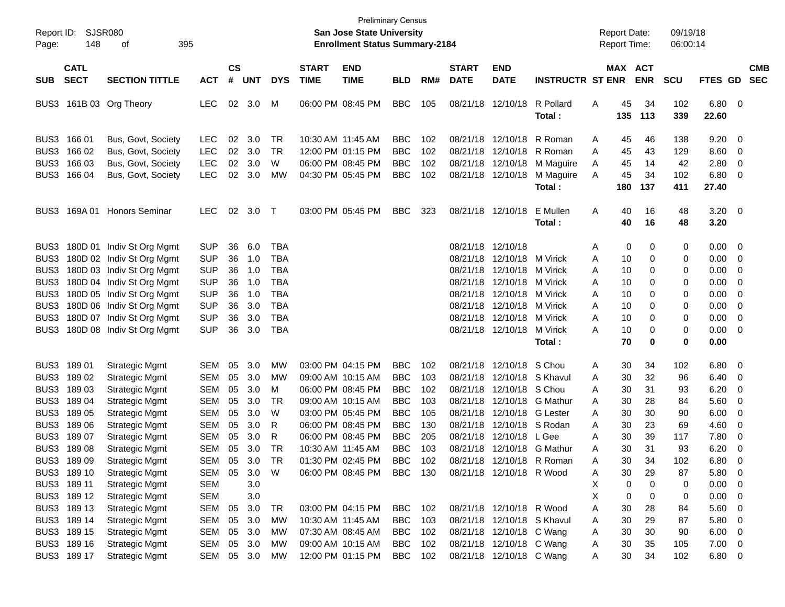| <b>CS</b><br><b>CATL</b><br><b>END</b><br><b>START</b><br><b>END</b><br>MAX ACT<br><b>CMB</b><br><b>START</b><br>#<br><b>SECT</b><br><b>SECTION TITTLE</b><br><b>UNT</b><br><b>DYS</b><br><b>TIME</b><br><b>TIME</b><br>RM#<br><b>DATE</b><br><b>DATE</b><br><b>INSTRUCTR ST ENR</b><br><b>ENR</b><br><b>SCU</b><br><b>FTES GD</b><br><b>SEC</b><br><b>SUB</b><br><b>ACT</b><br><b>BLD</b><br>102<br>6.80<br>BUS3 161B 03 Org Theory<br><b>LEC</b><br>02 3.0<br>м<br>06:00 PM 08:45 PM<br><b>BBC</b><br>105<br>08/21/18 12/10/18<br>R Pollard<br>A<br>45<br>34<br>$\overline{\phantom{0}}$<br>135<br>113<br>339<br>22.60<br>Total:<br>BUS3 166 01<br>3.0<br>Bus, Govt, Society<br><b>LEC</b><br>02<br>TR<br>10:30 AM 11:45 AM<br><b>BBC</b><br>102<br>08/21/18 12/10/18<br>R Roman<br>45<br>46<br>138<br>9.20<br>$\overline{0}$<br>Α<br>BUS3 166 02<br>LEC<br>02<br>3.0<br>TR<br><b>BBC</b><br>102<br>8.60<br>Bus, Govt, Society<br>12:00 PM 01:15 PM<br>08/21/18 12/10/18<br>R Roman<br>A<br>45<br>43<br>129<br>0<br>LEC<br>02<br>3.0<br>W<br><b>BBC</b><br>2.80<br>BUS3 166 03<br>Bus, Govt, Society<br>06:00 PM 08:45 PM<br>102<br>08/21/18 12/10/18 M Maguire<br>45<br>14<br>42<br>0<br>A<br><b>LEC</b><br>02<br>3.0<br><b>BBC</b><br>102<br>45<br>102<br>6.80<br>BUS3 166 04<br>Bus, Govt, Society<br>MW<br>04:30 PM 05:45 PM<br>08/21/18 12/10/18<br>M Maguire<br>A<br>34<br>$\overline{\mathbf{0}}$<br>180<br>137<br>411<br>27.40<br>Total:<br><b>Honors Seminar</b><br>02<br>03:00 PM 05:45 PM<br>08/21/18 12/10/18<br>E Mullen<br>$3.20 \ 0$<br>BUS3 169A01<br><b>LEC</b><br>3.0<br>$\top$<br><b>BBC</b><br>323<br>Α<br>40<br>16<br>48<br>40<br>16<br>48<br>3.20<br>Total:<br>6.0<br>08/21/18 12/10/18<br>0.00<br>BUS3 180D 01 Indiv St Org Mgmt<br><b>SUP</b><br>36<br><b>TBA</b><br>0<br>0<br>0<br>$\overline{\mathbf{0}}$<br>Α<br><b>SUP</b><br><b>TBA</b><br>12/10/18 M Virick<br>BUS3<br>180D 02 Indiv St Org Mgmt<br>36<br>1.0<br>08/21/18<br>10<br>0<br>0<br>0.00<br>0<br>Α<br>180D 03 Indiv St Org Mgmt<br><b>SUP</b><br><b>TBA</b><br>08/21/18 12/10/18 M Virick<br>BUS3<br>36<br>1.0<br>10<br>0<br>0<br>0.00<br>0<br>A<br>180D 04 Indiv St Org Mgmt<br><b>SUP</b><br><b>TBA</b><br>08/21/18 12/10/18 M Virick<br>BUS3<br>36<br>1.0<br>10<br>0<br>0.00<br>0<br>A<br>0<br><b>SUP</b><br><b>TBA</b><br>08/21/18 12/10/18 M Virick<br>BUS3<br>180D 05 Indiv St Org Mgmt<br>36<br>1.0<br>10<br>0<br>0.00<br>0<br>A<br>0<br><b>SUP</b><br><b>TBA</b><br>08/21/18 12/10/18 M Virick<br>BUS3<br>180D 06 Indiv St Org Mgmt<br>36<br>3.0<br>10<br>0<br>0.00<br>0<br>A<br>0<br><b>SUP</b><br><b>TBA</b><br>08/21/18 12/10/18 M Virick<br>BUS3<br>180D 07 Indiv St Org Mgmt<br>36<br>3.0<br>10<br>0<br>0<br>0.00<br>0<br>A<br><b>SUP</b><br>3.0<br><b>TBA</b><br>10<br>0.00<br>BUS3<br>180D 08 Indiv St Org Mgmt<br>36<br>08/21/18 12/10/18 M Virick<br>Α<br>0<br>0<br>0<br>70<br>0<br>0.00<br>Total:<br>0<br>03:00 PM 04:15 PM<br>6.80<br>BUS3 189 01<br><b>Strategic Mgmt</b><br>SEM<br>05<br>3.0<br>МW<br><b>BBC</b><br>102<br>08/21/18 12/10/18<br>S Chou<br>30<br>34<br>102<br>$\overline{\mathbf{0}}$<br>Α<br>3.0<br><b>BBC</b><br>103<br>08/21/18<br>6.40<br>BUS3 189 02<br><b>Strategic Mgmt</b><br><b>SEM</b><br>05<br>МW<br>09:00 AM 10:15 AM<br>12/10/18 S Khavul<br>30<br>32<br>96<br>0<br>Α<br>3.0<br><b>BBC</b><br>6.20<br>BUS3 189 03<br><b>Strategic Mgmt</b><br><b>SEM</b><br>05<br>м<br>06:00 PM 08:45 PM<br>102<br>08/21/18 12/10/18 S Chou<br>30<br>31<br>0<br>A<br>93<br><b>TR</b><br><b>BBC</b><br>BUS3 189 04<br><b>Strategic Mgmt</b><br><b>SEM</b><br>05<br>3.0<br>09:00 AM 10:15 AM<br>103<br>08/21/18<br>12/10/18 G Mathur<br>30<br>28<br>84<br>5.60<br>0<br>Α<br>3.0<br><b>BBC</b><br>BUS3 189 05<br><b>Strategic Mgmt</b><br>SEM<br>05<br>W<br>03:00 PM 05:45 PM<br>105<br>08/21/18<br>12/10/18 G Lester<br>30<br>30<br>90<br>6.00<br>0<br>Α<br>3.0<br>R<br><b>BBC</b><br>130<br>BUS3 189 06<br><b>Strategic Mgmt</b><br>SEM<br>05<br>06:00 PM 08:45 PM<br>08/21/18<br>12/10/18 S Rodan<br>30<br>23<br>69<br>4.60<br>0<br>Α<br>3.0<br>R<br><b>BBC</b><br>205<br>BUS3<br>18907<br><b>Strategic Mgmt</b><br><b>SEM</b><br>05<br>06:00 PM 08:45 PM<br>08/21/18<br>12/10/18 L Gee<br>30<br>39<br>117<br>7.80<br>0<br>A<br><b>TR</b><br><b>BBC</b><br>103<br>30<br>31<br>6.20<br>BUS3 189 08<br><b>Strategic Mgmt</b><br>SEM<br>05<br>3.0<br>10:30 AM 11:45 AM<br>08/21/18 12/10/18 G Mathur<br>93<br>0<br>A<br>BUS3 189 09<br><b>Strategic Mgmt</b><br>SEM<br>05<br>3.0<br>TR<br>01:30 PM 02:45 PM<br><b>BBC</b><br>102<br>08/21/18 12/10/18 R Roman<br>30<br>34<br>102<br>6.80<br>$\overline{\mathbf{0}}$<br>Α<br>BUS3 189 10<br>SEM<br>3.0<br>W<br><b>BBC</b><br>30<br>29<br>5.80<br><b>Strategic Mgmt</b><br>05<br>06:00 PM 08:45 PM<br>130<br>08/21/18 12/10/18 R Wood<br>87<br>Α<br>- 0<br>BUS3 189 11<br><b>SEM</b><br>3.0<br>X<br>0<br>0<br>0.00<br><b>Strategic Mgmt</b><br>0<br>$\overline{\mathbf{0}}$<br>3.0<br>BUS3 189 12<br><b>SEM</b><br>х<br>0<br>0.00<br><b>Strategic Mgmt</b><br>0<br>0<br>0<br>BUS3 189 13<br><b>Strategic Mgmt</b><br>SEM<br>3.0<br>TR<br>08/21/18 12/10/18 R Wood<br>5.60<br>05<br>03:00 PM 04:15 PM<br><b>BBC</b><br>102<br>Α<br>30<br>28<br>84<br>$\overline{\mathbf{0}}$<br>BUS3 189 14<br>SEM<br>3.0<br><b>BBC</b><br>08/21/18 12/10/18 S Khavul<br>30<br>29<br>5.80<br><b>Strategic Mgmt</b><br>05<br>МW<br>10:30 AM 11:45 AM<br>103<br>87<br>0<br>Α<br>BUS3 189 15<br>SEM<br>3.0<br><b>BBC</b><br>08/21/18 12/10/18 C Wang<br>30<br>30<br>90<br>6.00<br><b>Strategic Mgmt</b><br>05<br>MW<br>07:30 AM 08:45 AM<br>102<br>$\overline{\phantom{0}}$<br>Α<br>BUS3 189 16<br><b>Strategic Mgmt</b><br>SEM<br>05 3.0<br>09:00 AM 10:15 AM<br><b>BBC</b><br>102<br>08/21/18 12/10/18 C Wang<br>30<br>35<br>$7.00 \t 0$<br>МW<br>105<br>Α<br>BUS3 189 17<br>SEM 05 3.0<br>12:00 PM 01:15 PM<br>08/21/18 12/10/18 C Wang<br>$30\,$<br>$6.80\ 0$ | Report ID:<br>Page: | 148 | <b>SJSR080</b><br>395<br>οf |  |    | <b>San Jose State University</b><br><b>Enrollment Status Summary-2184</b> | <b>Preliminary Census</b> |     |  | <b>Report Date:</b><br><b>Report Time:</b> |    | 09/19/18<br>06:00:14 |  |  |
|--------------------------------------------------------------------------------------------------------------------------------------------------------------------------------------------------------------------------------------------------------------------------------------------------------------------------------------------------------------------------------------------------------------------------------------------------------------------------------------------------------------------------------------------------------------------------------------------------------------------------------------------------------------------------------------------------------------------------------------------------------------------------------------------------------------------------------------------------------------------------------------------------------------------------------------------------------------------------------------------------------------------------------------------------------------------------------------------------------------------------------------------------------------------------------------------------------------------------------------------------------------------------------------------------------------------------------------------------------------------------------------------------------------------------------------------------------------------------------------------------------------------------------------------------------------------------------------------------------------------------------------------------------------------------------------------------------------------------------------------------------------------------------------------------------------------------------------------------------------------------------------------------------------------------------------------------------------------------------------------------------------------------------------------------------------------------------------------------------------------------------------------------------------------------------------------------------------------------------------------------------------------------------------------------------------------------------------------------------------------------------------------------------------------------------------------------------------------------------------------------------------------------------------------------------------------------------------------------------------------------------------------------------------------------------------------------------------------------------------------------------------------------------------------------------------------------------------------------------------------------------------------------------------------------------------------------------------------------------------------------------------------------------------------------------------------------------------------------------------------------------------------------------------------------------------------------------------------------------------------------------------------------------------------------------------------------------------------------------------------------------------------------------------------------------------------------------------------------------------------------------------------------------------------------------------------------------------------------------------------------------------------------------------------------------------------------------------------------------------------------------------------------------------------------------------------------------------------------------------------------------------------------------------------------------------------------------------------------------------------------------------------------------------------------------------------------------------------------------------------------------------------------------------------------------------------------------------------------------------------------------------------------------------------------------------------------------------------------------------------------------------------------------------------------------------------------------------------------------------------------------------------------------------------------------------------------------------------------------------------------------------------------------------------------------------------------------------------------------------------------------------------------------------------------------------------------------------------------------------------------------------------------------------------------------------------------------------------------------------------------------------------------------------------------------------------------------------------------------------------------------------------------------------------------------------------------------------------------------------------------------------------------------------------------------------------------------------------------------------------------------------------------------------------------------------------------------------------------------------------------------------------------------------------------------------------------------------------------------------------------------------------------------------------------------------------------------------------------------------------------------------------------------------------------------------------------------------------------------------------------------------------------------------------|---------------------|-----|-----------------------------|--|----|---------------------------------------------------------------------------|---------------------------|-----|--|--------------------------------------------|----|----------------------|--|--|
|                                                                                                                                                                                                                                                                                                                                                                                                                                                                                                                                                                                                                                                                                                                                                                                                                                                                                                                                                                                                                                                                                                                                                                                                                                                                                                                                                                                                                                                                                                                                                                                                                                                                                                                                                                                                                                                                                                                                                                                                                                                                                                                                                                                                                                                                                                                                                                                                                                                                                                                                                                                                                                                                                                                                                                                                                                                                                                                                                                                                                                                                                                                                                                                                                                                                                                                                                                                                                                                                                                                                                                                                                                                                                                                                                                                                                                                                                                                                                                                                                                                                                                                                                                                                                                                                                                                                                                                                                                                                                                                                                                                                                                                                                                                                                                                                                                                                                                                                                                                                                                                                                                                                                                                                                                                                                                                                                                                                                                                                                                                                                                                                                                                                                                                                                                                                                                                                                                                    |                     |     |                             |  |    |                                                                           |                           |     |  |                                            |    |                      |  |  |
|                                                                                                                                                                                                                                                                                                                                                                                                                                                                                                                                                                                                                                                                                                                                                                                                                                                                                                                                                                                                                                                                                                                                                                                                                                                                                                                                                                                                                                                                                                                                                                                                                                                                                                                                                                                                                                                                                                                                                                                                                                                                                                                                                                                                                                                                                                                                                                                                                                                                                                                                                                                                                                                                                                                                                                                                                                                                                                                                                                                                                                                                                                                                                                                                                                                                                                                                                                                                                                                                                                                                                                                                                                                                                                                                                                                                                                                                                                                                                                                                                                                                                                                                                                                                                                                                                                                                                                                                                                                                                                                                                                                                                                                                                                                                                                                                                                                                                                                                                                                                                                                                                                                                                                                                                                                                                                                                                                                                                                                                                                                                                                                                                                                                                                                                                                                                                                                                                                                    |                     |     |                             |  |    |                                                                           |                           |     |  |                                            |    |                      |  |  |
|                                                                                                                                                                                                                                                                                                                                                                                                                                                                                                                                                                                                                                                                                                                                                                                                                                                                                                                                                                                                                                                                                                                                                                                                                                                                                                                                                                                                                                                                                                                                                                                                                                                                                                                                                                                                                                                                                                                                                                                                                                                                                                                                                                                                                                                                                                                                                                                                                                                                                                                                                                                                                                                                                                                                                                                                                                                                                                                                                                                                                                                                                                                                                                                                                                                                                                                                                                                                                                                                                                                                                                                                                                                                                                                                                                                                                                                                                                                                                                                                                                                                                                                                                                                                                                                                                                                                                                                                                                                                                                                                                                                                                                                                                                                                                                                                                                                                                                                                                                                                                                                                                                                                                                                                                                                                                                                                                                                                                                                                                                                                                                                                                                                                                                                                                                                                                                                                                                                    |                     |     |                             |  |    |                                                                           |                           |     |  |                                            |    |                      |  |  |
|                                                                                                                                                                                                                                                                                                                                                                                                                                                                                                                                                                                                                                                                                                                                                                                                                                                                                                                                                                                                                                                                                                                                                                                                                                                                                                                                                                                                                                                                                                                                                                                                                                                                                                                                                                                                                                                                                                                                                                                                                                                                                                                                                                                                                                                                                                                                                                                                                                                                                                                                                                                                                                                                                                                                                                                                                                                                                                                                                                                                                                                                                                                                                                                                                                                                                                                                                                                                                                                                                                                                                                                                                                                                                                                                                                                                                                                                                                                                                                                                                                                                                                                                                                                                                                                                                                                                                                                                                                                                                                                                                                                                                                                                                                                                                                                                                                                                                                                                                                                                                                                                                                                                                                                                                                                                                                                                                                                                                                                                                                                                                                                                                                                                                                                                                                                                                                                                                                                    |                     |     |                             |  |    |                                                                           |                           |     |  |                                            |    |                      |  |  |
|                                                                                                                                                                                                                                                                                                                                                                                                                                                                                                                                                                                                                                                                                                                                                                                                                                                                                                                                                                                                                                                                                                                                                                                                                                                                                                                                                                                                                                                                                                                                                                                                                                                                                                                                                                                                                                                                                                                                                                                                                                                                                                                                                                                                                                                                                                                                                                                                                                                                                                                                                                                                                                                                                                                                                                                                                                                                                                                                                                                                                                                                                                                                                                                                                                                                                                                                                                                                                                                                                                                                                                                                                                                                                                                                                                                                                                                                                                                                                                                                                                                                                                                                                                                                                                                                                                                                                                                                                                                                                                                                                                                                                                                                                                                                                                                                                                                                                                                                                                                                                                                                                                                                                                                                                                                                                                                                                                                                                                                                                                                                                                                                                                                                                                                                                                                                                                                                                                                    |                     |     |                             |  |    |                                                                           |                           |     |  |                                            |    |                      |  |  |
|                                                                                                                                                                                                                                                                                                                                                                                                                                                                                                                                                                                                                                                                                                                                                                                                                                                                                                                                                                                                                                                                                                                                                                                                                                                                                                                                                                                                                                                                                                                                                                                                                                                                                                                                                                                                                                                                                                                                                                                                                                                                                                                                                                                                                                                                                                                                                                                                                                                                                                                                                                                                                                                                                                                                                                                                                                                                                                                                                                                                                                                                                                                                                                                                                                                                                                                                                                                                                                                                                                                                                                                                                                                                                                                                                                                                                                                                                                                                                                                                                                                                                                                                                                                                                                                                                                                                                                                                                                                                                                                                                                                                                                                                                                                                                                                                                                                                                                                                                                                                                                                                                                                                                                                                                                                                                                                                                                                                                                                                                                                                                                                                                                                                                                                                                                                                                                                                                                                    |                     |     |                             |  |    |                                                                           |                           |     |  |                                            |    |                      |  |  |
|                                                                                                                                                                                                                                                                                                                                                                                                                                                                                                                                                                                                                                                                                                                                                                                                                                                                                                                                                                                                                                                                                                                                                                                                                                                                                                                                                                                                                                                                                                                                                                                                                                                                                                                                                                                                                                                                                                                                                                                                                                                                                                                                                                                                                                                                                                                                                                                                                                                                                                                                                                                                                                                                                                                                                                                                                                                                                                                                                                                                                                                                                                                                                                                                                                                                                                                                                                                                                                                                                                                                                                                                                                                                                                                                                                                                                                                                                                                                                                                                                                                                                                                                                                                                                                                                                                                                                                                                                                                                                                                                                                                                                                                                                                                                                                                                                                                                                                                                                                                                                                                                                                                                                                                                                                                                                                                                                                                                                                                                                                                                                                                                                                                                                                                                                                                                                                                                                                                    |                     |     |                             |  |    |                                                                           |                           |     |  |                                            |    |                      |  |  |
|                                                                                                                                                                                                                                                                                                                                                                                                                                                                                                                                                                                                                                                                                                                                                                                                                                                                                                                                                                                                                                                                                                                                                                                                                                                                                                                                                                                                                                                                                                                                                                                                                                                                                                                                                                                                                                                                                                                                                                                                                                                                                                                                                                                                                                                                                                                                                                                                                                                                                                                                                                                                                                                                                                                                                                                                                                                                                                                                                                                                                                                                                                                                                                                                                                                                                                                                                                                                                                                                                                                                                                                                                                                                                                                                                                                                                                                                                                                                                                                                                                                                                                                                                                                                                                                                                                                                                                                                                                                                                                                                                                                                                                                                                                                                                                                                                                                                                                                                                                                                                                                                                                                                                                                                                                                                                                                                                                                                                                                                                                                                                                                                                                                                                                                                                                                                                                                                                                                    |                     |     |                             |  |    |                                                                           |                           |     |  |                                            |    |                      |  |  |
|                                                                                                                                                                                                                                                                                                                                                                                                                                                                                                                                                                                                                                                                                                                                                                                                                                                                                                                                                                                                                                                                                                                                                                                                                                                                                                                                                                                                                                                                                                                                                                                                                                                                                                                                                                                                                                                                                                                                                                                                                                                                                                                                                                                                                                                                                                                                                                                                                                                                                                                                                                                                                                                                                                                                                                                                                                                                                                                                                                                                                                                                                                                                                                                                                                                                                                                                                                                                                                                                                                                                                                                                                                                                                                                                                                                                                                                                                                                                                                                                                                                                                                                                                                                                                                                                                                                                                                                                                                                                                                                                                                                                                                                                                                                                                                                                                                                                                                                                                                                                                                                                                                                                                                                                                                                                                                                                                                                                                                                                                                                                                                                                                                                                                                                                                                                                                                                                                                                    |                     |     |                             |  |    |                                                                           |                           |     |  |                                            |    |                      |  |  |
|                                                                                                                                                                                                                                                                                                                                                                                                                                                                                                                                                                                                                                                                                                                                                                                                                                                                                                                                                                                                                                                                                                                                                                                                                                                                                                                                                                                                                                                                                                                                                                                                                                                                                                                                                                                                                                                                                                                                                                                                                                                                                                                                                                                                                                                                                                                                                                                                                                                                                                                                                                                                                                                                                                                                                                                                                                                                                                                                                                                                                                                                                                                                                                                                                                                                                                                                                                                                                                                                                                                                                                                                                                                                                                                                                                                                                                                                                                                                                                                                                                                                                                                                                                                                                                                                                                                                                                                                                                                                                                                                                                                                                                                                                                                                                                                                                                                                                                                                                                                                                                                                                                                                                                                                                                                                                                                                                                                                                                                                                                                                                                                                                                                                                                                                                                                                                                                                                                                    |                     |     |                             |  |    |                                                                           |                           |     |  |                                            |    |                      |  |  |
|                                                                                                                                                                                                                                                                                                                                                                                                                                                                                                                                                                                                                                                                                                                                                                                                                                                                                                                                                                                                                                                                                                                                                                                                                                                                                                                                                                                                                                                                                                                                                                                                                                                                                                                                                                                                                                                                                                                                                                                                                                                                                                                                                                                                                                                                                                                                                                                                                                                                                                                                                                                                                                                                                                                                                                                                                                                                                                                                                                                                                                                                                                                                                                                                                                                                                                                                                                                                                                                                                                                                                                                                                                                                                                                                                                                                                                                                                                                                                                                                                                                                                                                                                                                                                                                                                                                                                                                                                                                                                                                                                                                                                                                                                                                                                                                                                                                                                                                                                                                                                                                                                                                                                                                                                                                                                                                                                                                                                                                                                                                                                                                                                                                                                                                                                                                                                                                                                                                    |                     |     |                             |  |    |                                                                           |                           |     |  |                                            |    |                      |  |  |
|                                                                                                                                                                                                                                                                                                                                                                                                                                                                                                                                                                                                                                                                                                                                                                                                                                                                                                                                                                                                                                                                                                                                                                                                                                                                                                                                                                                                                                                                                                                                                                                                                                                                                                                                                                                                                                                                                                                                                                                                                                                                                                                                                                                                                                                                                                                                                                                                                                                                                                                                                                                                                                                                                                                                                                                                                                                                                                                                                                                                                                                                                                                                                                                                                                                                                                                                                                                                                                                                                                                                                                                                                                                                                                                                                                                                                                                                                                                                                                                                                                                                                                                                                                                                                                                                                                                                                                                                                                                                                                                                                                                                                                                                                                                                                                                                                                                                                                                                                                                                                                                                                                                                                                                                                                                                                                                                                                                                                                                                                                                                                                                                                                                                                                                                                                                                                                                                                                                    |                     |     |                             |  |    |                                                                           |                           |     |  |                                            |    |                      |  |  |
|                                                                                                                                                                                                                                                                                                                                                                                                                                                                                                                                                                                                                                                                                                                                                                                                                                                                                                                                                                                                                                                                                                                                                                                                                                                                                                                                                                                                                                                                                                                                                                                                                                                                                                                                                                                                                                                                                                                                                                                                                                                                                                                                                                                                                                                                                                                                                                                                                                                                                                                                                                                                                                                                                                                                                                                                                                                                                                                                                                                                                                                                                                                                                                                                                                                                                                                                                                                                                                                                                                                                                                                                                                                                                                                                                                                                                                                                                                                                                                                                                                                                                                                                                                                                                                                                                                                                                                                                                                                                                                                                                                                                                                                                                                                                                                                                                                                                                                                                                                                                                                                                                                                                                                                                                                                                                                                                                                                                                                                                                                                                                                                                                                                                                                                                                                                                                                                                                                                    |                     |     |                             |  |    |                                                                           |                           |     |  |                                            |    |                      |  |  |
|                                                                                                                                                                                                                                                                                                                                                                                                                                                                                                                                                                                                                                                                                                                                                                                                                                                                                                                                                                                                                                                                                                                                                                                                                                                                                                                                                                                                                                                                                                                                                                                                                                                                                                                                                                                                                                                                                                                                                                                                                                                                                                                                                                                                                                                                                                                                                                                                                                                                                                                                                                                                                                                                                                                                                                                                                                                                                                                                                                                                                                                                                                                                                                                                                                                                                                                                                                                                                                                                                                                                                                                                                                                                                                                                                                                                                                                                                                                                                                                                                                                                                                                                                                                                                                                                                                                                                                                                                                                                                                                                                                                                                                                                                                                                                                                                                                                                                                                                                                                                                                                                                                                                                                                                                                                                                                                                                                                                                                                                                                                                                                                                                                                                                                                                                                                                                                                                                                                    |                     |     |                             |  |    |                                                                           |                           |     |  |                                            |    |                      |  |  |
|                                                                                                                                                                                                                                                                                                                                                                                                                                                                                                                                                                                                                                                                                                                                                                                                                                                                                                                                                                                                                                                                                                                                                                                                                                                                                                                                                                                                                                                                                                                                                                                                                                                                                                                                                                                                                                                                                                                                                                                                                                                                                                                                                                                                                                                                                                                                                                                                                                                                                                                                                                                                                                                                                                                                                                                                                                                                                                                                                                                                                                                                                                                                                                                                                                                                                                                                                                                                                                                                                                                                                                                                                                                                                                                                                                                                                                                                                                                                                                                                                                                                                                                                                                                                                                                                                                                                                                                                                                                                                                                                                                                                                                                                                                                                                                                                                                                                                                                                                                                                                                                                                                                                                                                                                                                                                                                                                                                                                                                                                                                                                                                                                                                                                                                                                                                                                                                                                                                    |                     |     |                             |  |    |                                                                           |                           |     |  |                                            |    |                      |  |  |
|                                                                                                                                                                                                                                                                                                                                                                                                                                                                                                                                                                                                                                                                                                                                                                                                                                                                                                                                                                                                                                                                                                                                                                                                                                                                                                                                                                                                                                                                                                                                                                                                                                                                                                                                                                                                                                                                                                                                                                                                                                                                                                                                                                                                                                                                                                                                                                                                                                                                                                                                                                                                                                                                                                                                                                                                                                                                                                                                                                                                                                                                                                                                                                                                                                                                                                                                                                                                                                                                                                                                                                                                                                                                                                                                                                                                                                                                                                                                                                                                                                                                                                                                                                                                                                                                                                                                                                                                                                                                                                                                                                                                                                                                                                                                                                                                                                                                                                                                                                                                                                                                                                                                                                                                                                                                                                                                                                                                                                                                                                                                                                                                                                                                                                                                                                                                                                                                                                                    |                     |     |                             |  |    |                                                                           |                           |     |  |                                            |    |                      |  |  |
|                                                                                                                                                                                                                                                                                                                                                                                                                                                                                                                                                                                                                                                                                                                                                                                                                                                                                                                                                                                                                                                                                                                                                                                                                                                                                                                                                                                                                                                                                                                                                                                                                                                                                                                                                                                                                                                                                                                                                                                                                                                                                                                                                                                                                                                                                                                                                                                                                                                                                                                                                                                                                                                                                                                                                                                                                                                                                                                                                                                                                                                                                                                                                                                                                                                                                                                                                                                                                                                                                                                                                                                                                                                                                                                                                                                                                                                                                                                                                                                                                                                                                                                                                                                                                                                                                                                                                                                                                                                                                                                                                                                                                                                                                                                                                                                                                                                                                                                                                                                                                                                                                                                                                                                                                                                                                                                                                                                                                                                                                                                                                                                                                                                                                                                                                                                                                                                                                                                    |                     |     |                             |  |    |                                                                           |                           |     |  |                                            |    |                      |  |  |
|                                                                                                                                                                                                                                                                                                                                                                                                                                                                                                                                                                                                                                                                                                                                                                                                                                                                                                                                                                                                                                                                                                                                                                                                                                                                                                                                                                                                                                                                                                                                                                                                                                                                                                                                                                                                                                                                                                                                                                                                                                                                                                                                                                                                                                                                                                                                                                                                                                                                                                                                                                                                                                                                                                                                                                                                                                                                                                                                                                                                                                                                                                                                                                                                                                                                                                                                                                                                                                                                                                                                                                                                                                                                                                                                                                                                                                                                                                                                                                                                                                                                                                                                                                                                                                                                                                                                                                                                                                                                                                                                                                                                                                                                                                                                                                                                                                                                                                                                                                                                                                                                                                                                                                                                                                                                                                                                                                                                                                                                                                                                                                                                                                                                                                                                                                                                                                                                                                                    |                     |     |                             |  |    |                                                                           |                           |     |  |                                            |    |                      |  |  |
|                                                                                                                                                                                                                                                                                                                                                                                                                                                                                                                                                                                                                                                                                                                                                                                                                                                                                                                                                                                                                                                                                                                                                                                                                                                                                                                                                                                                                                                                                                                                                                                                                                                                                                                                                                                                                                                                                                                                                                                                                                                                                                                                                                                                                                                                                                                                                                                                                                                                                                                                                                                                                                                                                                                                                                                                                                                                                                                                                                                                                                                                                                                                                                                                                                                                                                                                                                                                                                                                                                                                                                                                                                                                                                                                                                                                                                                                                                                                                                                                                                                                                                                                                                                                                                                                                                                                                                                                                                                                                                                                                                                                                                                                                                                                                                                                                                                                                                                                                                                                                                                                                                                                                                                                                                                                                                                                                                                                                                                                                                                                                                                                                                                                                                                                                                                                                                                                                                                    |                     |     |                             |  |    |                                                                           |                           |     |  |                                            |    |                      |  |  |
|                                                                                                                                                                                                                                                                                                                                                                                                                                                                                                                                                                                                                                                                                                                                                                                                                                                                                                                                                                                                                                                                                                                                                                                                                                                                                                                                                                                                                                                                                                                                                                                                                                                                                                                                                                                                                                                                                                                                                                                                                                                                                                                                                                                                                                                                                                                                                                                                                                                                                                                                                                                                                                                                                                                                                                                                                                                                                                                                                                                                                                                                                                                                                                                                                                                                                                                                                                                                                                                                                                                                                                                                                                                                                                                                                                                                                                                                                                                                                                                                                                                                                                                                                                                                                                                                                                                                                                                                                                                                                                                                                                                                                                                                                                                                                                                                                                                                                                                                                                                                                                                                                                                                                                                                                                                                                                                                                                                                                                                                                                                                                                                                                                                                                                                                                                                                                                                                                                                    |                     |     |                             |  |    |                                                                           |                           |     |  |                                            |    |                      |  |  |
|                                                                                                                                                                                                                                                                                                                                                                                                                                                                                                                                                                                                                                                                                                                                                                                                                                                                                                                                                                                                                                                                                                                                                                                                                                                                                                                                                                                                                                                                                                                                                                                                                                                                                                                                                                                                                                                                                                                                                                                                                                                                                                                                                                                                                                                                                                                                                                                                                                                                                                                                                                                                                                                                                                                                                                                                                                                                                                                                                                                                                                                                                                                                                                                                                                                                                                                                                                                                                                                                                                                                                                                                                                                                                                                                                                                                                                                                                                                                                                                                                                                                                                                                                                                                                                                                                                                                                                                                                                                                                                                                                                                                                                                                                                                                                                                                                                                                                                                                                                                                                                                                                                                                                                                                                                                                                                                                                                                                                                                                                                                                                                                                                                                                                                                                                                                                                                                                                                                    |                     |     |                             |  |    |                                                                           |                           |     |  |                                            |    |                      |  |  |
|                                                                                                                                                                                                                                                                                                                                                                                                                                                                                                                                                                                                                                                                                                                                                                                                                                                                                                                                                                                                                                                                                                                                                                                                                                                                                                                                                                                                                                                                                                                                                                                                                                                                                                                                                                                                                                                                                                                                                                                                                                                                                                                                                                                                                                                                                                                                                                                                                                                                                                                                                                                                                                                                                                                                                                                                                                                                                                                                                                                                                                                                                                                                                                                                                                                                                                                                                                                                                                                                                                                                                                                                                                                                                                                                                                                                                                                                                                                                                                                                                                                                                                                                                                                                                                                                                                                                                                                                                                                                                                                                                                                                                                                                                                                                                                                                                                                                                                                                                                                                                                                                                                                                                                                                                                                                                                                                                                                                                                                                                                                                                                                                                                                                                                                                                                                                                                                                                                                    |                     |     |                             |  |    |                                                                           |                           |     |  |                                            |    |                      |  |  |
|                                                                                                                                                                                                                                                                                                                                                                                                                                                                                                                                                                                                                                                                                                                                                                                                                                                                                                                                                                                                                                                                                                                                                                                                                                                                                                                                                                                                                                                                                                                                                                                                                                                                                                                                                                                                                                                                                                                                                                                                                                                                                                                                                                                                                                                                                                                                                                                                                                                                                                                                                                                                                                                                                                                                                                                                                                                                                                                                                                                                                                                                                                                                                                                                                                                                                                                                                                                                                                                                                                                                                                                                                                                                                                                                                                                                                                                                                                                                                                                                                                                                                                                                                                                                                                                                                                                                                                                                                                                                                                                                                                                                                                                                                                                                                                                                                                                                                                                                                                                                                                                                                                                                                                                                                                                                                                                                                                                                                                                                                                                                                                                                                                                                                                                                                                                                                                                                                                                    |                     |     |                             |  |    |                                                                           |                           |     |  |                                            |    |                      |  |  |
|                                                                                                                                                                                                                                                                                                                                                                                                                                                                                                                                                                                                                                                                                                                                                                                                                                                                                                                                                                                                                                                                                                                                                                                                                                                                                                                                                                                                                                                                                                                                                                                                                                                                                                                                                                                                                                                                                                                                                                                                                                                                                                                                                                                                                                                                                                                                                                                                                                                                                                                                                                                                                                                                                                                                                                                                                                                                                                                                                                                                                                                                                                                                                                                                                                                                                                                                                                                                                                                                                                                                                                                                                                                                                                                                                                                                                                                                                                                                                                                                                                                                                                                                                                                                                                                                                                                                                                                                                                                                                                                                                                                                                                                                                                                                                                                                                                                                                                                                                                                                                                                                                                                                                                                                                                                                                                                                                                                                                                                                                                                                                                                                                                                                                                                                                                                                                                                                                                                    |                     |     |                             |  |    |                                                                           |                           |     |  |                                            |    |                      |  |  |
|                                                                                                                                                                                                                                                                                                                                                                                                                                                                                                                                                                                                                                                                                                                                                                                                                                                                                                                                                                                                                                                                                                                                                                                                                                                                                                                                                                                                                                                                                                                                                                                                                                                                                                                                                                                                                                                                                                                                                                                                                                                                                                                                                                                                                                                                                                                                                                                                                                                                                                                                                                                                                                                                                                                                                                                                                                                                                                                                                                                                                                                                                                                                                                                                                                                                                                                                                                                                                                                                                                                                                                                                                                                                                                                                                                                                                                                                                                                                                                                                                                                                                                                                                                                                                                                                                                                                                                                                                                                                                                                                                                                                                                                                                                                                                                                                                                                                                                                                                                                                                                                                                                                                                                                                                                                                                                                                                                                                                                                                                                                                                                                                                                                                                                                                                                                                                                                                                                                    |                     |     |                             |  |    |                                                                           |                           |     |  |                                            |    |                      |  |  |
|                                                                                                                                                                                                                                                                                                                                                                                                                                                                                                                                                                                                                                                                                                                                                                                                                                                                                                                                                                                                                                                                                                                                                                                                                                                                                                                                                                                                                                                                                                                                                                                                                                                                                                                                                                                                                                                                                                                                                                                                                                                                                                                                                                                                                                                                                                                                                                                                                                                                                                                                                                                                                                                                                                                                                                                                                                                                                                                                                                                                                                                                                                                                                                                                                                                                                                                                                                                                                                                                                                                                                                                                                                                                                                                                                                                                                                                                                                                                                                                                                                                                                                                                                                                                                                                                                                                                                                                                                                                                                                                                                                                                                                                                                                                                                                                                                                                                                                                                                                                                                                                                                                                                                                                                                                                                                                                                                                                                                                                                                                                                                                                                                                                                                                                                                                                                                                                                                                                    |                     |     |                             |  |    |                                                                           |                           |     |  |                                            |    |                      |  |  |
|                                                                                                                                                                                                                                                                                                                                                                                                                                                                                                                                                                                                                                                                                                                                                                                                                                                                                                                                                                                                                                                                                                                                                                                                                                                                                                                                                                                                                                                                                                                                                                                                                                                                                                                                                                                                                                                                                                                                                                                                                                                                                                                                                                                                                                                                                                                                                                                                                                                                                                                                                                                                                                                                                                                                                                                                                                                                                                                                                                                                                                                                                                                                                                                                                                                                                                                                                                                                                                                                                                                                                                                                                                                                                                                                                                                                                                                                                                                                                                                                                                                                                                                                                                                                                                                                                                                                                                                                                                                                                                                                                                                                                                                                                                                                                                                                                                                                                                                                                                                                                                                                                                                                                                                                                                                                                                                                                                                                                                                                                                                                                                                                                                                                                                                                                                                                                                                                                                                    |                     |     |                             |  |    |                                                                           |                           |     |  |                                            |    |                      |  |  |
|                                                                                                                                                                                                                                                                                                                                                                                                                                                                                                                                                                                                                                                                                                                                                                                                                                                                                                                                                                                                                                                                                                                                                                                                                                                                                                                                                                                                                                                                                                                                                                                                                                                                                                                                                                                                                                                                                                                                                                                                                                                                                                                                                                                                                                                                                                                                                                                                                                                                                                                                                                                                                                                                                                                                                                                                                                                                                                                                                                                                                                                                                                                                                                                                                                                                                                                                                                                                                                                                                                                                                                                                                                                                                                                                                                                                                                                                                                                                                                                                                                                                                                                                                                                                                                                                                                                                                                                                                                                                                                                                                                                                                                                                                                                                                                                                                                                                                                                                                                                                                                                                                                                                                                                                                                                                                                                                                                                                                                                                                                                                                                                                                                                                                                                                                                                                                                                                                                                    |                     |     |                             |  |    |                                                                           |                           |     |  |                                            |    |                      |  |  |
|                                                                                                                                                                                                                                                                                                                                                                                                                                                                                                                                                                                                                                                                                                                                                                                                                                                                                                                                                                                                                                                                                                                                                                                                                                                                                                                                                                                                                                                                                                                                                                                                                                                                                                                                                                                                                                                                                                                                                                                                                                                                                                                                                                                                                                                                                                                                                                                                                                                                                                                                                                                                                                                                                                                                                                                                                                                                                                                                                                                                                                                                                                                                                                                                                                                                                                                                                                                                                                                                                                                                                                                                                                                                                                                                                                                                                                                                                                                                                                                                                                                                                                                                                                                                                                                                                                                                                                                                                                                                                                                                                                                                                                                                                                                                                                                                                                                                                                                                                                                                                                                                                                                                                                                                                                                                                                                                                                                                                                                                                                                                                                                                                                                                                                                                                                                                                                                                                                                    |                     |     |                             |  |    |                                                                           |                           |     |  |                                            |    |                      |  |  |
|                                                                                                                                                                                                                                                                                                                                                                                                                                                                                                                                                                                                                                                                                                                                                                                                                                                                                                                                                                                                                                                                                                                                                                                                                                                                                                                                                                                                                                                                                                                                                                                                                                                                                                                                                                                                                                                                                                                                                                                                                                                                                                                                                                                                                                                                                                                                                                                                                                                                                                                                                                                                                                                                                                                                                                                                                                                                                                                                                                                                                                                                                                                                                                                                                                                                                                                                                                                                                                                                                                                                                                                                                                                                                                                                                                                                                                                                                                                                                                                                                                                                                                                                                                                                                                                                                                                                                                                                                                                                                                                                                                                                                                                                                                                                                                                                                                                                                                                                                                                                                                                                                                                                                                                                                                                                                                                                                                                                                                                                                                                                                                                                                                                                                                                                                                                                                                                                                                                    |                     |     |                             |  |    |                                                                           |                           |     |  |                                            |    |                      |  |  |
|                                                                                                                                                                                                                                                                                                                                                                                                                                                                                                                                                                                                                                                                                                                                                                                                                                                                                                                                                                                                                                                                                                                                                                                                                                                                                                                                                                                                                                                                                                                                                                                                                                                                                                                                                                                                                                                                                                                                                                                                                                                                                                                                                                                                                                                                                                                                                                                                                                                                                                                                                                                                                                                                                                                                                                                                                                                                                                                                                                                                                                                                                                                                                                                                                                                                                                                                                                                                                                                                                                                                                                                                                                                                                                                                                                                                                                                                                                                                                                                                                                                                                                                                                                                                                                                                                                                                                                                                                                                                                                                                                                                                                                                                                                                                                                                                                                                                                                                                                                                                                                                                                                                                                                                                                                                                                                                                                                                                                                                                                                                                                                                                                                                                                                                                                                                                                                                                                                                    |                     |     |                             |  |    |                                                                           |                           |     |  |                                            |    |                      |  |  |
|                                                                                                                                                                                                                                                                                                                                                                                                                                                                                                                                                                                                                                                                                                                                                                                                                                                                                                                                                                                                                                                                                                                                                                                                                                                                                                                                                                                                                                                                                                                                                                                                                                                                                                                                                                                                                                                                                                                                                                                                                                                                                                                                                                                                                                                                                                                                                                                                                                                                                                                                                                                                                                                                                                                                                                                                                                                                                                                                                                                                                                                                                                                                                                                                                                                                                                                                                                                                                                                                                                                                                                                                                                                                                                                                                                                                                                                                                                                                                                                                                                                                                                                                                                                                                                                                                                                                                                                                                                                                                                                                                                                                                                                                                                                                                                                                                                                                                                                                                                                                                                                                                                                                                                                                                                                                                                                                                                                                                                                                                                                                                                                                                                                                                                                                                                                                                                                                                                                    |                     |     |                             |  |    |                                                                           |                           |     |  |                                            |    |                      |  |  |
|                                                                                                                                                                                                                                                                                                                                                                                                                                                                                                                                                                                                                                                                                                                                                                                                                                                                                                                                                                                                                                                                                                                                                                                                                                                                                                                                                                                                                                                                                                                                                                                                                                                                                                                                                                                                                                                                                                                                                                                                                                                                                                                                                                                                                                                                                                                                                                                                                                                                                                                                                                                                                                                                                                                                                                                                                                                                                                                                                                                                                                                                                                                                                                                                                                                                                                                                                                                                                                                                                                                                                                                                                                                                                                                                                                                                                                                                                                                                                                                                                                                                                                                                                                                                                                                                                                                                                                                                                                                                                                                                                                                                                                                                                                                                                                                                                                                                                                                                                                                                                                                                                                                                                                                                                                                                                                                                                                                                                                                                                                                                                                                                                                                                                                                                                                                                                                                                                                                    |                     |     |                             |  |    |                                                                           |                           |     |  |                                            |    |                      |  |  |
|                                                                                                                                                                                                                                                                                                                                                                                                                                                                                                                                                                                                                                                                                                                                                                                                                                                                                                                                                                                                                                                                                                                                                                                                                                                                                                                                                                                                                                                                                                                                                                                                                                                                                                                                                                                                                                                                                                                                                                                                                                                                                                                                                                                                                                                                                                                                                                                                                                                                                                                                                                                                                                                                                                                                                                                                                                                                                                                                                                                                                                                                                                                                                                                                                                                                                                                                                                                                                                                                                                                                                                                                                                                                                                                                                                                                                                                                                                                                                                                                                                                                                                                                                                                                                                                                                                                                                                                                                                                                                                                                                                                                                                                                                                                                                                                                                                                                                                                                                                                                                                                                                                                                                                                                                                                                                                                                                                                                                                                                                                                                                                                                                                                                                                                                                                                                                                                                                                                    |                     |     | <b>Strategic Mgmt</b>       |  | МW |                                                                           | <b>BBC</b>                | 102 |  | A                                          | 34 | 102                  |  |  |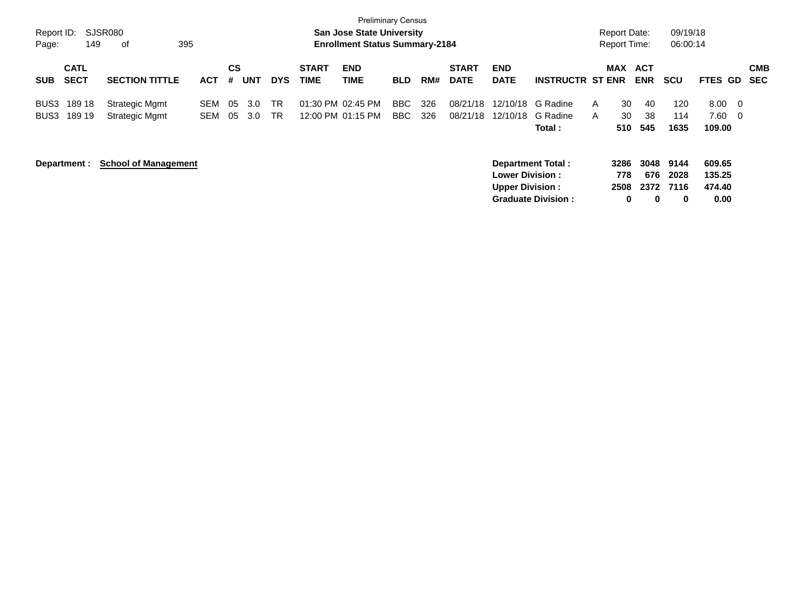|            |              |                             |            |    |            |            |              | <b>Preliminary Census</b>             |            |     |              |                          |                         |   |                     |            |            |                |            |
|------------|--------------|-----------------------------|------------|----|------------|------------|--------------|---------------------------------------|------------|-----|--------------|--------------------------|-------------------------|---|---------------------|------------|------------|----------------|------------|
| Report ID: |              | SJSR080                     |            |    |            |            |              | <b>San Jose State University</b>      |            |     |              |                          |                         |   | <b>Report Date:</b> |            | 09/19/18   |                |            |
| Page:      | 149          | 395<br>οf                   |            |    |            |            |              | <b>Enrollment Status Summary-2184</b> |            |     |              |                          |                         |   | <b>Report Time:</b> |            | 06:00:14   |                |            |
|            | <b>CATL</b>  |                             |            | CS |            |            | <b>START</b> | <b>END</b>                            |            |     | <b>START</b> | <b>END</b>               |                         |   | <b>MAX</b>          | <b>ACT</b> |            |                | <b>CMB</b> |
| <b>SUB</b> | <b>SECT</b>  | <b>SECTION TITTLE</b>       | <b>ACT</b> | #  | <b>UNT</b> | <b>DYS</b> | <b>TIME</b>  | <b>TIME</b>                           | <b>BLD</b> | RM# | <b>DATE</b>  | <b>DATE</b>              | <b>INSTRUCTR ST ENR</b> |   |                     | <b>ENR</b> | <b>SCU</b> | FTES GD        | <b>SEC</b> |
| BUS3       | 189 18       | <b>Strategic Mgmt</b>       | SEM        | 05 | 3.0        | <b>TR</b>  |              | 01:30 PM 02:45 PM                     | BBC.       | 326 | 08/21/18     | 12/10/18                 | G Radine                | A | 30                  | 40         | 120        | $8.00 \quad 0$ |            |
| BUS3       | 189 19       | <b>Strategic Mgmt</b>       | <b>SEM</b> | 05 | 3.0        | <b>TR</b>  |              | 12:00 PM 01:15 PM                     | BBC.       | 326 | 08/21/18     | 12/10/18                 | G Radine                | A | 30                  | 38         | 114        | $7.60 \quad 0$ |            |
|            |              |                             |            |    |            |            |              |                                       |            |     |              |                          | Total :                 |   | 510                 | 545        | 1635       | 109.00         |            |
|            | Department : | <b>School of Management</b> |            |    |            |            |              |                                       |            |     |              | <b>Department Total:</b> |                         |   | 3286                | 3048       | 9144       | 609.65         |            |
|            |              |                             |            |    |            |            |              |                                       |            |     |              | <b>Lower Division:</b>   |                         |   | 778                 | 676        | 2028       | 135.25         |            |
|            |              |                             |            |    |            |            |              |                                       |            |     |              | <b>Upper Division:</b>   |                         |   | 2508                |            | 2372 7116  | 474.40         |            |

**Graduate Division : 0 0 0 0.00**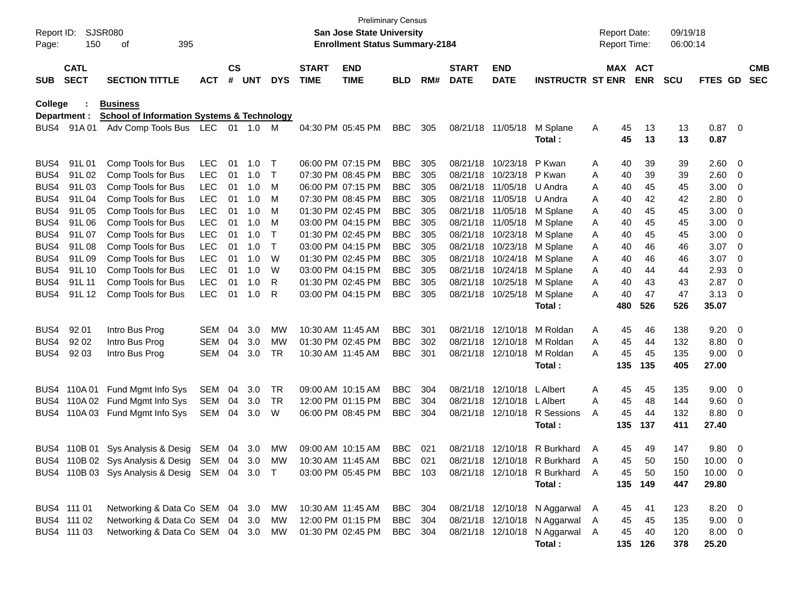| Report ID:<br>Page: | 150                        | SJSR080<br>395<br>οf                                  |            |                    |            |            |                             | <b>Preliminary Census</b><br><b>San Jose State University</b><br><b>Enrollment Status Summary-2184</b> |            |     |                             |                           |                                | <b>Report Date:</b> |          | <b>Report Time:</b>   | 09/19/18<br>06:00:14 |              |                         |                          |
|---------------------|----------------------------|-------------------------------------------------------|------------|--------------------|------------|------------|-----------------------------|--------------------------------------------------------------------------------------------------------|------------|-----|-----------------------------|---------------------------|--------------------------------|---------------------|----------|-----------------------|----------------------|--------------|-------------------------|--------------------------|
| <b>SUB</b>          | <b>CATL</b><br><b>SECT</b> | <b>SECTION TITTLE</b>                                 | <b>ACT</b> | $\mathsf{cs}$<br># | <b>UNT</b> | <b>DYS</b> | <b>START</b><br><b>TIME</b> | <b>END</b><br><b>TIME</b>                                                                              | <b>BLD</b> | RM# | <b>START</b><br><b>DATE</b> | <b>END</b><br><b>DATE</b> | <b>INSTRUCTR ST ENR</b>        |                     |          | MAX ACT<br><b>ENR</b> | <b>SCU</b>           | FTES GD      |                         | <b>CMB</b><br><b>SEC</b> |
| College             |                            | <b>Business</b>                                       |            |                    |            |            |                             |                                                                                                        |            |     |                             |                           |                                |                     |          |                       |                      |              |                         |                          |
|                     | Department :               | <b>School of Information Systems &amp; Technology</b> |            |                    |            |            |                             |                                                                                                        |            |     |                             |                           |                                |                     |          |                       |                      |              |                         |                          |
| BUS4.               | 91A 01                     | Adv Comp Tools Bus LEC                                |            |                    | 01 1.0     | M          |                             | 04:30 PM 05:45 PM                                                                                      | <b>BBC</b> | 305 | 08/21/18 11/05/18           |                           | M Splane<br>Total:             | A                   | 45<br>45 | 13<br>13              | 13<br>13             | 0.87<br>0.87 | $\overline{\mathbf{0}}$ |                          |
| BUS4                | 91L01                      | Comp Tools for Bus                                    | <b>LEC</b> | 01                 | 1.0        | Т          |                             | 06:00 PM 07:15 PM                                                                                      | <b>BBC</b> | 305 | 08/21/18                    | 10/23/18                  | P Kwan                         | A                   | 40       | 39                    | 39                   | 2.60         | 0                       |                          |
| BUS4                | 91L02                      | Comp Tools for Bus                                    | <b>LEC</b> | 01                 | 1.0        | Т          |                             | 07:30 PM 08:45 PM                                                                                      | <b>BBC</b> | 305 | 08/21/18                    | 10/23/18                  | P Kwan                         | A                   | 40       | 39                    | 39                   | 2.60         | 0                       |                          |
| BUS4                | 91L03                      | Comp Tools for Bus                                    | <b>LEC</b> | 01                 | 1.0        | M          |                             | 06:00 PM 07:15 PM                                                                                      | <b>BBC</b> | 305 | 08/21/18                    | 11/05/18                  | U Andra                        | Α                   | 40       | 45                    | 45                   | 3.00         | 0                       |                          |
| BUS4                | 91L04                      | Comp Tools for Bus                                    | <b>LEC</b> | 01                 | 1.0        | м          |                             | 07:30 PM 08:45 PM                                                                                      | <b>BBC</b> | 305 | 08/21/18                    | 11/05/18                  | U Andra                        | Α                   | 40       | 42                    | 42                   | 2.80         | 0                       |                          |
| BUS4                | 91L05                      | Comp Tools for Bus                                    | <b>LEC</b> | 01                 | 1.0        | м          |                             | 01:30 PM 02:45 PM                                                                                      | <b>BBC</b> | 305 | 08/21/18                    | 11/05/18                  | M Splane                       | Α                   | 40       | 45                    | 45                   | 3.00         | 0                       |                          |
| BUS4                | 91L06                      | Comp Tools for Bus                                    | <b>LEC</b> | 01                 | 1.0        | м          |                             | 03:00 PM 04:15 PM                                                                                      | <b>BBC</b> | 305 | 08/21/18                    | 11/05/18                  | M Splane                       | Α                   | 40       | 45                    | 45                   | 3.00         | 0                       |                          |
| BUS4                | 91L07                      | Comp Tools for Bus                                    | <b>LEC</b> | 01                 | 1.0        | Т          |                             | 01:30 PM 02:45 PM                                                                                      | <b>BBC</b> | 305 | 08/21/18                    | 10/23/18                  | M Splane                       | Α                   | 40       | 45                    | 45                   | 3.00         | 0                       |                          |
| BUS4                | 91L08                      | Comp Tools for Bus                                    | <b>LEC</b> | 01                 | 1.0        | $\top$     |                             | 03:00 PM 04:15 PM                                                                                      | <b>BBC</b> | 305 | 08/21/18                    | 10/23/18                  | M Splane                       | Α                   | 40       | 46                    | 46                   | 3.07         | 0                       |                          |
| BUS4                | 91L09                      | Comp Tools for Bus                                    | <b>LEC</b> | 01                 | 1.0        | W          |                             | 01:30 PM 02:45 PM                                                                                      | <b>BBC</b> | 305 | 08/21/18                    | 10/24/18                  | M Splane                       | Α                   | 40       | 46                    | 46                   | 3.07         | 0                       |                          |
| BUS4                | 91L 10                     | Comp Tools for Bus                                    | <b>LEC</b> | 01                 | 1.0        | W          |                             | 03:00 PM 04:15 PM                                                                                      | <b>BBC</b> | 305 | 08/21/18                    | 10/24/18                  | M Splane                       | Α                   | 40       | 44                    | 44                   | 2.93         | 0                       |                          |
| BUS4                | 91L 11                     | Comp Tools for Bus                                    | <b>LEC</b> | 01                 | 1.0        | R          |                             | 01:30 PM 02:45 PM                                                                                      | <b>BBC</b> | 305 | 08/21/18                    | 10/25/18                  | M Splane                       | Α                   | 40       | 43                    | 43                   | 2.87         | 0                       |                          |
| BUS4                | 91L 12                     | Comp Tools for Bus                                    | <b>LEC</b> | 01                 | 1.0        | R          |                             | 03:00 PM 04:15 PM                                                                                      | <b>BBC</b> | 305 | 08/21/18 10/25/18           |                           | M Splane                       | A                   | 40       | 47                    | 47                   | 3.13         | 0                       |                          |
|                     |                            |                                                       |            |                    |            |            |                             |                                                                                                        |            |     |                             |                           | Total:                         |                     | 480      | 526                   | 526                  | 35.07        |                         |                          |
| BUS4                | 92 01                      | Intro Bus Prog                                        | SEM        | 04                 | 3.0        | MW         | 10:30 AM 11:45 AM           |                                                                                                        | <b>BBC</b> | 301 |                             | 08/21/18 12/10/18         | M Roldan                       | A                   | 45       | 46                    | 138                  | 9.20         | 0                       |                          |
| BUS4                | 92 02                      | Intro Bus Prog                                        | SEM        | 04                 | 3.0        | MW         |                             | 01:30 PM 02:45 PM                                                                                      | <b>BBC</b> | 302 |                             | 08/21/18 12/10/18         | M Roldan                       | Α                   | 45       | 44                    | 132                  | 8.80         | 0                       |                          |
| BUS4                | 92 03                      | Intro Bus Prog                                        | <b>SEM</b> | 04                 | 3.0        | TR         | 10:30 AM 11:45 AM           |                                                                                                        | <b>BBC</b> | 301 | 08/21/18 12/10/18           |                           | M Roldan                       | Α                   | 45       | 45                    | 135                  | 9.00         | 0                       |                          |
|                     |                            |                                                       |            |                    |            |            |                             |                                                                                                        |            |     |                             |                           | Total:                         |                     | 135      | 135                   | 405                  | 27.00        |                         |                          |
| BUS4                | 110A 01                    | Fund Mgmt Info Sys                                    | <b>SEM</b> | 04                 | 3.0        | TR         |                             | 09:00 AM 10:15 AM                                                                                      | <b>BBC</b> | 304 |                             | 08/21/18 12/10/18         | L Albert                       | A                   | 45       | 45                    | 135                  | 9.00         | 0                       |                          |
| BUS4                | 110A 02                    | Fund Mgmt Info Sys                                    | <b>SEM</b> | 04                 | 3.0        | TR         |                             | 12:00 PM 01:15 PM                                                                                      | <b>BBC</b> | 304 |                             | 08/21/18 12/10/18         | L Albert                       | Α                   | 45       | 48                    | 144                  | 9.60         | 0                       |                          |
| BUS4                | 110A03                     | Fund Mgmt Info Sys                                    | <b>SEM</b> | 04                 | 3.0        | W          |                             | 06:00 PM 08:45 PM                                                                                      | <b>BBC</b> | 304 |                             | 08/21/18 12/10/18         | R Sessions                     | A                   | 45       | 44                    | 132                  | 8.80         | 0                       |                          |
|                     |                            |                                                       |            |                    |            |            |                             |                                                                                                        |            |     |                             |                           | Total:                         |                     | 135      | 137                   | 411                  | 27.40        |                         |                          |
| BUS4                |                            | 110B 01 Sys Analysis & Desig                          | SEM        | 04                 | 3.0        | MW         |                             | 09:00 AM 10:15 AM                                                                                      | <b>BBC</b> | 021 | 08/21/18                    | 12/10/18                  | R Burkhard                     | A                   | 45       | 49                    | 147                  | 9.80         | 0                       |                          |
|                     |                            | BUS4 110B 02 Sys Analysis & Desig SEM 04 3.0 MW       |            |                    |            |            | 10:30 AM 11:45 AM           |                                                                                                        | <b>BBC</b> | 021 |                             |                           | 08/21/18 12/10/18 R Burkhard   | Α                   | 45       | 50                    | 150                  | $10.00 \t 0$ |                         |                          |
|                     |                            | BUS4 110B 03 Sys Analysis & Desig SEM 04 3.0 T        |            |                    |            |            |                             | 03:00 PM 05:45 PM                                                                                      | BBC 103    |     |                             |                           | 08/21/18 12/10/18 R Burkhard A |                     | 45       | 50                    | 150                  | $10.00 \t 0$ |                         |                          |
|                     |                            |                                                       |            |                    |            |            |                             |                                                                                                        |            |     |                             |                           | Total:                         |                     |          | 135 149               | 447                  | 29.80        |                         |                          |
|                     | BUS4 111 01                | Networking & Data Co SEM 04 3.0                       |            |                    |            | MW         |                             | 10:30 AM 11:45 AM                                                                                      | BBC 304    |     |                             |                           | 08/21/18 12/10/18 N Aggarwal   | $\mathsf{A}$        | 45       | 41                    | 123                  | $8.20 \ 0$   |                         |                          |
|                     | BUS4 111 02                | Networking & Data Co SEM 04 3.0                       |            |                    |            | MW         |                             | 12:00 PM 01:15 PM                                                                                      | BBC 304    |     |                             |                           | 08/21/18 12/10/18 N Aggarwal   | A                   | 45       | 45                    | 135                  | $9.00 \t 0$  |                         |                          |
|                     | BUS4 111 03                | Networking & Data Co SEM 04 3.0                       |            |                    |            | MW         |                             | 01:30 PM 02:45 PM                                                                                      | BBC 304    |     |                             |                           | 08/21/18 12/10/18 N Aggarwal A |                     | 45       | 40                    | 120                  | $8.00 \t 0$  |                         |                          |
|                     |                            |                                                       |            |                    |            |            |                             |                                                                                                        |            |     |                             |                           | Total:                         |                     |          | 135 126               | 378                  | 25.20        |                         |                          |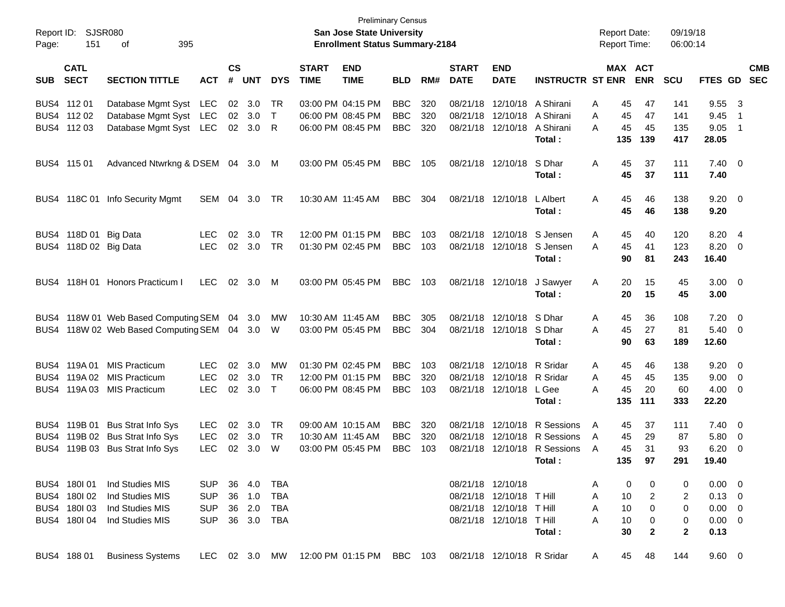| Report ID:<br>Page: | 151                        | SJSR080<br>395<br>οf                        |            |                    |            |            |                             | <b>Preliminary Census</b><br>San Jose State University<br><b>Enrollment Status Summary-2184</b> |            |     |                             |                             |                              | <b>Report Date:</b><br><b>Report Time:</b> |           |                         | 09/19/18<br>06:00:14 |                        |                          |            |
|---------------------|----------------------------|---------------------------------------------|------------|--------------------|------------|------------|-----------------------------|-------------------------------------------------------------------------------------------------|------------|-----|-----------------------------|-----------------------------|------------------------------|--------------------------------------------|-----------|-------------------------|----------------------|------------------------|--------------------------|------------|
| <b>SUB</b>          | <b>CATL</b><br><b>SECT</b> | <b>SECTION TITTLE</b>                       | <b>ACT</b> | $\mathsf{cs}$<br># | <b>UNT</b> | <b>DYS</b> | <b>START</b><br><b>TIME</b> | <b>END</b><br><b>TIME</b>                                                                       | <b>BLD</b> | RM# | <b>START</b><br><b>DATE</b> | <b>END</b><br><b>DATE</b>   | <b>INSTRUCTR ST ENR</b>      | MAX ACT                                    |           | <b>ENR</b>              | <b>SCU</b>           | FTES GD SEC            |                          | <b>CMB</b> |
|                     | BUS4 112 01                | Database Mgmt Syst LEC                      |            |                    | 02 3.0     | TR         |                             | 03:00 PM 04:15 PM                                                                               | <b>BBC</b> | 320 |                             | 08/21/18 12/10/18 A Shirani |                              | A                                          | 45        | 47                      | 141                  | 9.55                   | $\overline{\mathbf{3}}$  |            |
|                     | BUS4 112 02                | Database Mgmt Syst LEC                      |            | 02                 | 3.0        | $\top$     |                             | 06:00 PM 08:45 PM                                                                               | <b>BBC</b> | 320 |                             | 08/21/18 12/10/18 A Shirani |                              | Α                                          | 45        | 47                      | 141                  | 9.45                   | - 1                      |            |
|                     | BUS4 112 03                | Database Mgmt Syst LEC                      |            |                    | 02 3.0     | R          |                             | 06:00 PM 08:45 PM                                                                               | <b>BBC</b> | 320 |                             | 08/21/18 12/10/18           | A Shirani<br>Total:          | А                                          | 45<br>135 | 45<br>139               | 135<br>417           | 9.05<br>28.05          | $\overline{\phantom{1}}$ |            |
|                     | BUS4 115 01                | Advanced Ntwrkng & DSEM 04 3.0 M            |            |                    |            |            |                             | 03:00 PM 05:45 PM                                                                               | BBC        | 105 |                             | 08/21/18 12/10/18           | S Dhar<br>Total:             | Α                                          | 45<br>45  | 37<br>37                | 111<br>111           | $7.40 \quad 0$<br>7.40 |                          |            |
|                     |                            | BUS4 118C 01 Info Security Mgmt             | SEM        | 04                 | 3.0        | TR         |                             | 10:30 AM 11:45 AM                                                                               | <b>BBC</b> | 304 |                             | 08/21/18 12/10/18           | L Albert<br>Total:           | Α                                          | 45<br>45  | 46<br>46                | 138<br>138           | $9.20 \ 0$<br>9.20     |                          |            |
|                     | BUS4 118D 01 Big Data      |                                             | <b>LEC</b> | 02                 | 3.0        | TR         |                             | 12:00 PM 01:15 PM                                                                               | <b>BBC</b> | 103 |                             |                             | 08/21/18 12/10/18 S Jensen   | A                                          | 45        | 40                      | 120                  | 8.20 4                 |                          |            |
|                     | BUS4 118D 02 Big Data      |                                             | <b>LEC</b> | 02                 | 3.0        | TR         |                             | 01:30 PM 02:45 PM                                                                               | <b>BBC</b> | 103 |                             | 08/21/18 12/10/18           | S Jensen<br>Total:           | A                                          | 45<br>90  | 41<br>81                | 123<br>243           | 8.20<br>16.40          | $\overline{\phantom{0}}$ |            |
|                     |                            | BUS4 118H 01 Honors Practicum I             | <b>LEC</b> | 02                 | 3.0        | M          |                             | 03:00 PM 05:45 PM                                                                               | <b>BBC</b> | 103 |                             | 08/21/18 12/10/18           | J Sawyer<br>Total:           | A                                          | 20<br>20  | 15<br>15                | 45<br>45             | $3.00 \ 0$<br>3.00     |                          |            |
|                     |                            | BUS4 118W 01 Web Based Computing SEM 04 3.0 |            |                    |            | MW         |                             | 10:30 AM 11:45 AM                                                                               | <b>BBC</b> | 305 |                             | 08/21/18 12/10/18 S Dhar    |                              | A                                          | 45        | 36                      | 108                  | 7.20                   | - 0                      |            |
|                     |                            | BUS4 118W 02 Web Based Computing SEM 04 3.0 |            |                    |            | W          |                             | 03:00 PM 05:45 PM                                                                               | <b>BBC</b> | 304 |                             | 08/21/18 12/10/18 S Dhar    | Total:                       | A                                          | 45<br>90  | 27<br>63                | 81<br>189            | 5.40<br>12.60          | $\overline{\phantom{0}}$ |            |
|                     |                            | BUS4 119A 01 MIS Practicum                  | <b>LEC</b> | 02                 | 3.0        | мw         |                             | 01:30 PM 02:45 PM                                                                               | <b>BBC</b> | 103 |                             | 08/21/18 12/10/18 R Sridar  |                              | A                                          | 45        | 46                      | 138                  | 9.20                   | $\overline{\phantom{0}}$ |            |
| BUS4                |                            | 119A 02 MIS Practicum                       | <b>LEC</b> | 02                 | 3.0        | <b>TR</b>  |                             | 12:00 PM 01:15 PM                                                                               | <b>BBC</b> | 320 |                             | 08/21/18 12/10/18 R Sridar  |                              | A                                          | 45        | 45                      | 135                  | 9.00                   | $\overline{\mathbf{0}}$  |            |
|                     |                            | BUS4 119A 03 MIS Practicum                  | <b>LEC</b> | 02                 | 3.0        | $\top$     |                             | 06:00 PM 08:45 PM                                                                               | <b>BBC</b> | 103 |                             | 08/21/18 12/10/18 L Gee     | Total:                       | А                                          | 45<br>135 | 20<br>111               | 60<br>333            | 4.00<br>22.20          | $\overline{\mathbf{0}}$  |            |
|                     |                            | BUS4 119B 01 Bus Strat Info Sys             | <b>LEC</b> | 02                 | 3.0        | <b>TR</b>  |                             | 09:00 AM 10:15 AM                                                                               | <b>BBC</b> | 320 |                             |                             | 08/21/18 12/10/18 R Sessions | A                                          | 45        | 37                      | 111                  | 7.40                   | $\overline{\phantom{0}}$ |            |
| BUS4                |                            | 119B 02 Bus Strat Info Sys                  | <b>LEC</b> | 02                 | 3.0        | <b>TR</b>  |                             | 10:30 AM 11:45 AM                                                                               | <b>BBC</b> | 320 | 08/21/18                    |                             | 12/10/18 R Sessions          | A                                          | 45        | 29                      | 87                   | 5.80                   | $\overline{0}$           |            |
|                     |                            | BUS4 119B 03 Bus Strat Info Sys             | <b>LEC</b> | 02                 | 3.0        | W          |                             | 03:00 PM 05:45 PM                                                                               | <b>BBC</b> | 103 |                             |                             | 08/21/18 12/10/18 R Sessions | A                                          | 45        | 31                      | 93                   | 6.20                   | $\overline{0}$           |            |
|                     |                            |                                             |            |                    |            |            |                             |                                                                                                 |            |     |                             |                             | Total:                       |                                            | 135       | 97                      | 291                  | 19.40                  |                          |            |
|                     | BUS4 180 01                | Ind Studies MIS                             | <b>SUP</b> |                    | 36 4.0     | TBA        |                             |                                                                                                 |            |     |                             | 08/21/18 12/10/18           |                              | A                                          | 0         | 0                       | 0                    | $0.00 \t 0$            |                          |            |
|                     | BUS4 180102                | Ind Studies MIS                             | <b>SUP</b> |                    | 36 1.0     | <b>TBA</b> |                             |                                                                                                 |            |     |                             | 08/21/18 12/10/18 T Hill    |                              | Α                                          | 10        | $\overline{\mathbf{c}}$ | 2                    | $0.13 \ 0$             |                          |            |
|                     | BUS4 180103                | Ind Studies MIS                             | <b>SUP</b> |                    | 36 2.0     | TBA        |                             |                                                                                                 |            |     |                             | 08/21/18 12/10/18 T Hill    |                              | Α                                          | 10        | 0                       | 0                    | $0.00 \t 0$            |                          |            |
|                     | BUS4 180104                | Ind Studies MIS                             | <b>SUP</b> |                    | 36 3.0     | TBA        |                             |                                                                                                 |            |     |                             | 08/21/18 12/10/18 T Hill    |                              | A                                          | 10        | 0                       | 0                    | $0.00 \t 0$            |                          |            |
|                     |                            |                                             |            |                    |            |            |                             |                                                                                                 |            |     |                             |                             | Total:                       |                                            | 30        | $\mathbf{2}$            | 2                    | 0.13                   |                          |            |
|                     | BUS4 188 01                | <b>Business Systems</b>                     | LEC.       |                    | 02 3.0 MW  |            |                             | 12:00 PM 01:15 PM BBC 103                                                                       |            |     |                             | 08/21/18 12/10/18 R Sridar  |                              | A                                          | 45        | 48                      | 144                  | 9.60 0                 |                          |            |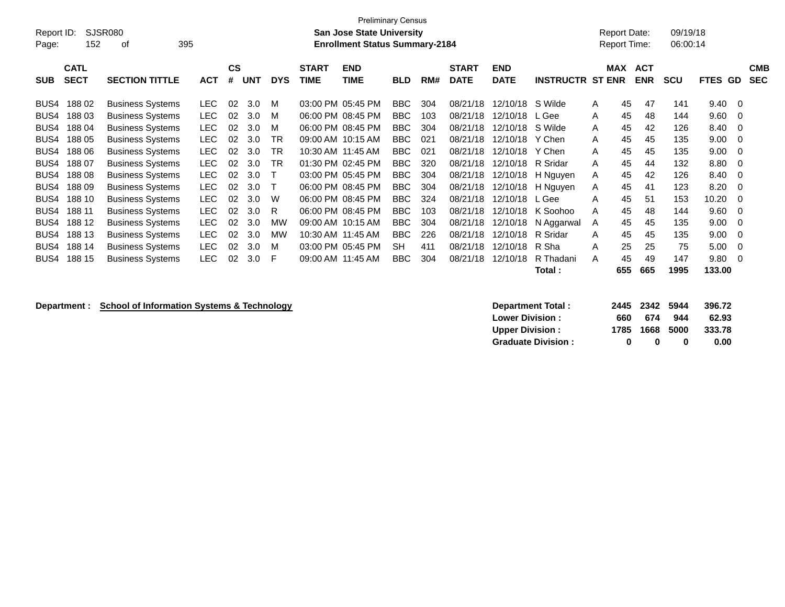| Page:                                                                                        | <b>Preliminary Census</b><br>SJSR080<br>09/19/18<br>Report ID:<br><b>San Jose State University</b><br><b>Report Date:</b><br>06:00:14<br>152<br>395<br><b>Enrollment Status Summary-2184</b><br>Report Time:<br>οf |                                                                                                                                                                                                                                                                                                                                  |                                                                                                                                                 |                                                                      |                                                                                  |                                                            |                                                                                                                                                                                                                |                                        |                                                                                                                                                         |                                                                                  |                                                                                                                                              |                                                                                                                                              |                                                                                                                                    |                                                          |                                                                                                                                              |                                                                                  |                                                                                                                                                                         |                          |
|----------------------------------------------------------------------------------------------|--------------------------------------------------------------------------------------------------------------------------------------------------------------------------------------------------------------------|----------------------------------------------------------------------------------------------------------------------------------------------------------------------------------------------------------------------------------------------------------------------------------------------------------------------------------|-------------------------------------------------------------------------------------------------------------------------------------------------|----------------------------------------------------------------------|----------------------------------------------------------------------------------|------------------------------------------------------------|----------------------------------------------------------------------------------------------------------------------------------------------------------------------------------------------------------------|----------------------------------------|---------------------------------------------------------------------------------------------------------------------------------------------------------|----------------------------------------------------------------------------------|----------------------------------------------------------------------------------------------------------------------------------------------|----------------------------------------------------------------------------------------------------------------------------------------------|------------------------------------------------------------------------------------------------------------------------------------|----------------------------------------------------------|----------------------------------------------------------------------------------------------------------------------------------------------|----------------------------------------------------------------------------------|-------------------------------------------------------------------------------------------------------------------------------------------------------------------------|--------------------------|
| <b>SUB</b>                                                                                   | <b>CATL</b><br><b>SECT</b>                                                                                                                                                                                         | <b>SECTION TITTLE</b>                                                                                                                                                                                                                                                                                                            | <b>ACT</b>                                                                                                                                      | $\mathbf{c}\mathbf{s}$<br>#                                          | <b>UNT</b>                                                                       | <b>DYS</b>                                                 | <b>START</b><br><b>TIME</b>                                                                                                                                                                                    | <b>END</b><br><b>TIME</b>              | <b>BLD</b>                                                                                                                                              | RM#                                                                              | <b>START</b><br><b>DATE</b>                                                                                                                  | <b>END</b><br><b>DATE</b>                                                                                                                    | <b>INSTRUCTR</b>                                                                                                                   | <b>MAX</b><br><b>ST ENR</b>                              | <b>ACT</b><br><b>ENR</b>                                                                                                                     | <b>SCU</b>                                                                       | <b>FTES</b><br><b>GD</b>                                                                                                                                                | <b>CMB</b><br><b>SEC</b> |
| BUS4<br>BUS4<br>BUS4<br>BUS4<br>BUS4<br>BUS4<br>BUS4<br>BUS4<br>BUS4<br>BUS4<br>BUS4<br>BUS4 | 18802<br>18803<br>18804<br>188 05<br>188 06<br>18807<br>18808<br>18809<br>188 10<br>188 11<br>188 12<br>188 13                                                                                                     | <b>Business Systems</b><br><b>Business Systems</b><br><b>Business Systems</b><br><b>Business Systems</b><br><b>Business Systems</b><br><b>Business Systems</b><br><b>Business Systems</b><br><b>Business Systems</b><br><b>Business Systems</b><br><b>Business Systems</b><br><b>Business Systems</b><br><b>Business Systems</b> | <b>LEC</b><br><b>LEC</b><br><b>LEC</b><br>LEC<br><b>LEC</b><br>LEC<br><b>LEC</b><br><b>LEC</b><br><b>LEC</b><br><b>LEC</b><br><b>LEC</b><br>LEC | 02<br>02<br>02<br>02<br>02<br>02<br>02<br>02<br>02<br>02<br>02<br>02 | 3.0<br>3.0<br>3.0<br>3.0<br>3.0<br>3.0<br>3.0<br>3.0<br>3.0<br>3.0<br>3.0<br>3.0 | м<br>м<br>м<br>TR<br><b>TR</b><br>TR<br>W<br>R<br>MW<br>MW | 03:00 PM 05:45 PM<br>06:00 PM 08:45 PM<br>06:00 PM 08:45 PM<br>09:00 AM 10:15 AM<br>10:30 AM 11:45 AM<br>01:30 PM 02:45 PM<br>03:00 PM 05:45 PM<br>06:00 PM 08:45 PM<br>06:00 PM 08:45 PM<br>10:30 AM 11:45 AM | 06:00 PM 08:45 PM<br>09:00 AM 10:15 AM | <b>BBC</b><br><b>BBC</b><br>BBC<br><b>BBC</b><br><b>BBC</b><br><b>BBC</b><br><b>BBC</b><br><b>BBC</b><br><b>BBC</b><br><b>BBC</b><br><b>BBC</b><br>BBC. | 304<br>103<br>304<br>021<br>021<br>320<br>304<br>304<br>324<br>103<br>304<br>226 | 08/21/18<br>08/21/18<br>08/21/18<br>08/21/18<br>08/21/18<br>08/21/18<br>08/21/18<br>08/21/18<br>08/21/18<br>08/21/18<br>08/21/18<br>08/21/18 | 12/10/18<br>12/10/18<br>12/10/18<br>12/10/18<br>12/10/18<br>12/10/18<br>12/10/18<br>12/10/18<br>12/10/18<br>12/10/18<br>12/10/18<br>12/10/18 | S Wilde<br>L Gee<br>S Wilde<br>Y Chen<br>Y Chen<br>R Sridar<br>H Nguyen<br>H Nguyen<br>L Gee<br>K Soohoo<br>N Aggarwal<br>R Sridar | A<br>A<br>A<br>A<br>A<br>A<br>A<br>A<br>A<br>A<br>A<br>A | 45<br>47<br>45<br>48<br>45<br>42<br>45<br>45<br>45<br>45<br>45<br>44<br>45<br>42<br>45<br>41<br>45<br>51<br>45<br>48<br>45<br>45<br>45<br>45 | 141<br>144<br>126<br>135<br>135<br>132<br>126<br>123<br>153<br>144<br>135<br>135 | 9.40<br>$\Omega$<br>9.60<br>0<br>8.40<br>0<br>9.00<br>0<br>9.00<br>$\Omega$<br>8.80<br>0<br>8.40<br>0<br>8.20<br>0<br>10.20<br>0<br>9.60<br>0<br>9.00<br>0<br>9.00<br>0 |                          |
| BUS4<br>BUS4                                                                                 | 188 14<br>188 15                                                                                                                                                                                                   | <b>Business Systems</b><br><b>Business Systems</b>                                                                                                                                                                                                                                                                               | <b>LEC</b><br><b>LEC</b>                                                                                                                        | 02<br>02                                                             | 3.0<br>3.0                                                                       | м<br>F                                                     | 09:00 AM                                                                                                                                                                                                       | 03:00 PM 05:45 PM<br>11:45 AM          | <b>SH</b><br><b>BBC</b>                                                                                                                                 | 411<br>304                                                                       | 08/21/18<br>08/21/18                                                                                                                         | 12/10/18<br>12/10/18                                                                                                                         | R Sha<br>R Thadani<br>Total:                                                                                                       | A<br>A<br>655                                            | 25<br>25<br>45<br>49<br>665                                                                                                                  | 75<br>147<br>1995                                                                | 5.00<br>0<br>9.80<br>0<br>133.00                                                                                                                                        |                          |

**Department : School of Information Systems & Technology** 

| <b>Department Total:</b>  |     | 2445 2342 5944 |     | 396.72 |
|---------------------------|-----|----------------|-----|--------|
| <b>Lower Division :</b>   | 660 | 674            | 944 | 62.93  |
| <b>Upper Division:</b>    |     | 1785 1668 5000 |     | 333.78 |
| <b>Graduate Division:</b> | o   | n              | o   | 0.00   |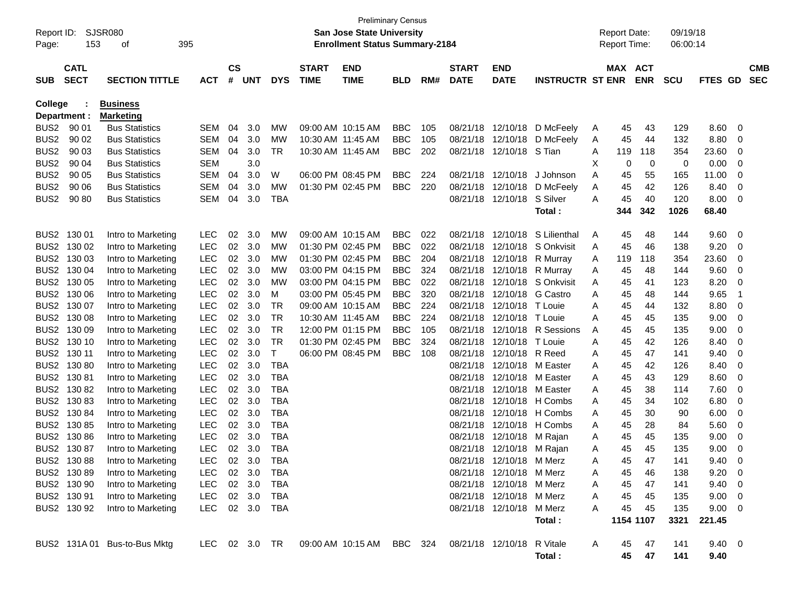| Report ID:<br>Page: | 153          | SJSR080<br>οf                | 395            |           |                |            |                   | <b>Preliminary Census</b><br><b>San Jose State University</b><br><b>Enrollment Status Summary-2184</b> |            |     |              |                           |                         |   | <b>Report Date:</b><br><b>Report Time:</b> |            | 09/19/18<br>06:00:14 |                |                |            |
|---------------------|--------------|------------------------------|----------------|-----------|----------------|------------|-------------------|--------------------------------------------------------------------------------------------------------|------------|-----|--------------|---------------------------|-------------------------|---|--------------------------------------------|------------|----------------------|----------------|----------------|------------|
|                     | <b>CATL</b>  |                              |                | <b>CS</b> |                |            | <b>START</b>      | <b>END</b>                                                                                             |            |     | <b>START</b> | <b>END</b>                |                         |   | MAX ACT                                    |            |                      |                |                | <b>CMB</b> |
| <b>SUB</b>          | <b>SECT</b>  | <b>SECTION TITTLE</b>        | <b>ACT</b>     | #         | <b>UNT</b>     | <b>DYS</b> | <b>TIME</b>       | <b>TIME</b>                                                                                            | <b>BLD</b> | RM# | <b>DATE</b>  | <b>DATE</b>               | <b>INSTRUCTR ST ENR</b> |   |                                            | <b>ENR</b> | <b>SCU</b>           | <b>FTES GD</b> |                | <b>SEC</b> |
| <b>College</b>      |              | <b>Business</b>              |                |           |                |            |                   |                                                                                                        |            |     |              |                           |                         |   |                                            |            |                      |                |                |            |
|                     | Department : | <b>Marketing</b>             |                |           |                |            |                   |                                                                                                        |            |     |              |                           |                         |   |                                            |            |                      |                |                |            |
| BUS <sub>2</sub>    | 90 01        | <b>Bus Statistics</b>        | SEM            | 04        | 3.0            | MW         |                   | 09:00 AM 10:15 AM                                                                                      | <b>BBC</b> | 105 |              | 08/21/18 12/10/18         | D McFeely               | A | 45                                         | 43         | 129                  | 8.60           | 0              |            |
| BUS <sub>2</sub>    | 90 02        | <b>Bus Statistics</b>        | SEM            | 04        | 3.0            | MW         | 10:30 AM 11:45 AM |                                                                                                        | <b>BBC</b> | 105 |              | 08/21/18 12/10/18         | D McFeely               | A | 45                                         | 44         | 132                  | 8.80           | 0              |            |
| BUS <sub>2</sub>    | 90 03        | <b>Bus Statistics</b>        | SEM            | 04        | 3.0            | TR         |                   | 10:30 AM 11:45 AM                                                                                      | <b>BBC</b> | 202 | 08/21/18     | 12/10/18                  | S Tian                  | A | 119                                        | 118        | 354                  | 23.60          | 0              |            |
| BUS <sub>2</sub>    | 90 04        | <b>Bus Statistics</b>        | SEM            |           | 3.0            |            |                   |                                                                                                        |            |     |              |                           |                         | х | 0                                          | 0          | 0                    | 0.00           | 0              |            |
| BUS <sub>2</sub>    | 90 05        | <b>Bus Statistics</b>        | SEM            | 04        | 3.0            | W          |                   | 06:00 PM 08:45 PM                                                                                      | <b>BBC</b> | 224 |              | 08/21/18 12/10/18         | J Johnson               | Α | 45                                         | 55         | 165                  | 11.00          | 0              |            |
| BUS <sub>2</sub>    | 90 06        | <b>Bus Statistics</b>        | SEM            | 04        | 3.0            | MW         | 01:30 PM 02:45 PM |                                                                                                        | <b>BBC</b> | 220 |              | 08/21/18 12/10/18         | D McFeely               | Α | 45                                         | 42         | 126                  | 8.40           | 0              |            |
| BUS <sub>2</sub>    | 90 80        | <b>Bus Statistics</b>        | SEM            | 04        | 3.0            | TBA        |                   |                                                                                                        |            |     |              | 08/21/18 12/10/18         | S Silver                | A | 45                                         | 40         | 120                  | 8.00           | 0              |            |
|                     |              |                              |                |           |                |            |                   |                                                                                                        |            |     |              |                           | Total :                 |   | 344                                        | 342        | 1026                 | 68.40          |                |            |
|                     | BUS2 130 01  | Intro to Marketing           | LEC            | 02        | 3.0            | MW         |                   | 09:00 AM 10:15 AM                                                                                      | <b>BBC</b> | 022 | 08/21/18     | 12/10/18                  | S Lilienthal            | Α | 45                                         | 48         | 144                  | 9.60           | 0              |            |
|                     | BUS2 130 02  | Intro to Marketing           | <b>LEC</b>     | 02        | 3.0            | MW         | 01:30 PM 02:45 PM |                                                                                                        | <b>BBC</b> | 022 | 08/21/18     | 12/10/18                  | S Onkvisit              | Α | 45                                         | 46         | 138                  | 9.20           | 0              |            |
|                     | BUS2 130 03  | Intro to Marketing           | <b>LEC</b>     | 02        | 3.0            | MW         | 01:30 PM 02:45 PM |                                                                                                        | BBC.       | 204 | 08/21/18     | 12/10/18                  | R Murray                | Α | 119                                        | 118        | 354                  | 23.60          | 0              |            |
| BUS2                | 130 04       | Intro to Marketing           | <b>LEC</b>     | 02        | 3.0            | MW         |                   | 03:00 PM 04:15 PM                                                                                      | BBC.       | 324 | 08/21/18     | 12/10/18                  | R Murray                | Α | 45                                         | 48         | 144                  | 9.60           | 0              |            |
| BUS <sub>2</sub>    | 130 05       | Intro to Marketing           | <b>LEC</b>     | 02        | 3.0            | MW         | 03:00 PM 04:15 PM |                                                                                                        | <b>BBC</b> | 022 | 08/21/18     |                           | 12/10/18 S Onkvisit     | A | 45                                         | 41         | 123                  | 8.20           | 0              |            |
| BUS <sub>2</sub>    | 130 06       | Intro to Marketing           | <b>LEC</b>     | 02        | 3.0            | м          | 03:00 PM 05:45 PM |                                                                                                        | BBC.       | 320 | 08/21/18     | 12/10/18 G Castro         |                         | A | 45                                         | 48         | 144                  | 9.65           | $\overline{1}$ |            |
|                     | BUS2 130 07  | Intro to Marketing           | <b>LEC</b>     | 02        | 3.0            | TR         |                   | 09:00 AM 10:15 AM                                                                                      | BBC.       | 224 | 08/21/18     | 12/10/18 T Louie          |                         | A | 45                                         | 44         | 132                  | 8.80           | 0              |            |
| BUS <sub>2</sub>    | 130 08       | Intro to Marketing           | <b>LEC</b>     | 02        | 3.0            | TR         | 10:30 AM 11:45 AM |                                                                                                        | <b>BBC</b> | 224 | 08/21/18     | 12/10/18 T Louie          |                         | A | 45                                         | 45         | 135                  | 9.00           | 0              |            |
| BUS2                | 130 09       | Intro to Marketing           | <b>LEC</b>     | 02        | 3.0            | TR         | 12:00 PM 01:15 PM |                                                                                                        | <b>BBC</b> | 105 | 08/21/18     |                           | 12/10/18 R Sessions     | A | 45                                         | 45         | 135                  | 9.00           | 0              |            |
|                     | BUS2 130 10  | Intro to Marketing           | <b>LEC</b>     | 02        | 3.0            | TR         | 01:30 PM 02:45 PM |                                                                                                        | BBC.       | 324 | 08/21/18     | 12/10/18 T Louie          |                         | A | 45                                         | 42         | 126                  | 8.40           | 0              |            |
|                     | BUS2 130 11  | Intro to Marketing           | <b>LEC</b>     | 02        | 3.0            | Т          | 06:00 PM 08:45 PM |                                                                                                        | <b>BBC</b> | 108 | 08/21/18     | 12/10/18 R Reed           |                         | A | 45                                         | 47         | 141                  | 9.40           | 0              |            |
| BUS <sub>2</sub>    | 13080        | Intro to Marketing           | <b>LEC</b>     | 02        | 3.0            | <b>TBA</b> |                   |                                                                                                        |            |     | 08/21/18     |                           | 12/10/18 M Easter       | Α | 45                                         | 42         | 126                  | 8.40           | 0              |            |
|                     | BUS2 130 81  | Intro to Marketing           | <b>LEC</b>     | 02        | 3.0            | TBA        |                   |                                                                                                        |            |     | 08/21/18     | 12/10/18 M Easter         |                         | A | 45                                         | 43         | 129                  | 8.60           | 0              |            |
| BUS <sub>2</sub>    | 13082        | Intro to Marketing           | <b>LEC</b>     | 02        | 3.0            | TBA        |                   |                                                                                                        |            |     | 08/21/18     |                           | 12/10/18 M Easter       | A | 45                                         | 38         | 114                  | 7.60           | 0              |            |
| BUS <sub>2</sub>    | 13083        | Intro to Marketing           | <b>LEC</b>     | 02        | 3.0            | TBA        |                   |                                                                                                        |            |     | 08/21/18     |                           | 12/10/18 H Combs        | A | 45                                         | 34         | 102                  | 6.80           | 0              |            |
| BUS <sub>2</sub>    | 13084        | Intro to Marketing           | <b>LEC</b>     | 02        | 3.0            | TBA        |                   |                                                                                                        |            |     | 08/21/18     |                           | 12/10/18 H Combs        | A | 45                                         | 30         | 90                   | 6.00           | 0              |            |
| BUS <sub>2</sub>    | 130 85       | Intro to Marketing           | <b>LEC</b>     | 02        | 3.0            | TBA        |                   |                                                                                                        |            |     | 08/21/18     |                           | 12/10/18 H Combs        | A | 45                                         | 28         | 84                   | 5.60           | 0              |            |
| BUS <sub>2</sub>    | 13086        | Intro to Marketing           | <b>LEC</b>     | 02        | 3.0            | TBA        |                   |                                                                                                        |            |     | 08/21/18     | 12/10/18 M Rajan          |                         | Α | 45                                         | 45         | 135                  | 9.00           | 0              |            |
|                     | BUS2 130 87  | Intro to Marketing           | LEC            | 02        | 3.0            | TBA        |                   |                                                                                                        |            |     |              | 08/21/18 12/10/18 M Rajan |                         | Α | 45                                         | 45         | 135                  | 9.00           | 0              |            |
|                     | BUS2 130 88  | Intro to Marketing           | LEC            |           | 02 3.0         | TBA        |                   |                                                                                                        |            |     |              | 08/21/18 12/10/18 M Merz  |                         |   | 45                                         | 47         | 141                  | 9.40           | 0              |            |
|                     | BUS2 130 89  | Intro to Marketing           |                |           | LEC 02 3.0 TBA |            |                   |                                                                                                        |            |     |              | 08/21/18 12/10/18 M Merz  |                         | A | 45                                         | 46         | 138                  | $9.20 \ 0$     |                |            |
|                     | BUS2 130 90  | Intro to Marketing           | LEC 02 3.0     |           |                | TBA        |                   |                                                                                                        |            |     |              | 08/21/18 12/10/18 M Merz  |                         | A | 45                                         | 47         | 141                  | $9.40 \quad 0$ |                |            |
|                     | BUS2 130 91  | Intro to Marketing           | LEC 02 3.0     |           |                | TBA        |                   |                                                                                                        |            |     |              | 08/21/18 12/10/18 M Merz  |                         | A | 45                                         | 45         | 135                  | $9.00 \t 0$    |                |            |
|                     | BUS2 130 92  | Intro to Marketing           | LEC 02 3.0 TBA |           |                |            |                   |                                                                                                        |            |     |              | 08/21/18 12/10/18 M Merz  |                         | A | 45                                         | 45         | 135                  | $9.00 \t 0$    |                |            |
|                     |              |                              |                |           |                |            |                   |                                                                                                        |            |     |              |                           | Total:                  |   | 1154 1107                                  |            | 3321                 | 221.45         |                |            |
|                     |              | BUS2 131A 01 Bus-to-Bus Mktg |                |           |                |            |                   | LEC 02 3.0 TR  09:00 AM  10:15 AM  BBC  324  08/21/18  12/10/18  R  Vitale                             |            |     |              |                           |                         | A | 45                                         | 47         | 141                  | $9.40 \quad 0$ |                |            |
|                     |              |                              |                |           |                |            |                   |                                                                                                        |            |     |              |                           | Total:                  |   | 45                                         | 47         | 141                  | 9.40           |                |            |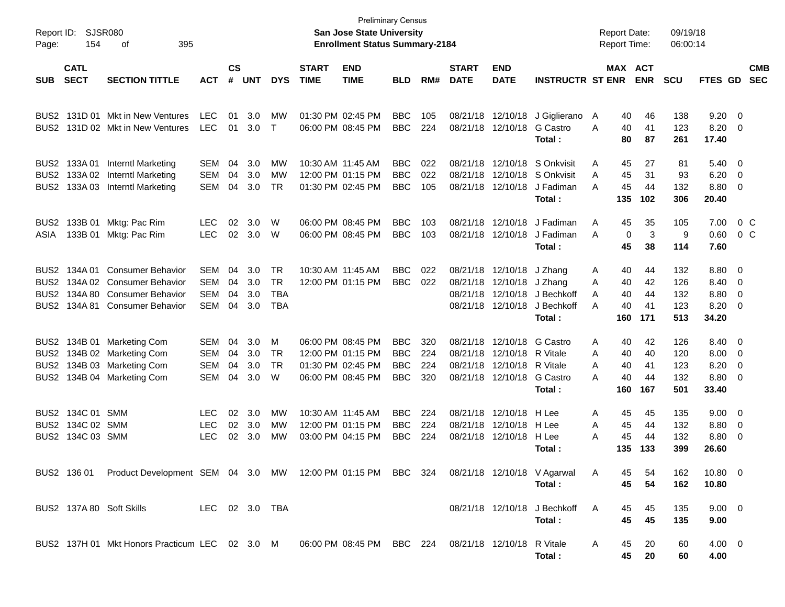| Report ID:<br>Page:                                                          | <b>SJSR080</b><br>154                     |                                                                                                                 |                                        |                      |                          |                                             | <b>Preliminary Census</b><br>San Jose State University<br><b>Enrollment Status Summary-2184</b> |                                                                                  |                                                      |                          |                                  |                                                                                           | <b>Report Date:</b><br><b>Report Time:</b>                        |                                                 | 09/19/18<br>06:00:14        |                                 |                                         |                                            |                          |
|------------------------------------------------------------------------------|-------------------------------------------|-----------------------------------------------------------------------------------------------------------------|----------------------------------------|----------------------|--------------------------|---------------------------------------------|-------------------------------------------------------------------------------------------------|----------------------------------------------------------------------------------|------------------------------------------------------|--------------------------|----------------------------------|-------------------------------------------------------------------------------------------|-------------------------------------------------------------------|-------------------------------------------------|-----------------------------|---------------------------------|-----------------------------------------|--------------------------------------------|--------------------------|
| <b>SUB</b>                                                                   | <b>CATL</b><br><b>SECT</b>                | <b>SECTION TITTLE</b>                                                                                           | <b>ACT</b>                             | $\mathsf{cs}$<br>#   | <b>UNT</b>               | <b>DYS</b>                                  | <b>START</b><br><b>TIME</b>                                                                     | <b>END</b><br><b>TIME</b>                                                        | <b>BLD</b>                                           | RM#                      | <b>START</b><br><b>DATE</b>      | <b>END</b><br><b>DATE</b>                                                                 | <b>INSTRUCTR ST ENR</b>                                           | <b>MAX ACT</b>                                  | <b>ENR</b>                  | <b>SCU</b>                      | <b>FTES GD</b>                          |                                            | <b>CMB</b><br><b>SEC</b> |
| BUS2<br>BUS <sub>2</sub>                                                     |                                           | 131D 01 Mkt in New Ventures<br>131D 02 Mkt in New Ventures                                                      | <b>LEC</b><br><b>LEC</b>               | 01<br>01             | 3.0<br>3.0               | МW<br>$\top$                                |                                                                                                 | 01:30 PM 02:45 PM<br>06:00 PM 08:45 PM                                           | <b>BBC</b><br><b>BBC</b>                             | 105<br>224               |                                  | 08/21/18 12/10/18                                                                         | 08/21/18 12/10/18 J Giglierano<br>G Castro<br>Total:              | 40<br>A<br>A<br>40<br>80                        | 46<br>41<br>87              | 138<br>123<br>261               | $9.20 \ 0$<br>8.20<br>17.40             | - 0                                        |                          |
| BUS <sub>2</sub><br>BUS <sub>2</sub><br>BUS <sub>2</sub>                     | 133A 01<br>133A 02                        | Interntl Marketing<br>Interntl Marketing<br>133A 03 Interntl Marketing                                          | SEM<br>SEM<br>SEM                      | 04<br>04<br>04       | 3.0<br>3.0<br>3.0        | МW<br>MW<br><b>TR</b>                       |                                                                                                 | 10:30 AM 11:45 AM<br>12:00 PM 01:15 PM<br>01:30 PM 02:45 PM                      | <b>BBC</b><br><b>BBC</b><br><b>BBC</b>               | 022<br>022<br>105        | 08/21/18<br>08/21/18             | 08/21/18 12/10/18                                                                         | 12/10/18 S Onkvisit<br>12/10/18 S Onkvisit<br>J Fadiman<br>Total: | A<br>45<br>A<br>45<br>A<br>45<br>135            | 27<br>31<br>44<br>102       | 81<br>93<br>132<br>306          | $5.40 \quad 0$<br>6.20<br>8.80<br>20.40 | - 0<br>- 0                                 |                          |
| BUS <sub>2</sub><br>ASIA                                                     | 133B 01<br>133B 01                        | Mktg: Pac Rim<br>Mktg: Pac Rim                                                                                  | <b>LEC</b><br><b>LEC</b>               | 02<br>02             | 3.0<br>3.0               | W<br>W                                      |                                                                                                 | 06:00 PM 08:45 PM<br>06:00 PM 08:45 PM                                           | <b>BBC</b><br><b>BBC</b>                             | 103<br>103               | 08/21/18                         | 12/10/18<br>08/21/18 12/10/18                                                             | J Fadiman<br>J Fadiman<br>Total:                                  | Α<br>45<br>0<br>A<br>45                         | 35<br>3<br>38               | 105<br>9<br>114                 | 7.00<br>0.60<br>7.60                    |                                            | 0 <sup>o</sup><br>0 C    |
| BUS <sub>2</sub><br>BUS <sub>2</sub><br>BUS <sub>2</sub><br>BUS <sub>2</sub> | 134A 01                                   | <b>Consumer Behavior</b><br>134A 02 Consumer Behavior<br>134A 80 Consumer Behavior<br>134A 81 Consumer Behavior | <b>SEM</b><br>SEM<br>SEM<br><b>SEM</b> | 04<br>04<br>04<br>04 | 3.0<br>3.0<br>3.0<br>3.0 | TR<br><b>TR</b><br><b>TBA</b><br><b>TBA</b> |                                                                                                 | 10:30 AM 11:45 AM<br>12:00 PM 01:15 PM                                           | <b>BBC</b><br><b>BBC</b>                             | 022<br>022               | 08/21/18<br>08/21/18             | 08/21/18 12/10/18 J Zhang<br>12/10/18 J Zhang<br>08/21/18 12/10/18                        | 12/10/18 J Bechkoff<br>J Bechkoff<br>Total:                       | A<br>40<br>A<br>40<br>40<br>A<br>A<br>40<br>160 | 44<br>42<br>44<br>41<br>171 | 132<br>126<br>132<br>123<br>513 | 8.80<br>8.40<br>8.80<br>8.20<br>34.20   | $\overline{\mathbf{0}}$<br>- 0<br>0<br>- 0 |                          |
| BUS <sub>2</sub><br>BUS <sub>2</sub><br>BUS <sub>2</sub><br>BUS <sub>2</sub> |                                           | 134B 01 Marketing Com<br>134B 02 Marketing Com<br>134B 03 Marketing Com<br>134B 04 Marketing Com                | SEM<br>SEM<br>SEM<br>SEM               | 04<br>04<br>04<br>04 | 3.0<br>3.0<br>3.0<br>3.0 | M<br>TR<br><b>TR</b><br>W                   |                                                                                                 | 06:00 PM 08:45 PM<br>12:00 PM 01:15 PM<br>01:30 PM 02:45 PM<br>06:00 PM 08:45 PM | <b>BBC</b><br><b>BBC</b><br><b>BBC</b><br><b>BBC</b> | 320<br>224<br>224<br>320 | 08/21/18<br>08/21/18<br>08/21/18 | 12/10/18 G Castro<br>12/10/18 R Vitale<br>12/10/18 R Vitale<br>08/21/18 12/10/18 G Castro | Total:                                                            | A<br>40<br>40<br>A<br>40<br>A<br>A<br>40<br>160 | 42<br>40<br>41<br>44<br>167 | 126<br>120<br>123<br>132<br>501 | 8.40 0<br>8.00<br>8.20<br>8.80<br>33.40 | $\overline{\mathbf{0}}$<br>0<br>- 0        |                          |
| BUS <sub>2</sub><br>BUS2<br>BUS <sub>2</sub>                                 | 134C 01 SMM<br>134C 02 SMM<br>134C 03 SMM |                                                                                                                 | <b>LEC</b><br><b>LEC</b><br><b>LEC</b> | 02<br>02<br>02       | 3.0<br>3.0<br>3.0        | MW<br>MW<br>MW                              | 10:30 AM 11:45 AM                                                                               | 12:00 PM 01:15 PM<br>03:00 PM 04:15 PM                                           | <b>BBC</b><br><b>BBC</b><br><b>BBC</b>               | 224<br>224<br>224        | 08/21/18<br>08/21/18             | 12/10/18 H Lee<br>12/10/18 H Lee<br>08/21/18 12/10/18 H Lee                               | Total :                                                           | A<br>45<br>45<br>A<br>A<br>45<br>135            | 45<br>44<br>44<br>133       | 135<br>132<br>132<br>399        | 9.00<br>8.80<br>8.80<br>26.60           | $\overline{\phantom{0}}$<br>- 0<br>- 0     |                          |
|                                                                              |                                           | BUS2 136 01 Product Development SEM 04 3.0 MW 12:00 PM 01:15 PM BBC 324 08/21/18 12/10/18 V Agarwal             |                                        |                      |                          |                                             |                                                                                                 |                                                                                  |                                                      |                          |                                  |                                                                                           | Total:                                                            | 45<br>A<br>45                                   | 54<br>54                    | 162<br>162                      | $10.80 \t 0$<br>10.80                   |                                            |                          |
|                                                                              |                                           | BUS2 137A 80 Soft Skills<br>LEC 02 3.0 TBA                                                                      |                                        |                      |                          |                                             |                                                                                                 |                                                                                  |                                                      |                          |                                  |                                                                                           | 08/21/18 12/10/18 J Bechkoff<br>Total:                            | A<br>45<br>45                                   | 45<br>45                    | 135<br>135                      | $9.00 \quad 0$<br>9.00                  |                                            |                          |
|                                                                              |                                           | BUS2 137H 01 Mkt Honors Practicum LEC 02 3.0 M 06:00 PM 08:45 PM BBC 224 08/21/18 12/10/18 R Vitale             |                                        |                      |                          |                                             |                                                                                                 |                                                                                  |                                                      |                          |                                  |                                                                                           | Total:                                                            | A<br>45<br>45                                   | 20<br>20                    | 60<br>60                        | $4.00 \quad 0$<br>4.00                  |                                            |                          |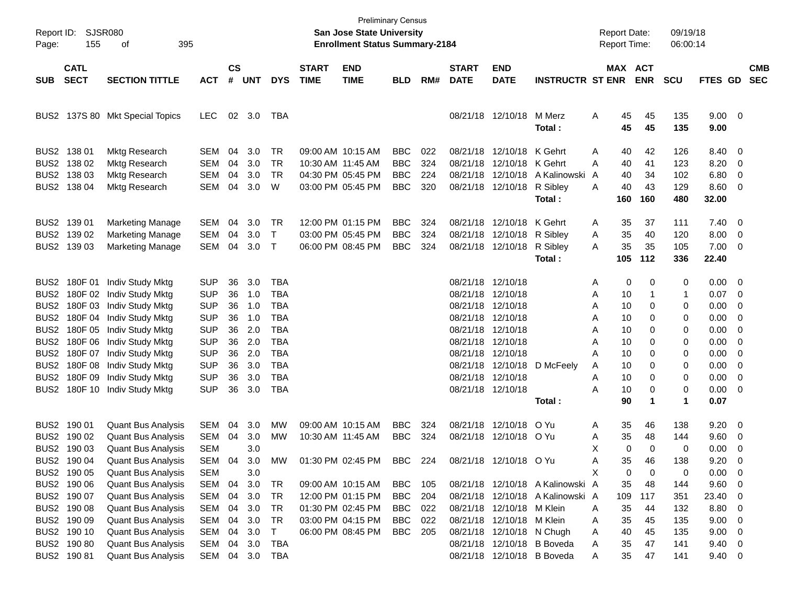| Report ID:<br>Page: | <b>SJSR080</b><br>155      | 395<br>οf                       |                |                    |            |            |                             | <b>San Jose State University</b><br><b>Enrollment Status Summary-2184</b> | <b>Preliminary Census</b> |     |                             |                            |                                  | <b>Report Date:</b><br>Report Time: |             |                       | 09/19/18<br>06:00:14 |                     |                          |                          |
|---------------------|----------------------------|---------------------------------|----------------|--------------------|------------|------------|-----------------------------|---------------------------------------------------------------------------|---------------------------|-----|-----------------------------|----------------------------|----------------------------------|-------------------------------------|-------------|-----------------------|----------------------|---------------------|--------------------------|--------------------------|
| <b>SUB</b>          | <b>CATL</b><br><b>SECT</b> | <b>SECTION TITTLE</b>           | <b>ACT</b>     | $\mathsf{cs}$<br># | <b>UNT</b> | <b>DYS</b> | <b>START</b><br><b>TIME</b> | <b>END</b><br><b>TIME</b>                                                 | <b>BLD</b>                | RM# | <b>START</b><br><b>DATE</b> | <b>END</b><br><b>DATE</b>  | <b>INSTRUCTR ST ENR</b>          |                                     |             | MAX ACT<br><b>ENR</b> | <b>SCU</b>           | <b>FTES GD</b>      |                          | <b>CMB</b><br><b>SEC</b> |
|                     |                            | BUS2 137S 80 Mkt Special Topics | <b>LEC</b>     |                    | 02 3.0     | TBA        |                             |                                                                           |                           |     |                             | 08/21/18 12/10/18 M Merz   | Total:                           | Α                                   | 45<br>45    | 45<br>45              | 135<br>135           | $9.00 \t 0$<br>9.00 |                          |                          |
|                     | BUS2 138 01                | Mktg Research                   | SEM            | 04                 | 3.0        | <b>TR</b>  |                             | 09:00 AM 10:15 AM                                                         | <b>BBC</b>                | 022 |                             | 08/21/18 12/10/18 K Gehrt  |                                  | Α                                   | 40          | 42                    | 126                  | 8.40 0              |                          |                          |
|                     | BUS2 138 02                | <b>Mktg Research</b>            | <b>SEM</b>     | 04                 | 3.0        | <b>TR</b>  |                             | 10:30 AM 11:45 AM                                                         | <b>BBC</b>                | 324 |                             | 08/21/18 12/10/18 K Gehrt  |                                  | Α                                   | 40          | 41                    | 123                  | 8.20                | $\overline{\phantom{0}}$ |                          |
|                     | BUS2 138 03                | <b>Mktg Research</b>            | <b>SEM</b>     | 04                 | 3.0        | <b>TR</b>  |                             | 04:30 PM 05:45 PM                                                         | <b>BBC</b>                | 224 |                             |                            | 08/21/18 12/10/18 A Kalinowski   | A                                   | 40          | 34                    | 102                  | 6.80                | $\overline{\mathbf{0}}$  |                          |
|                     | BUS2 138 04                | <b>Mktg Research</b>            | <b>SEM</b>     | 04                 | 3.0        | W          |                             | 03:00 PM 05:45 PM                                                         | <b>BBC</b>                | 320 |                             | 08/21/18 12/10/18 R Sibley | Total:                           | A                                   | 40<br>160   | 43<br>160             | 129<br>480           | $8.60$ 0<br>32.00   |                          |                          |
|                     | BUS2 139 01                | <b>Marketing Manage</b>         | <b>SEM</b>     | 04                 | 3.0        | TR         |                             | 12:00 PM 01:15 PM                                                         | <b>BBC</b>                | 324 |                             | 08/21/18 12/10/18 K Gehrt  |                                  | Α                                   | 35          | 37                    | 111                  | $7.40 \ 0$          |                          |                          |
|                     | BUS2 139 02                | <b>Marketing Manage</b>         | <b>SEM</b>     | 04                 | 3.0        | Т          |                             | 03:00 PM 05:45 PM                                                         | <b>BBC</b>                | 324 |                             | 08/21/18 12/10/18 R Sibley |                                  | Α                                   | 35          | 40                    | 120                  | 8.00                | $\overline{\phantom{0}}$ |                          |
|                     | BUS2 139 03                | <b>Marketing Manage</b>         | <b>SEM</b>     | 04                 | 3.0        | $\top$     |                             | 06:00 PM 08:45 PM                                                         | <b>BBC</b>                | 324 |                             | 08/21/18 12/10/18          | R Sibley                         | A                                   | 35          | 35                    | 105                  | $7.00 \t 0$         |                          |                          |
|                     |                            |                                 |                |                    |            |            |                             |                                                                           |                           |     |                             |                            | Total:                           |                                     | 105         | 112                   | 336                  | 22.40               |                          |                          |
|                     |                            | BUS2 180F 01 Indiv Study Mktg   | <b>SUP</b>     | 36                 | 3.0        | TBA        |                             |                                                                           |                           |     |                             | 08/21/18 12/10/18          |                                  | Α                                   | 0           | 0                     | 0                    | $0.00 \t 0$         |                          |                          |
| BUS <sub>2</sub>    |                            | 180F 02 Indiv Study Mktg        | <b>SUP</b>     | 36                 | 1.0        | <b>TBA</b> |                             |                                                                           |                           |     |                             | 08/21/18 12/10/18          |                                  | Α                                   | 10          | 1                     | 1                    | 0.07                | $\overline{\phantom{0}}$ |                          |
| BUS <sub>2</sub>    |                            | 180F 03 Indiv Study Mktg        | <b>SUP</b>     | 36                 | 1.0        | TBA        |                             |                                                                           |                           |     |                             | 08/21/18 12/10/18          |                                  | Α                                   | 10          | 0                     | 0                    | 0.00                | $\overline{\mathbf{0}}$  |                          |
| BUS <sub>2</sub>    |                            | 180F 04 Indiv Study Mktg        | <b>SUP</b>     | 36                 | 1.0        | <b>TBA</b> |                             |                                                                           |                           |     |                             | 08/21/18 12/10/18          |                                  | Α                                   | 10          | 0                     | 0                    | 0.00                | $\overline{\phantom{0}}$ |                          |
| BUS2                |                            | 180F 05 Indiv Study Mktg        | <b>SUP</b>     | 36                 | 2.0        | <b>TBA</b> |                             |                                                                           |                           |     |                             | 08/21/18 12/10/18          |                                  | Α                                   | 10          | 0                     | 0                    | 0.00                | $\overline{\phantom{0}}$ |                          |
| BUS <sub>2</sub>    |                            | 180F 06 Indiv Study Mktg        | <b>SUP</b>     | 36                 | 2.0        | TBA        |                             |                                                                           |                           |     |                             | 08/21/18 12/10/18          |                                  | Α                                   | 10          | 0                     | 0                    | 0.00                | $\overline{\mathbf{0}}$  |                          |
| BUS <sub>2</sub>    |                            | 180F 07 Indiv Study Mktg        | <b>SUP</b>     | 36                 | 2.0        | <b>TBA</b> |                             |                                                                           |                           |     |                             | 08/21/18 12/10/18          |                                  | Α                                   | 10          | 0                     | 0                    | 0.00                | $\overline{\mathbf{0}}$  |                          |
| BUS2                |                            | 180F 08 Indiv Study Mktg        | <b>SUP</b>     | 36                 | 3.0        | <b>TBA</b> |                             |                                                                           |                           |     |                             | 08/21/18 12/10/18          | D McFeely                        | Α                                   | 10          | 0                     | 0                    | 0.00                | $\overline{\phantom{0}}$ |                          |
| BUS2                |                            | 180F 09 Indiv Study Mktg        | <b>SUP</b>     | 36                 | 3.0        | TBA        |                             |                                                                           |                           |     |                             | 08/21/18 12/10/18          |                                  | Α                                   | 10          | 0                     | 0                    | 0.00                | $\overline{\phantom{0}}$ |                          |
| BUS2                |                            | 180F 10 Indiv Study Mktg        | <b>SUP</b>     | 36                 | 3.0        | <b>TBA</b> |                             |                                                                           |                           |     |                             | 08/21/18 12/10/18          |                                  | Α                                   | 10          | 0                     | 0                    | $0.00 \t 0$         |                          |                          |
|                     |                            |                                 |                |                    |            |            |                             |                                                                           |                           |     |                             |                            | Total:                           |                                     | 90          | 1                     | 1                    | 0.07                |                          |                          |
|                     | BUS2 190 01                | <b>Quant Bus Analysis</b>       | SEM            | 04                 | 3.0        | MW         |                             | 09:00 AM 10:15 AM                                                         | <b>BBC</b>                | 324 |                             | 08/21/18 12/10/18          | O Yu                             | Α                                   | 35          | 46                    | 138                  | 9.20                | $\overline{\phantom{0}}$ |                          |
| BUS2                | 190 02                     | <b>Quant Bus Analysis</b>       | <b>SEM</b>     | 04                 | 3.0        | MW         |                             | 10:30 AM 11:45 AM                                                         | <b>BBC</b>                | 324 |                             | 08/21/18 12/10/18 O Yu     |                                  | Α                                   | 35          | 48                    | 144                  | 9.60                | $\overline{\phantom{0}}$ |                          |
|                     | BUS2 190 03                | <b>Quant Bus Analysis</b>       | <b>SEM</b>     |                    | 3.0        |            |                             |                                                                           |                           |     |                             |                            |                                  | X                                   | $\mathbf 0$ | 0                     | 0                    | 0.00                | $\overline{\phantom{0}}$ |                          |
|                     | BUS2 190 04                | <b>Quant Bus Analysis</b>       | SEM            | 04                 | 3.0        | МW         |                             | 01:30 PM 02:45 PM                                                         | BBC 224                   |     |                             | 08/21/18 12/10/18 O Yu     |                                  | A                                   | 35          | 46                    | 138                  | 9.20                | $\mathbf 0$              |                          |
|                     | BUS2 190 05                | <b>Quant Bus Analysis</b>       | <b>SEM</b>     |                    | 3.0        |            |                             |                                                                           |                           |     |                             |                            |                                  | х                                   | 0           | 0                     | 0                    | $0.00 \t 0$         |                          |                          |
|                     | BUS2 190 06                | <b>Quant Bus Analysis</b>       | SEM            | 04                 | 3.0        | <b>TR</b>  |                             | 09:00 AM 10:15 AM                                                         | <b>BBC</b> 105            |     |                             |                            | 08/21/18 12/10/18 A Kalinowski A |                                     | 35          | 48                    | 144                  | 9.60 0              |                          |                          |
|                     | BUS2 190 07                | <b>Quant Bus Analysis</b>       | SEM            | 04                 | 3.0        | TR         |                             | 12:00 PM 01:15 PM                                                         | <b>BBC</b>                | 204 |                             |                            | 08/21/18 12/10/18 A Kalinowski A |                                     | 109         | 117                   | 351                  | 23.40               | $\overline{\phantom{0}}$ |                          |
|                     | BUS2 190 08                | <b>Quant Bus Analysis</b>       | SEM            | 04                 | 3.0        | <b>TR</b>  |                             | 01:30 PM 02:45 PM                                                         | <b>BBC</b>                | 022 |                             | 08/21/18 12/10/18 M Klein  |                                  | Α                                   | 35          | 44                    | 132                  | 8.80 0              |                          |                          |
|                     | BUS2 190 09                | <b>Quant Bus Analysis</b>       | SEM            | 04                 | 3.0        | <b>TR</b>  |                             | 03:00 PM 04:15 PM                                                         | <b>BBC</b>                | 022 |                             | 08/21/18 12/10/18 M Klein  |                                  | Α                                   | 35          | 45                    | 135                  | $9.00 \t 0$         |                          |                          |
|                     | BUS2 190 10                | <b>Quant Bus Analysis</b>       | SEM            | 04                 | 3.0        | T          |                             | 06:00 PM 08:45 PM                                                         | <b>BBC</b>                | 205 |                             | 08/21/18 12/10/18 N Chugh  |                                  | Α                                   | 40          | 45                    | 135                  | $9.00 \t 0$         |                          |                          |
|                     | BUS2 190 80                | <b>Quant Bus Analysis</b>       | SEM            | 04                 | 3.0        | TBA        |                             |                                                                           |                           |     |                             |                            | 08/21/18 12/10/18 B Boveda       | Α                                   | 35          | 47                    | 141                  | $9.40 \quad 0$      |                          |                          |
|                     | BUS2 190 81                | <b>Quant Bus Analysis</b>       | SEM 04 3.0 TBA |                    |            |            |                             |                                                                           |                           |     |                             |                            | 08/21/18 12/10/18 B Boveda       | Α                                   | 35          | 47                    | 141                  | 9.40 0              |                          |                          |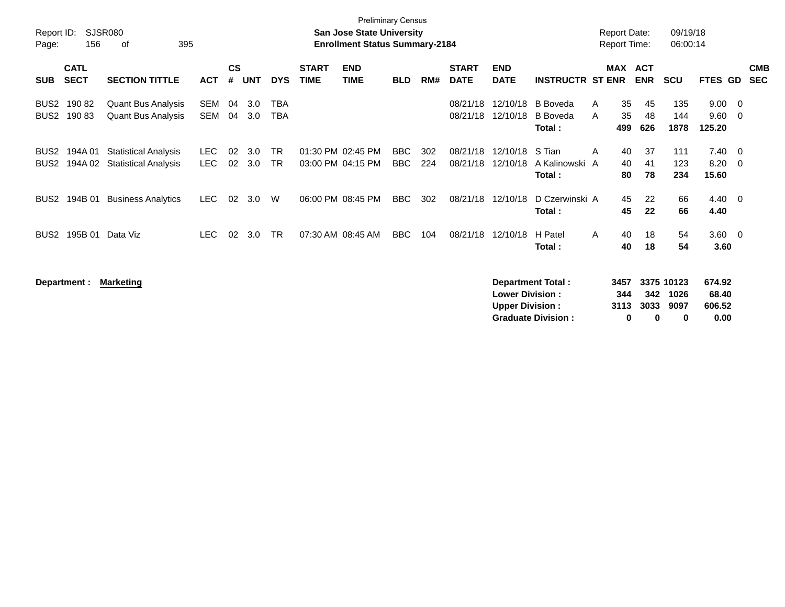| Report ID:<br>Page:                  | 156                        | SJSR080<br>395<br>оf                                       |              |                |            |                        |                             | <b>Preliminary Census</b><br><b>San Jose State University</b><br><b>Enrollment Status Summary-2184</b> |                   |            |                             |                           |                                              | <b>Report Date:</b><br><b>Report Time:</b> |                 |                       | 09/19/18<br>06:00:14 |                        |                                                     |                          |
|--------------------------------------|----------------------------|------------------------------------------------------------|--------------|----------------|------------|------------------------|-----------------------------|--------------------------------------------------------------------------------------------------------|-------------------|------------|-----------------------------|---------------------------|----------------------------------------------|--------------------------------------------|-----------------|-----------------------|----------------------|------------------------|-----------------------------------------------------|--------------------------|
| <b>SUB</b>                           | <b>CATL</b><br><b>SECT</b> | <b>SECTION TITTLE</b>                                      | <b>ACT</b>   | <b>CS</b><br># | UNT        | <b>DYS</b>             | <b>START</b><br><b>TIME</b> | <b>END</b><br><b>TIME</b>                                                                              | <b>BLD</b>        | RM#        | <b>START</b><br><b>DATE</b> | <b>END</b><br><b>DATE</b> | <b>INSTRUCTR ST ENR</b>                      |                                            |                 | MAX ACT<br><b>ENR</b> | <b>SCU</b>           | FTES GD                |                                                     | <b>CMB</b><br><b>SEC</b> |
| BUS <sub>2</sub><br>BUS2             | 190 82<br>19083            | <b>Quant Bus Analysis</b><br>Quant Bus Analysis            | SEM<br>SEM   | 04<br>04       | 3.0<br>3.0 | TBA<br>TBA             |                             |                                                                                                        |                   |            | 08/21/18<br>08/21/18        | 12/10/18<br>12/10/18      | <b>B</b> Boveda<br><b>B</b> Boveda<br>Total: | A<br>A                                     | 35<br>35<br>499 | 45<br>48<br>626       | 135<br>144<br>1878   | 9.00<br>9.60<br>125.20 | $\overline{\mathbf{0}}$<br>$\overline{\phantom{0}}$ |                          |
| BUS <sub>2</sub><br>BUS <sub>2</sub> | 194A 01<br>194A 02         | <b>Statistical Analysis</b><br><b>Statistical Analysis</b> | LEC.<br>LEC. | 02<br>02       | 3.0<br>3.0 | <b>TR</b><br><b>TR</b> |                             | 01:30 PM 02:45 PM<br>03:00 PM 04:15 PM                                                                 | BBC<br><b>BBC</b> | 302<br>224 | 08/21/18<br>08/21/18        | 12/10/18<br>12/10/18      | S Tian<br>A Kalinowski A<br>Total:           | A                                          | 40<br>40<br>80  | 37<br>41<br>78        | 111<br>123<br>234    | 7.40<br>8.20<br>15.60  | $\overline{\mathbf{0}}$<br>$\overline{\mathbf{0}}$  |                          |
| BUS <sub>2</sub>                     | 194B 01                    | <b>Business Analytics</b>                                  | LEC.         | 02             | 3.0        | W                      |                             | 06:00 PM 08:45 PM                                                                                      | <b>BBC</b>        | 302        | 08/21/18                    | 12/10/18                  | D Czerwinski A<br>Total:                     |                                            | 45<br>45        | 22<br>22              | 66<br>66             | 4.40<br>4.40           | $\overline{\mathbf{0}}$                             |                          |
| BUS <sub>2</sub>                     | 195B 01                    | Data Viz                                                   | LEC.         | 02             | 3.0        | <b>TR</b>              |                             | 07:30 AM 08:45 AM                                                                                      | BBC               | 104        | 08/21/18                    | 12/10/18                  | H Patel<br>Total :                           | A                                          | 40<br>40        | 18<br>18              | 54<br>54             | $3.60 \quad 0$<br>3.60 |                                                     |                          |
|                                      | Department :               | Marketing                                                  |              |                |            |                        |                             |                                                                                                        |                   |            |                             |                           | <b>Department Total:</b>                     |                                            | 3457            |                       | 3375 10123           | 674.92                 |                                                     |                          |

| <b>DEPARTIFIEL TOTAL.</b> |   |              | <b>JHJI JJIJ IUILJ</b> | 014.JZ |
|---------------------------|---|--------------|------------------------|--------|
| <b>Lower Division:</b>    |   |              | 344 342 1026           | 68.40  |
| <b>Upper Division:</b>    |   |              | 3113 3033 9097         | 606.52 |
| <b>Graduate Division:</b> | 0 | $\mathbf{u}$ | n                      | 0.00   |